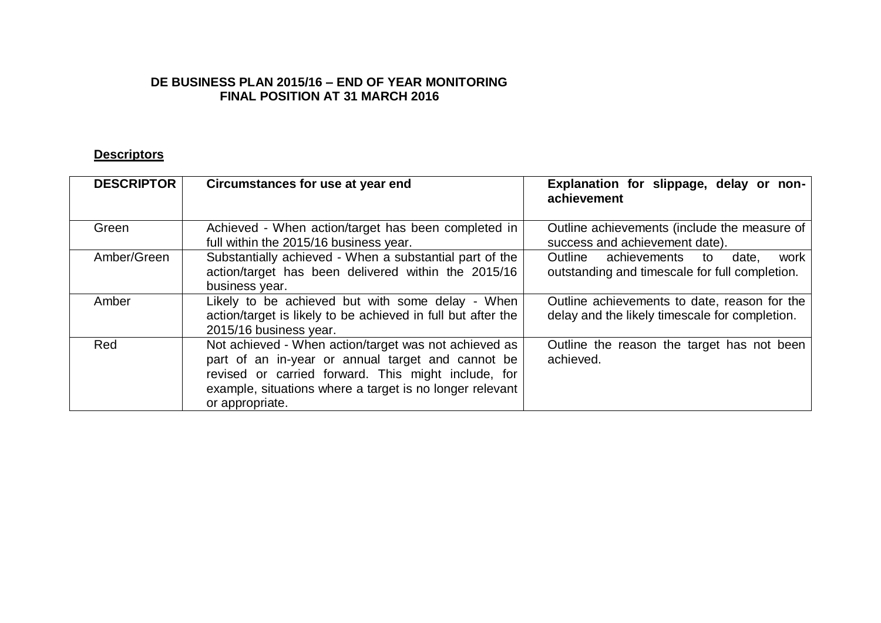#### **DE BUSINESS PLAN 2015/16 – END OF YEAR MONITORING FINAL POSITION AT 31 MARCH 2016**

#### **Descriptors**

| <b>DESCRIPTOR</b> | Circumstances for use at year end                                                                                                                                                                                                                | Explanation for slippage, delay or non-<br>achievement                                         |
|-------------------|--------------------------------------------------------------------------------------------------------------------------------------------------------------------------------------------------------------------------------------------------|------------------------------------------------------------------------------------------------|
| Green             | Achieved - When action/target has been completed in<br>full within the 2015/16 business year.                                                                                                                                                    | Outline achievements (include the measure of<br>success and achievement date).                 |
| Amber/Green       | Substantially achieved - When a substantial part of the<br>action/target has been delivered within the 2015/16<br>business year.                                                                                                                 | Outline achievements<br>date.<br>to<br>work<br>outstanding and timescale for full completion.  |
| Amber             | Likely to be achieved but with some delay - When<br>action/target is likely to be achieved in full but after the<br>2015/16 business year.                                                                                                       | Outline achievements to date, reason for the<br>delay and the likely timescale for completion. |
| Red               | Not achieved - When action/target was not achieved as<br>part of an in-year or annual target and cannot be<br>revised or carried forward. This might include, for<br>example, situations where a target is no longer relevant<br>or appropriate. | Outline the reason the target has not been<br>achieved.                                        |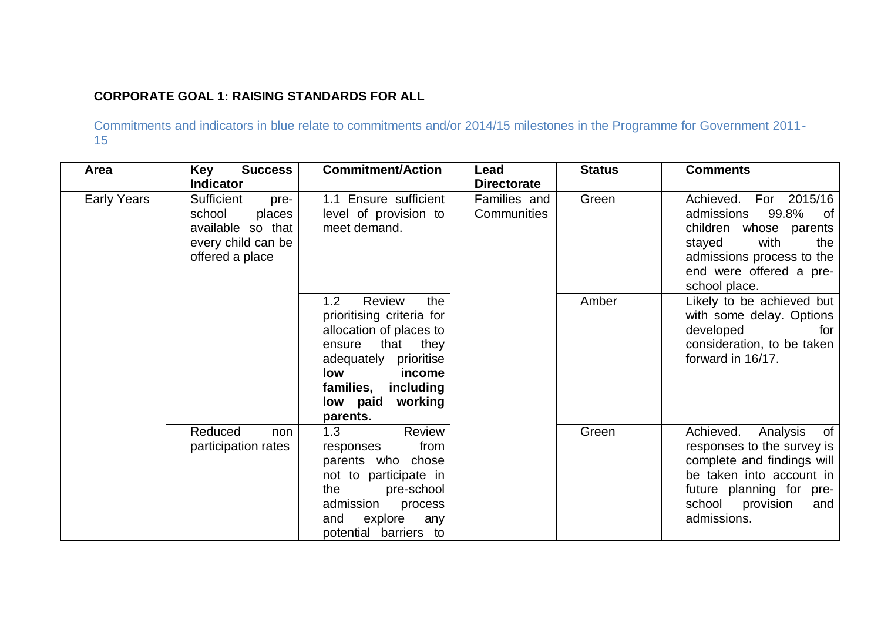# **CORPORATE GOAL 1: RAISING STANDARDS FOR ALL**

| Area               | <b>Success</b><br>Key<br><b>Indicator</b>                                                                                                                                                                                | <b>Commitment/Action</b>                                                                                                                                                                                   | Lead<br><b>Directorate</b>  | <b>Status</b>                                                                                                                                                                                | <b>Comments</b>                                                                                                                                                                |
|--------------------|--------------------------------------------------------------------------------------------------------------------------------------------------------------------------------------------------------------------------|------------------------------------------------------------------------------------------------------------------------------------------------------------------------------------------------------------|-----------------------------|----------------------------------------------------------------------------------------------------------------------------------------------------------------------------------------------|--------------------------------------------------------------------------------------------------------------------------------------------------------------------------------|
| <b>Early Years</b> | Sufficient<br>pre-<br>places<br>school<br>available so that<br>every child can be<br>offered a place                                                                                                                     | 1.1 Ensure sufficient<br>level of provision to<br>meet demand.                                                                                                                                             | Families and<br>Communities | Green                                                                                                                                                                                        | Achieved. For 2015/16<br>99.8%<br>admissions<br>of<br>children whose parents<br>with<br>stayed<br>the<br>admissions process to the<br>end were offered a pre-<br>school place. |
|                    |                                                                                                                                                                                                                          | Review<br>1.2<br>the<br>prioritising criteria for<br>allocation of places to<br>that<br>they<br>ensure<br>adequately prioritise<br>low<br>income<br>families,<br>including<br>low paid working<br>parents. |                             | Amber                                                                                                                                                                                        | Likely to be achieved but<br>with some delay. Options<br>developed<br>for<br>consideration, to be taken<br>forward in 16/17.                                                   |
|                    | Review<br>Reduced<br>1.3<br>non<br>from<br>participation rates<br>responses<br>parents who chose<br>not to participate in<br>the<br>pre-school<br>admission<br>process<br>explore<br>and<br>any<br>potential barriers to |                                                                                                                                                                                                            | Green                       | Achieved.<br>Analysis<br>of<br>responses to the survey is<br>complete and findings will<br>be taken into account in<br>future planning for pre-<br>school<br>provision<br>and<br>admissions. |                                                                                                                                                                                |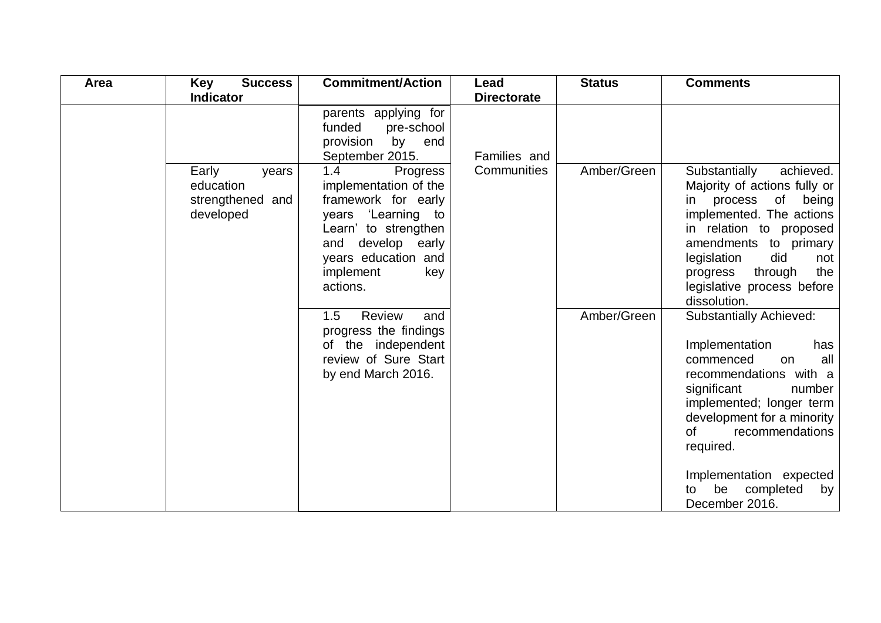| Area | <b>Success</b><br>Key                                        | <b>Commitment/Action</b>                                                                                                                                                                     | Lead               | <b>Status</b> | <b>Comments</b>                                                                                                                                                                                                                                                                                                  |
|------|--------------------------------------------------------------|----------------------------------------------------------------------------------------------------------------------------------------------------------------------------------------------|--------------------|---------------|------------------------------------------------------------------------------------------------------------------------------------------------------------------------------------------------------------------------------------------------------------------------------------------------------------------|
|      | <b>Indicator</b>                                             |                                                                                                                                                                                              | <b>Directorate</b> |               |                                                                                                                                                                                                                                                                                                                  |
|      |                                                              | parents applying for<br>funded<br>pre-school<br>provision<br>by end<br>September 2015.                                                                                                       | Families and       |               |                                                                                                                                                                                                                                                                                                                  |
|      | Early<br>years<br>education<br>strengthened and<br>developed | 1.4<br>Progress<br>implementation of the<br>framework for early<br>years 'Learning to<br>Learn' to strengthen<br>develop early<br>and<br>years education and<br>implement<br>key<br>actions. | Communities        | Amber/Green   | Substantially<br>achieved.<br>Majority of actions fully or<br>in process of being<br>implemented. The actions<br>in relation to proposed<br>amendments to primary<br>legislation<br>did<br>not<br>through<br>the<br>progress<br>legislative process before<br>dissolution.                                       |
|      |                                                              | 1.5<br><b>Review</b><br>and<br>progress the findings<br>of the independent<br>review of Sure Start<br>by end March 2016.                                                                     |                    | Amber/Green   | <b>Substantially Achieved:</b><br>Implementation<br>has<br>all<br>commenced<br>on<br>recommendations with a<br>significant<br>number<br>implemented; longer term<br>development for a minority<br>recommendations<br>0f<br>required.<br>Implementation expected<br>completed<br>be<br>by<br>to<br>December 2016. |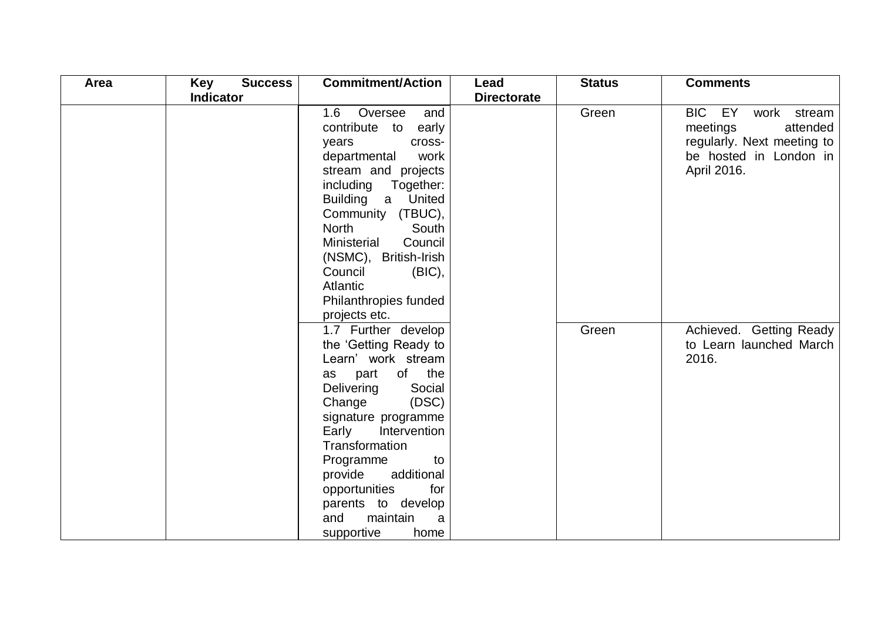| Area | Key<br><b>Success</b> | <b>Commitment/Action</b>                                                                                                                                                                                                                                                                                                                               | Lead               | <b>Status</b> | <b>Comments</b>                                                                                                      |
|------|-----------------------|--------------------------------------------------------------------------------------------------------------------------------------------------------------------------------------------------------------------------------------------------------------------------------------------------------------------------------------------------------|--------------------|---------------|----------------------------------------------------------------------------------------------------------------------|
|      | <b>Indicator</b>      |                                                                                                                                                                                                                                                                                                                                                        | <b>Directorate</b> |               |                                                                                                                      |
|      |                       | 1.6<br>Oversee<br>and<br>contribute to<br>early<br>years<br>cross-<br>departmental<br>work<br>stream and projects<br>including<br>Together:<br>a United<br><b>Building</b><br>Community (TBUC),<br><b>North</b><br>South<br>Ministerial<br>Council<br>(NSMC), British-Irish<br>Council<br>(BIC),<br>Atlantic<br>Philanthropies funded<br>projects etc. |                    | Green         | BIC EY<br>work stream<br>meetings<br>attended<br>regularly. Next meeting to<br>be hosted in London in<br>April 2016. |
|      |                       | 1.7 Further develop<br>the 'Getting Ready to<br>Learn' work stream<br>of the<br>part<br>as<br>Delivering<br>Social<br>Change<br>(DSC)<br>signature programme<br>Early<br>Intervention<br>Transformation<br>Programme<br>to<br>additional<br>provide<br>opportunities<br>for<br>parents to develop<br>maintain<br>and<br>a<br>supportive<br>home        |                    | Green         | Achieved. Getting Ready<br>to Learn launched March<br>2016.                                                          |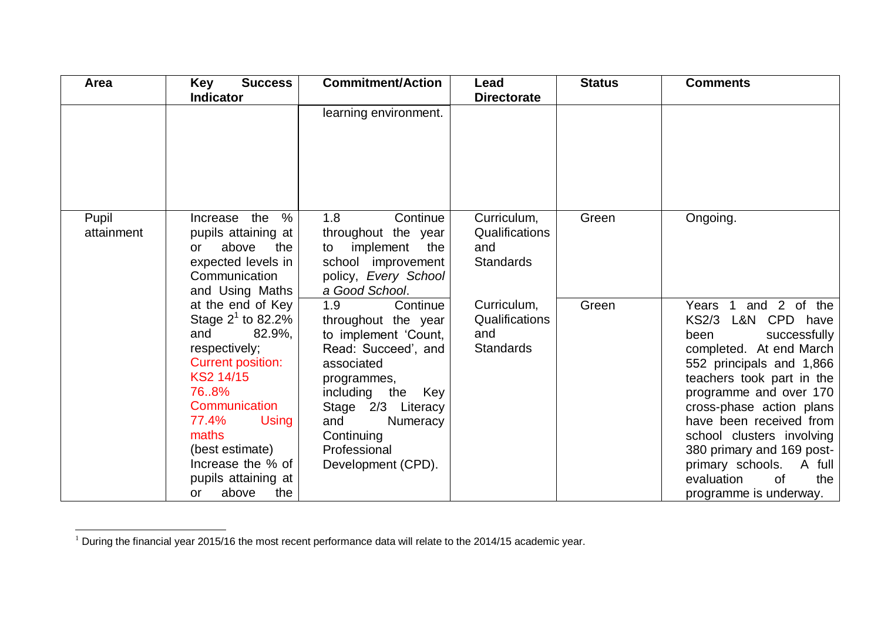| Area                | <b>Key</b><br><b>Success</b><br><b>Indicator</b>                                                                                                                                                                                                 | <b>Commitment/Action</b>                                                                                                                                                                                                                               | Lead<br><b>Directorate</b>                                                                                           | <b>Status</b>  | <b>Comments</b>                                                                                                                                                                                                                    |
|---------------------|--------------------------------------------------------------------------------------------------------------------------------------------------------------------------------------------------------------------------------------------------|--------------------------------------------------------------------------------------------------------------------------------------------------------------------------------------------------------------------------------------------------------|----------------------------------------------------------------------------------------------------------------------|----------------|------------------------------------------------------------------------------------------------------------------------------------------------------------------------------------------------------------------------------------|
|                     |                                                                                                                                                                                                                                                  | learning environment.                                                                                                                                                                                                                                  |                                                                                                                      |                |                                                                                                                                                                                                                                    |
| Pupil<br>attainment | %<br>Increase the<br>pupils attaining at<br>the<br>above<br>or<br>expected levels in<br>Communication<br>and Using Maths<br>at the end of Key<br>Stage $2^1$ to 82.2%<br>and<br>82.9%,<br>respectively;<br><b>Current position:</b><br>KS2 14/15 | 1.8<br>Continue<br>throughout the year<br>implement<br>the<br>to<br>school improvement<br>policy, Every School<br>a Good School.<br>1.9<br>Continue<br>throughout the year<br>to implement 'Count,<br>Read: Succeed', and<br>associated<br>programmes, | Curriculum,<br>Qualifications<br>and<br><b>Standards</b><br>Curriculum,<br>Qualifications<br>and<br><b>Standards</b> | Green<br>Green | Ongoing.<br>and 2 of the<br>$\overline{1}$<br>Years<br>L&N CPD have<br><b>KS2/3</b><br>successfully<br>been<br>completed. At end March<br>552 principals and 1,866<br>teachers took part in the                                    |
|                     | 768%<br>Communication<br>77.4%<br>Using<br>maths<br>(best estimate)<br>Increase the % of<br>pupils attaining at<br>above<br>the<br>or                                                                                                            | including the<br>Key<br>Stage 2/3 Literacy<br>and<br>Numeracy<br>Continuing<br>Professional<br>Development (CPD).                                                                                                                                      |                                                                                                                      |                | programme and over 170<br>cross-phase action plans<br>have been received from<br>school clusters involving<br>380 primary and 169 post-<br>primary schools. A full<br>evaluation<br><sub>of</sub><br>the<br>programme is underway. |

l

 $1$  During the financial year 2015/16 the most recent performance data will relate to the 2014/15 academic year.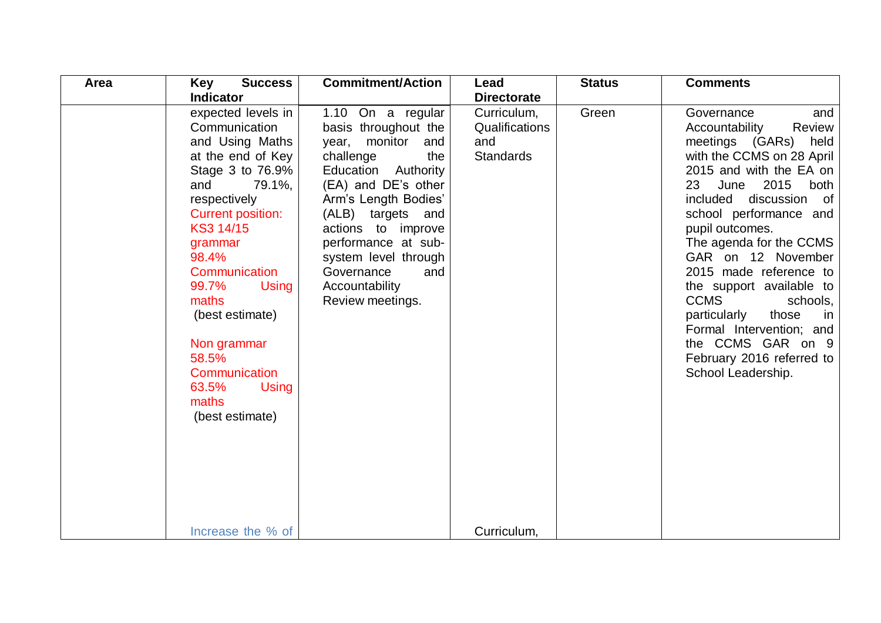| Area | <b>Key</b><br><b>Success</b>                                                                                                                                                                                                                                                                                                                        | <b>Commitment/Action</b>                                                                                                                                                                                                                                                                                         | Lead                                                     | <b>Status</b> | <b>Comments</b>                                                                                                                                                                                                                                                                                                                                                                                                                                                                                                          |
|------|-----------------------------------------------------------------------------------------------------------------------------------------------------------------------------------------------------------------------------------------------------------------------------------------------------------------------------------------------------|------------------------------------------------------------------------------------------------------------------------------------------------------------------------------------------------------------------------------------------------------------------------------------------------------------------|----------------------------------------------------------|---------------|--------------------------------------------------------------------------------------------------------------------------------------------------------------------------------------------------------------------------------------------------------------------------------------------------------------------------------------------------------------------------------------------------------------------------------------------------------------------------------------------------------------------------|
|      | <b>Indicator</b>                                                                                                                                                                                                                                                                                                                                    |                                                                                                                                                                                                                                                                                                                  | <b>Directorate</b>                                       |               |                                                                                                                                                                                                                                                                                                                                                                                                                                                                                                                          |
|      | expected levels in<br>Communication<br>and Using Maths<br>at the end of Key<br>Stage 3 to 76.9%<br>79.1%,<br>and<br>respectively<br><b>Current position:</b><br>KS3 14/15<br>grammar<br>98.4%<br>Communication<br>99.7%<br>Using<br>maths<br>(best estimate)<br>Non grammar<br>58.5%<br>Communication<br>63.5%<br>Using<br>maths<br>(best estimate) | 1.10 On a regular<br>basis throughout the<br>year, monitor<br>and<br>the<br>challenge<br>Education Authority<br>(EA) and DE's other<br>Arm's Length Bodies'<br>(ALB) targets and<br>actions to improve<br>performance at sub-<br>system level through<br>Governance<br>and<br>Accountability<br>Review meetings. | Curriculum,<br>Qualifications<br>and<br><b>Standards</b> | Green         | Governance<br>and<br>Accountability<br><b>Review</b><br>meetings (GARs) held<br>with the CCMS on 28 April<br>2015 and with the EA on<br>June 2015<br>23<br>both<br>included<br>discussion<br>of<br>school performance and<br>pupil outcomes.<br>The agenda for the CCMS<br>GAR on 12 November<br>2015 made reference to<br>the support available to<br><b>CCMS</b><br>schools,<br>particularly<br>those<br><i>in</i><br>Formal Intervention; and<br>the CCMS GAR on 9<br>February 2016 referred to<br>School Leadership. |
|      | Increase the % of                                                                                                                                                                                                                                                                                                                                   |                                                                                                                                                                                                                                                                                                                  | Curriculum,                                              |               |                                                                                                                                                                                                                                                                                                                                                                                                                                                                                                                          |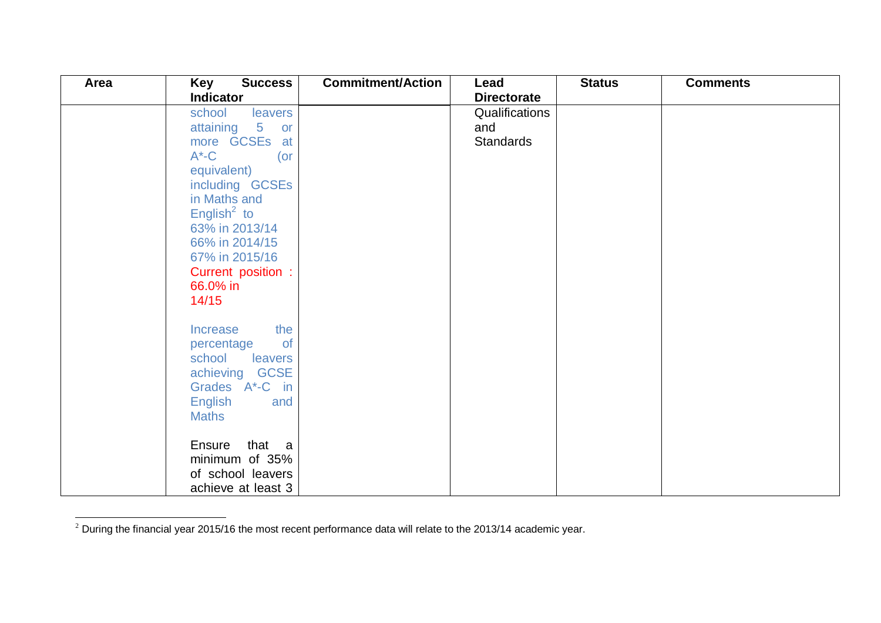| Area | Key<br><b>Success</b><br><b>Indicator</b>                                                                                                                                                                                                                   | <b>Commitment/Action</b> | Lead<br><b>Directorate</b>         | <b>Status</b> | <b>Comments</b> |
|------|-------------------------------------------------------------------------------------------------------------------------------------------------------------------------------------------------------------------------------------------------------------|--------------------------|------------------------------------|---------------|-----------------|
|      | leavers<br>school<br>attaining 5<br>or<br>more GCSEs at<br>$A^*$ -C<br>$($ or<br>equivalent)<br>including GCSEs<br>in Maths and<br>English <sup>2</sup> to<br>63% in 2013/14<br>66% in 2014/15<br>67% in 2015/16<br>Current position :<br>66.0% in<br>14/15 |                          | Qualifications<br>and<br>Standards |               |                 |
|      | the<br>Increase<br>of<br>percentage<br>school<br>leavers<br>achieving GCSE<br>Grades A <sup>*</sup> -C in<br><b>English</b><br>and<br><b>Maths</b><br>Ensure that a<br>minimum of 35%<br>of school leavers<br>achieve at least 3                            |                          |                                    |               |                 |

 $^2$  During the financial year 2015/16 the most recent performance data will relate to the 2013/14 academic year.

 $\overline{a}$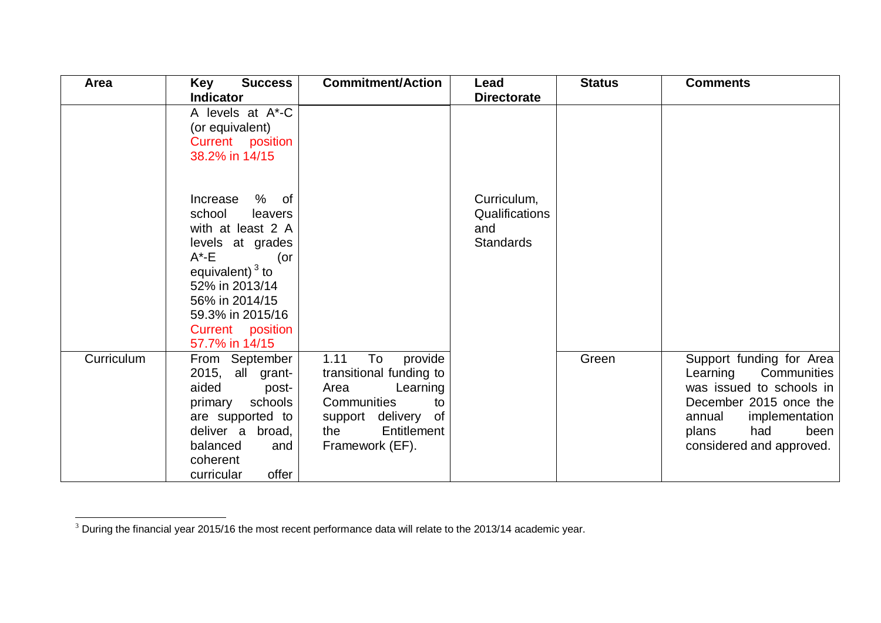| Area       | <b>Success</b><br>Key                                                                                                                                                                                              | <b>Commitment/Action</b>                                                                                                                                  | Lead                                                     | <b>Status</b> | <b>Comments</b>                                                                                                                                                                        |
|------------|--------------------------------------------------------------------------------------------------------------------------------------------------------------------------------------------------------------------|-----------------------------------------------------------------------------------------------------------------------------------------------------------|----------------------------------------------------------|---------------|----------------------------------------------------------------------------------------------------------------------------------------------------------------------------------------|
|            | <b>Indicator</b>                                                                                                                                                                                                   |                                                                                                                                                           | <b>Directorate</b>                                       |               |                                                                                                                                                                                        |
|            | A levels at A*-C<br>(or equivalent)<br>Current position<br>38.2% in 14/15                                                                                                                                          |                                                                                                                                                           |                                                          |               |                                                                                                                                                                                        |
|            | Increase % of<br>school<br>leavers<br>with at least 2 A<br>levels at grades<br>$A^*$ -E<br>(or<br>equivalent) $3$ to<br>52% in 2013/14<br>56% in 2014/15<br>59.3% in 2015/16<br>Current position<br>57.7% in 14/15 |                                                                                                                                                           | Curriculum,<br>Qualifications<br>and<br><b>Standards</b> |               |                                                                                                                                                                                        |
| Curriculum | From September<br>2015, all grant-<br>aided<br>post-<br>primary schools<br>are supported to<br>deliver a broad,<br>balanced<br>and<br>coherent<br>offer<br>curricular                                              | 1.11<br>To<br>provide<br>transitional funding to<br>Area<br>Learning<br>Communities<br>to<br>support delivery of<br>Entitlement<br>the<br>Framework (EF). |                                                          | Green         | Support funding for Area<br>Learning Communities<br>was issued to schools in<br>December 2015 once the<br>annual<br>implementation<br>had<br>been<br>plans<br>considered and approved. |

 $\overline{a}$ 

 $3$  During the financial year 2015/16 the most recent performance data will relate to the 2013/14 academic year.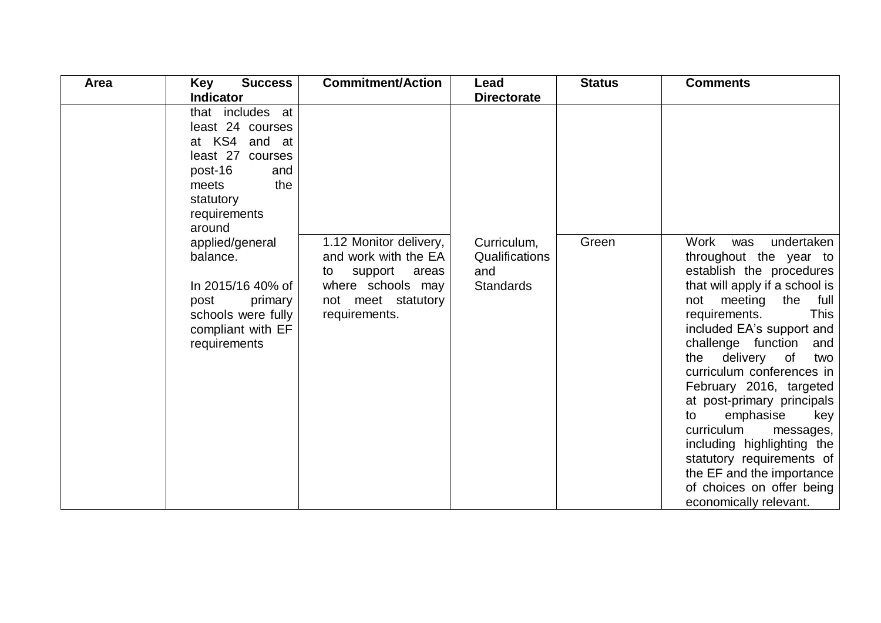| <b>Commitment/Action</b>                                                                                                             | Lead                                                     | <b>Status</b> | <b>Comments</b>                                                                                                                                                                                                                                                                                                                                                                                                                                                                                                               |
|--------------------------------------------------------------------------------------------------------------------------------------|----------------------------------------------------------|---------------|-------------------------------------------------------------------------------------------------------------------------------------------------------------------------------------------------------------------------------------------------------------------------------------------------------------------------------------------------------------------------------------------------------------------------------------------------------------------------------------------------------------------------------|
|                                                                                                                                      | <b>Directorate</b>                                       |               |                                                                                                                                                                                                                                                                                                                                                                                                                                                                                                                               |
| 1.12 Monitor delivery,<br>and work with the EA<br>support<br>areas<br>to<br>where schools may<br>not meet statutory<br>requirements. | Curriculum,<br>Qualifications<br>and<br><b>Standards</b> | Green         | undertaken<br>Work<br>was<br>throughout the year to<br>establish the procedures<br>that will apply if a school is<br>not meeting the full<br><b>This</b><br>requirements.<br>included EA's support and<br>challenge function<br>and<br>the delivery of<br>two<br>curriculum conferences in<br>February 2016, targeted<br>at post-primary principals<br>emphasise<br>key<br>to<br>curriculum<br>messages,<br>including highlighting the<br>statutory requirements of<br>the EF and the importance<br>of choices on offer being |
|                                                                                                                                      |                                                          |               |                                                                                                                                                                                                                                                                                                                                                                                                                                                                                                                               |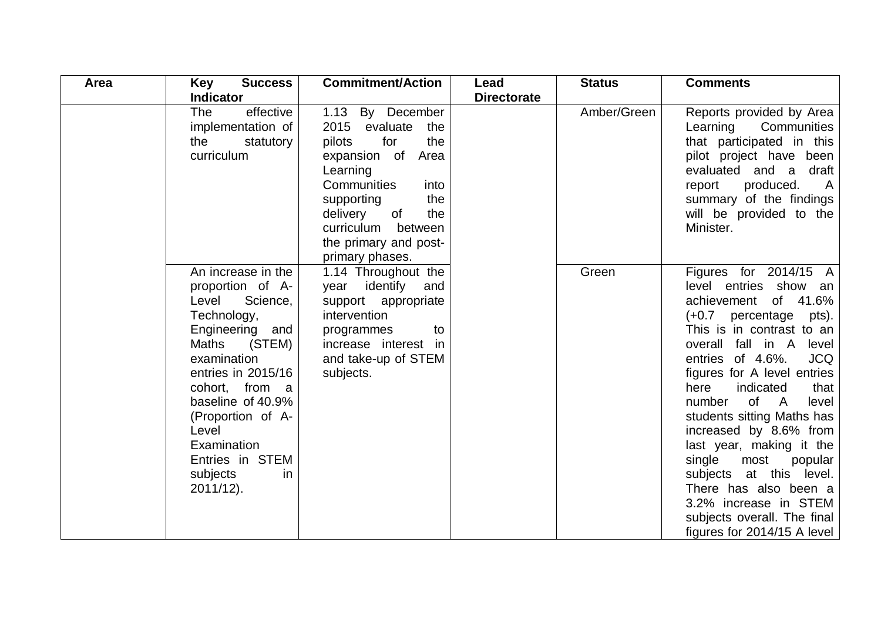| Area | <b>Key</b><br><b>Success</b>                                                                                                                                                                                                                                                                                 | <b>Commitment/Action</b>                                                                                                                                                                                                                    | Lead               | <b>Status</b> | <b>Comments</b>                                                                                                                                                                                                                                                                                                                                                                                                                                                                                                                                     |
|------|--------------------------------------------------------------------------------------------------------------------------------------------------------------------------------------------------------------------------------------------------------------------------------------------------------------|---------------------------------------------------------------------------------------------------------------------------------------------------------------------------------------------------------------------------------------------|--------------------|---------------|-----------------------------------------------------------------------------------------------------------------------------------------------------------------------------------------------------------------------------------------------------------------------------------------------------------------------------------------------------------------------------------------------------------------------------------------------------------------------------------------------------------------------------------------------------|
|      | <b>Indicator</b>                                                                                                                                                                                                                                                                                             |                                                                                                                                                                                                                                             | <b>Directorate</b> |               |                                                                                                                                                                                                                                                                                                                                                                                                                                                                                                                                                     |
|      | effective<br>The<br>implementation of<br>the<br>statutory<br>curriculum                                                                                                                                                                                                                                      | 1.13 By December<br>2015 evaluate<br>the<br>for<br>the<br>pilots<br>expansion of<br>Area<br>Learning<br>Communities<br>into<br>the<br>supporting<br>delivery<br>the<br>of<br>curriculum between<br>the primary and post-<br>primary phases. |                    | Amber/Green   | Reports provided by Area<br>Communities<br>Learning<br>that participated in this<br>pilot project have been<br>evaluated and a draft<br>produced.<br>report<br><b>A</b><br>summary of the findings<br>will be provided to the<br>Minister.                                                                                                                                                                                                                                                                                                          |
|      | An increase in the<br>proportion of A-<br>Science,<br>Level<br>Technology,<br>Engineering and<br><b>Maths</b><br>(STEM)<br>examination<br>entries in 2015/16<br>cohort, from a<br>baseline of 40.9%<br>(Proportion of A-<br>Level<br>Examination<br>Entries in STEM<br>subjects<br><i>in</i><br>$2011/12$ ). | 1.14 Throughout the<br>year identify<br>and<br>support appropriate<br>intervention<br>to<br>programmes<br>increase interest in<br>and take-up of STEM<br>subjects.                                                                          |                    | Green         | Figures for 2014/15 A<br>level entries show an<br>of 41.6%<br>achievement<br>$(+0.7)$ percentage pts).<br>This is in contrast to an<br>overall fall in A<br>level<br>entries of 4.6%.<br><b>JCQ</b><br>figures for A level entries<br>indicated<br>here<br>that<br>of A<br>number<br>level<br>students sitting Maths has<br>increased by 8.6% from<br>last year, making it the<br>single most<br>popular<br>subjects at this level.<br>There has also been a<br>3.2% increase in STEM<br>subjects overall. The final<br>figures for 2014/15 A level |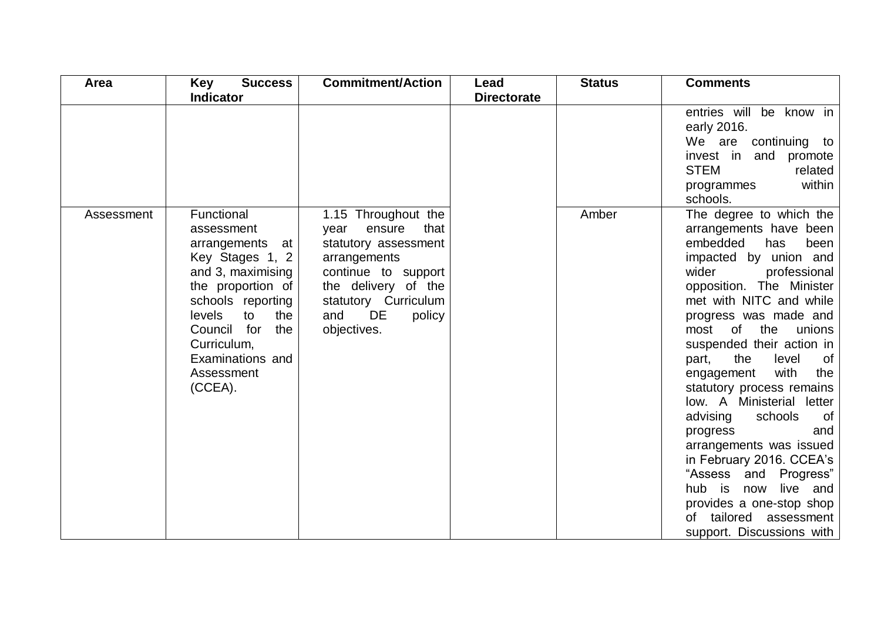| Area       | <b>Key</b><br><b>Success</b>                                                                                                                                                                                                           | <b>Commitment/Action</b>                                                                                                                                                                          | Lead               | <b>Status</b> | <b>Comments</b>                                                                                                                                                                                                                                                                                                                                                                                                                                                                                                                                                                                                                                  |
|------------|----------------------------------------------------------------------------------------------------------------------------------------------------------------------------------------------------------------------------------------|---------------------------------------------------------------------------------------------------------------------------------------------------------------------------------------------------|--------------------|---------------|--------------------------------------------------------------------------------------------------------------------------------------------------------------------------------------------------------------------------------------------------------------------------------------------------------------------------------------------------------------------------------------------------------------------------------------------------------------------------------------------------------------------------------------------------------------------------------------------------------------------------------------------------|
|            | <b>Indicator</b>                                                                                                                                                                                                                       |                                                                                                                                                                                                   | <b>Directorate</b> |               |                                                                                                                                                                                                                                                                                                                                                                                                                                                                                                                                                                                                                                                  |
|            |                                                                                                                                                                                                                                        |                                                                                                                                                                                                   |                    |               | entries will be know in<br>early 2016.<br>We are continuing to<br>invest in and promote<br><b>STEM</b><br>related<br>within<br>programmes<br>schools.                                                                                                                                                                                                                                                                                                                                                                                                                                                                                            |
| Assessment | Functional<br>assessment<br>arrangements at<br>Key Stages 1, 2<br>and 3, maximising<br>the proportion of<br>schools reporting<br>levels<br>to<br>the<br>Council for<br>the<br>Curriculum,<br>Examinations and<br>Assessment<br>(CCEA). | 1.15 Throughout the<br>that<br>ensure<br>year<br>statutory assessment<br>arrangements<br>continue to support<br>the delivery of the<br>statutory Curriculum<br>DE<br>and<br>policy<br>objectives. |                    | Amber         | The degree to which the<br>arrangements have been<br>embedded<br>has<br>been<br>impacted by union and<br>wider<br>professional<br>opposition. The Minister<br>met with NITC and while<br>progress was made and<br>most of the<br>unions<br>suspended their action in<br>of<br>the<br>level<br>part,<br>with<br>the<br>engagement<br>statutory process remains<br>low. A Ministerial letter<br>advising<br>of<br>schools<br>progress<br>and<br>arrangements was issued<br>in February 2016. CCEA's<br>"Assess and<br>Progress"<br>hub is<br>now<br>live and<br>provides a one-stop shop<br>tailored assessment<br>of<br>support. Discussions with |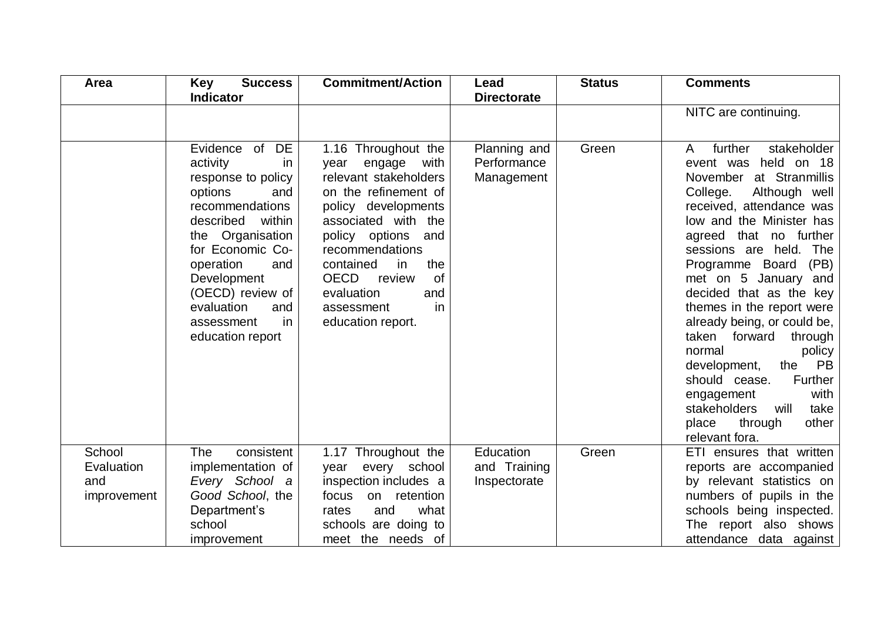| Area                                       | <b>Key</b><br><b>Success</b>                                                                                                                                                                                                                                                          | <b>Commitment/Action</b>                                                                                                                                                                                                                                                                                               | Lead                                      | <b>Status</b> | <b>Comments</b>                                                                                                                                                                                                                                                                                                                                                                                                                                                                                                                                                                                      |
|--------------------------------------------|---------------------------------------------------------------------------------------------------------------------------------------------------------------------------------------------------------------------------------------------------------------------------------------|------------------------------------------------------------------------------------------------------------------------------------------------------------------------------------------------------------------------------------------------------------------------------------------------------------------------|-------------------------------------------|---------------|------------------------------------------------------------------------------------------------------------------------------------------------------------------------------------------------------------------------------------------------------------------------------------------------------------------------------------------------------------------------------------------------------------------------------------------------------------------------------------------------------------------------------------------------------------------------------------------------------|
|                                            | <b>Indicator</b>                                                                                                                                                                                                                                                                      |                                                                                                                                                                                                                                                                                                                        | <b>Directorate</b>                        |               | NITC are continuing.                                                                                                                                                                                                                                                                                                                                                                                                                                                                                                                                                                                 |
|                                            | Evidence of DE<br>activity<br>in<br>response to policy<br>options<br>and<br>recommendations<br>described<br>within<br>the Organisation<br>for Economic Co-<br>operation<br>and<br>Development<br>(OECD) review of<br>evaluation<br>and<br><i>in</i><br>assessment<br>education report | 1.16 Throughout the<br>engage<br>with<br>year<br>relevant stakeholders<br>on the refinement of<br>policy developments<br>associated with the<br>policy options<br>and<br>recommendations<br>contained<br>the<br>in<br><b>OECD</b><br><b>of</b><br>review<br>evaluation<br>and<br>in<br>assessment<br>education report. | Planning and<br>Performance<br>Management | Green         | further<br>stakeholder<br>A<br>event was held on 18<br>November at Stranmillis<br>College.<br>Although well<br>received, attendance was<br>low and the Minister has<br>agreed that no further<br>sessions are held. The<br>Programme Board<br>(PB)<br>met on 5 January and<br>decided that as the key<br>themes in the report were<br>already being, or could be,<br>taken forward<br>through<br>normal<br>policy<br><b>PB</b><br>development,<br>the<br><b>Further</b><br>should cease.<br>with<br>engagement<br><b>stakeholders</b><br>will<br>take<br>other<br>place<br>through<br>relevant fora. |
| School<br>Evaluation<br>and<br>improvement | consistent<br><b>The</b><br>implementation of<br>Every School a<br>Good School, the<br>Department's<br>school<br>improvement                                                                                                                                                          | 1.17 Throughout the<br>every<br>school<br>year<br>inspection includes a<br>on retention<br>focus<br>what<br>and<br>rates<br>schools are doing to<br>meet the needs of                                                                                                                                                  | Education<br>and Training<br>Inspectorate | Green         | ETI ensures that written<br>reports are accompanied<br>by relevant statistics on<br>numbers of pupils in the<br>schools being inspected.<br>The report also shows<br>attendance data against                                                                                                                                                                                                                                                                                                                                                                                                         |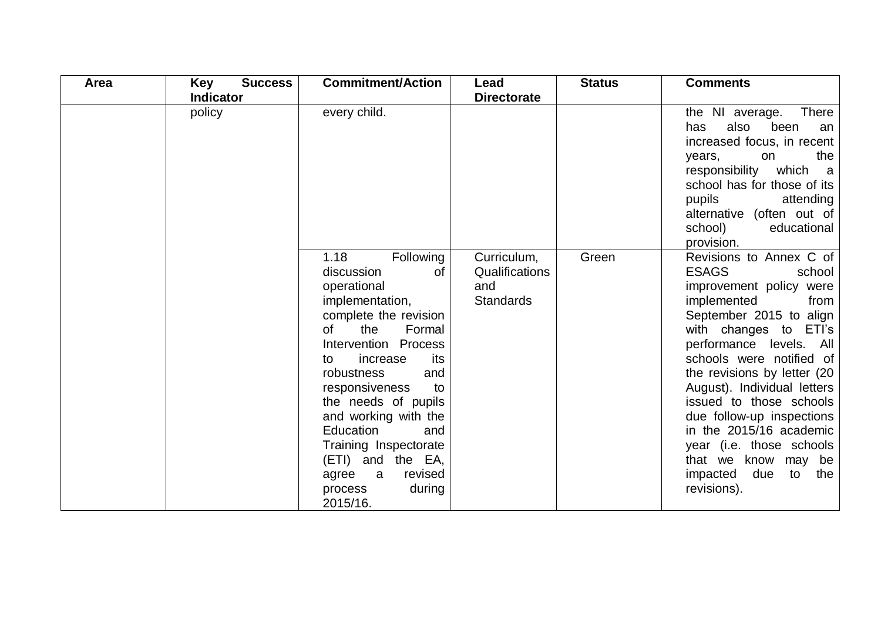| Area | Key<br><b>Success</b> | <b>Commitment/Action</b>                                                                                                                                                                                                                                                                                                                                                                      | Lead                                                     | <b>Status</b> | <b>Comments</b>                                                                                                                                                                                                                                                                                                                                                                                                                                                      |
|------|-----------------------|-----------------------------------------------------------------------------------------------------------------------------------------------------------------------------------------------------------------------------------------------------------------------------------------------------------------------------------------------------------------------------------------------|----------------------------------------------------------|---------------|----------------------------------------------------------------------------------------------------------------------------------------------------------------------------------------------------------------------------------------------------------------------------------------------------------------------------------------------------------------------------------------------------------------------------------------------------------------------|
|      | <b>Indicator</b>      |                                                                                                                                                                                                                                                                                                                                                                                               | <b>Directorate</b>                                       |               |                                                                                                                                                                                                                                                                                                                                                                                                                                                                      |
|      | policy                | every child.                                                                                                                                                                                                                                                                                                                                                                                  |                                                          |               | <b>There</b><br>the NI average.<br>also<br>been<br>has<br>an<br>increased focus, in recent<br>the<br>on<br>years,<br>responsibility<br>which a<br>school has for those of its<br>pupils<br>attending<br>alternative (often out of<br>school)<br>educational<br>provision.                                                                                                                                                                                            |
|      |                       | 1.18<br>Following<br>discussion<br>of<br>operational<br>implementation,<br>complete the revision<br>of<br>the<br>Formal<br>Intervention Process<br>increase<br>its<br>to<br>robustness<br>and<br>responsiveness<br>to<br>the needs of pupils<br>and working with the<br>Education<br>and<br>Training Inspectorate<br>(ETI) and the EA,<br>revised<br>agree a<br>during<br>process<br>2015/16. | Curriculum,<br>Qualifications<br>and<br><b>Standards</b> | Green         | Revisions to Annex C of<br><b>ESAGS</b><br>school<br>improvement policy were<br>implemented<br>from<br>September 2015 to align<br>with changes to ETI's<br>performance levels. All<br>schools were notified of<br>the revisions by letter (20<br>August). Individual letters<br>issued to those schools<br>due follow-up inspections<br>in the 2015/16 academic<br>year (i.e. those schools<br>that we know may<br>be<br>due<br>impacted<br>to<br>the<br>revisions). |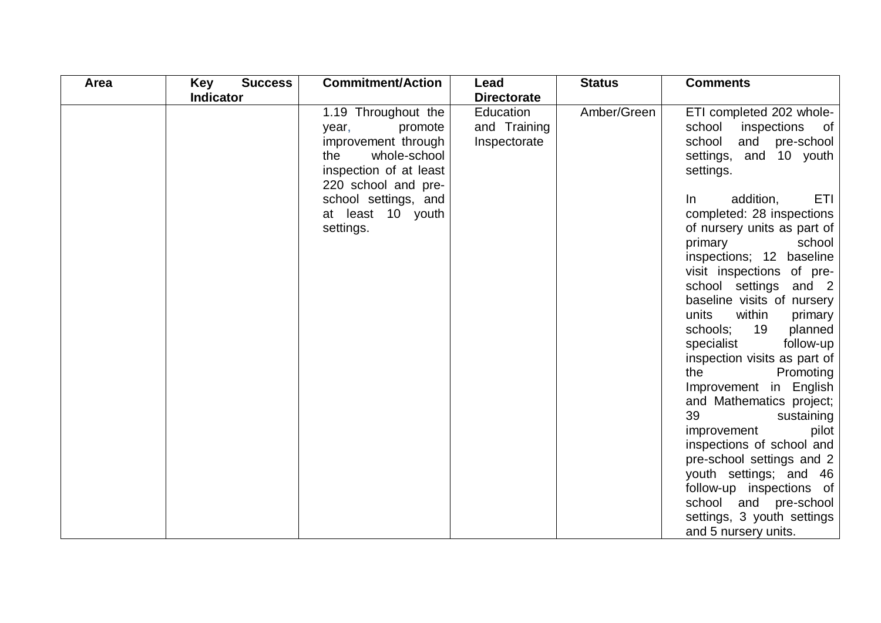| Area | <b>Key</b><br><b>Success</b> | <b>Commitment/Action</b>                                                                                                               | Lead                                      | <b>Status</b> | <b>Comments</b>                                                                                                                                                                                                                                                                                                                                                                                                                                                                                                                                                                                                                                                              |
|------|------------------------------|----------------------------------------------------------------------------------------------------------------------------------------|-------------------------------------------|---------------|------------------------------------------------------------------------------------------------------------------------------------------------------------------------------------------------------------------------------------------------------------------------------------------------------------------------------------------------------------------------------------------------------------------------------------------------------------------------------------------------------------------------------------------------------------------------------------------------------------------------------------------------------------------------------|
|      | <b>Indicator</b>             |                                                                                                                                        | <b>Directorate</b>                        |               |                                                                                                                                                                                                                                                                                                                                                                                                                                                                                                                                                                                                                                                                              |
|      |                              | 1.19 Throughout the<br>promote<br>year,<br>improvement through<br>whole-school<br>the<br>inspection of at least<br>220 school and pre- | Education<br>and Training<br>Inspectorate | Amber/Green   | ETI completed 202 whole-<br>school<br>inspections of<br>school<br>and pre-school<br>settings, and 10 youth<br>settings.                                                                                                                                                                                                                                                                                                                                                                                                                                                                                                                                                      |
|      |                              | school settings, and<br>at least 10 youth<br>settings.                                                                                 |                                           |               | <b>ETI</b><br>addition,<br>$\ln$<br>completed: 28 inspections<br>of nursery units as part of<br>primary<br>school<br>inspections; 12 baseline<br>visit inspections of pre-<br>school settings and 2<br>baseline visits of nursery<br>within<br>units<br>primary<br>19<br>schools;<br>planned<br>specialist<br>follow-up<br>inspection visits as part of<br>the<br>Promoting<br>Improvement in English<br>and Mathematics project;<br>39<br>sustaining<br>improvement<br>pilot<br>inspections of school and<br>pre-school settings and 2<br>youth settings; and 46<br>follow-up inspections of<br>school and pre-school<br>settings, 3 youth settings<br>and 5 nursery units. |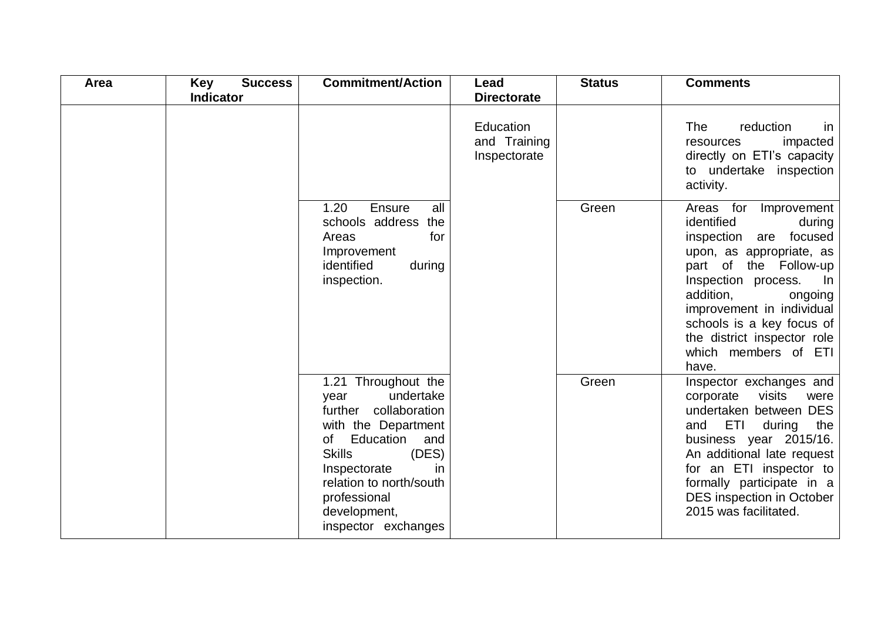| Area | <b>Key</b><br><b>Success</b><br><b>Indicator</b> | <b>Commitment/Action</b>                                                                                                                                                                                                                             | Lead<br><b>Directorate</b>                | <b>Status</b> | <b>Comments</b>                                                                                                                                                                                                                                                                                             |
|------|--------------------------------------------------|------------------------------------------------------------------------------------------------------------------------------------------------------------------------------------------------------------------------------------------------------|-------------------------------------------|---------------|-------------------------------------------------------------------------------------------------------------------------------------------------------------------------------------------------------------------------------------------------------------------------------------------------------------|
|      |                                                  |                                                                                                                                                                                                                                                      | Education<br>and Training<br>Inspectorate |               | reduction<br><b>The</b><br>in<br>impacted<br>resources<br>directly on ETI's capacity<br>to undertake inspection<br>activity.                                                                                                                                                                                |
|      |                                                  | 1.20<br>Ensure<br>all<br>schools address the<br>Areas<br>for<br>Improvement<br>identified<br>during<br>inspection.                                                                                                                                   |                                           | Green         | Areas for Improvement<br>identified<br>during<br>inspection are focused<br>upon, as appropriate, as<br>part of the Follow-up<br>Inspection process.<br>In<br>addition,<br>ongoing<br>improvement in individual<br>schools is a key focus of<br>the district inspector role<br>which members of ETI<br>have. |
|      |                                                  | 1.21 Throughout the<br>undertake<br>year<br>further collaboration<br>with the Department<br>Education<br>of<br>and<br><b>Skills</b><br>(DES)<br>Inspectorate<br>in<br>relation to north/south<br>professional<br>development,<br>inspector exchanges |                                           | Green         | Inspector exchanges and<br>visits<br>corporate<br>were<br>undertaken between DES<br>ETI<br>and<br>during<br>the<br>business year 2015/16.<br>An additional late request<br>for an ETI inspector to<br>formally participate in a<br>DES inspection in October<br>2015 was facilitated.                       |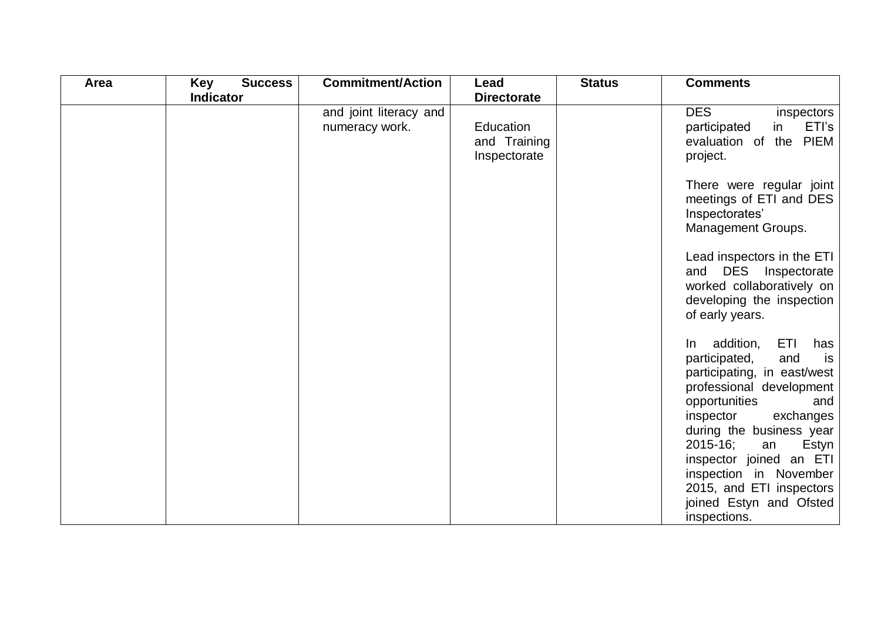| Area | <b>Success</b><br>Key | <b>Commitment/Action</b>                 | Lead                                      | <b>Status</b> | <b>Comments</b>                                                                                                                                                                                                                                              |
|------|-----------------------|------------------------------------------|-------------------------------------------|---------------|--------------------------------------------------------------------------------------------------------------------------------------------------------------------------------------------------------------------------------------------------------------|
|      | <b>Indicator</b>      |                                          | <b>Directorate</b>                        |               |                                                                                                                                                                                                                                                              |
|      |                       | and joint literacy and<br>numeracy work. | Education<br>and Training<br>Inspectorate |               | <b>DES</b><br>inspectors<br>ETI's<br>participated<br>in<br>evaluation of the PIEM<br>project.                                                                                                                                                                |
|      |                       |                                          |                                           |               | There were regular joint<br>meetings of ETI and DES<br>Inspectorates'<br>Management Groups.                                                                                                                                                                  |
|      |                       |                                          |                                           |               | Lead inspectors in the ETI<br>and DES Inspectorate<br>worked collaboratively on<br>developing the inspection<br>of early years.                                                                                                                              |
|      |                       |                                          |                                           |               | ETI<br>In addition,<br>has<br>participated,<br>and<br>is<br>participating, in east/west<br>professional development<br>opportunities<br>and<br>inspector<br>exchanges<br>during the business year<br>$2015 - 16$ ;<br>Estyn<br>an<br>inspector joined an ETI |
|      |                       |                                          |                                           |               | inspection in November<br>2015, and ETI inspectors<br>joined Estyn and Ofsted<br>inspections.                                                                                                                                                                |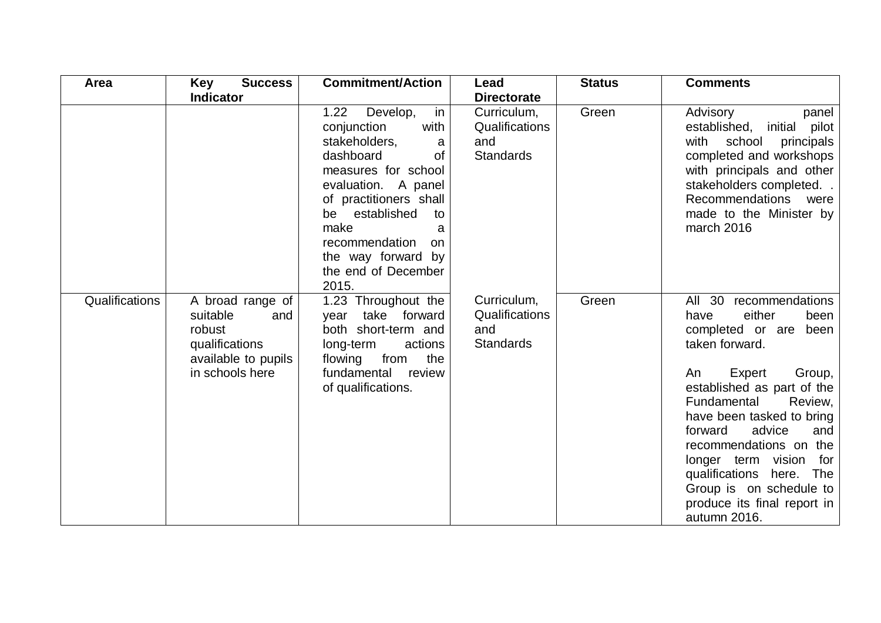| Area           | <b>Success</b><br>Key                                                                                     | <b>Commitment/Action</b>                                                                                                                                                                                                                                                          | Lead                                                     | <b>Status</b> | <b>Comments</b>                                                                                                                                                                                                                                                                                                                                                                                           |
|----------------|-----------------------------------------------------------------------------------------------------------|-----------------------------------------------------------------------------------------------------------------------------------------------------------------------------------------------------------------------------------------------------------------------------------|----------------------------------------------------------|---------------|-----------------------------------------------------------------------------------------------------------------------------------------------------------------------------------------------------------------------------------------------------------------------------------------------------------------------------------------------------------------------------------------------------------|
|                | <b>Indicator</b>                                                                                          |                                                                                                                                                                                                                                                                                   | <b>Directorate</b>                                       |               |                                                                                                                                                                                                                                                                                                                                                                                                           |
|                |                                                                                                           | 1.22<br>Develop,<br>in<br>conjunction<br>with<br>stakeholders,<br>a<br>dashboard<br>0f<br>measures for school<br>evaluation. A panel<br>of practitioners shall<br>be established<br>to<br>make<br>a<br>recommendation<br>on<br>the way forward by<br>the end of December<br>2015. | Curriculum,<br>Qualifications<br>and<br><b>Standards</b> | Green         | Advisory<br>panel<br>established, initial<br>pilot<br>school<br>with<br>principals<br>completed and workshops<br>with principals and other<br>stakeholders completed<br>Recommendations were<br>made to the Minister by<br>march 2016                                                                                                                                                                     |
| Qualifications | A broad range of<br>suitable<br>and<br>robust<br>qualifications<br>available to pupils<br>in schools here | 1.23 Throughout the<br>take forward<br>year<br>both short-term and<br>actions<br>long-term<br>the<br>flowing<br>from<br>fundamental<br>review<br>of qualifications.                                                                                                               | Curriculum,<br>Qualifications<br>and<br><b>Standards</b> | Green         | All 30 recommendations<br>either<br>been<br>have<br>completed or are<br>been<br>taken forward.<br>Expert<br>Group,<br>An<br>established as part of the<br>Fundamental<br>Review,<br>have been tasked to bring<br>forward<br>advice<br>and<br>recommendations on the<br>longer term vision<br>for<br>qualifications here.<br>The<br>Group is on schedule to<br>produce its final report in<br>autumn 2016. |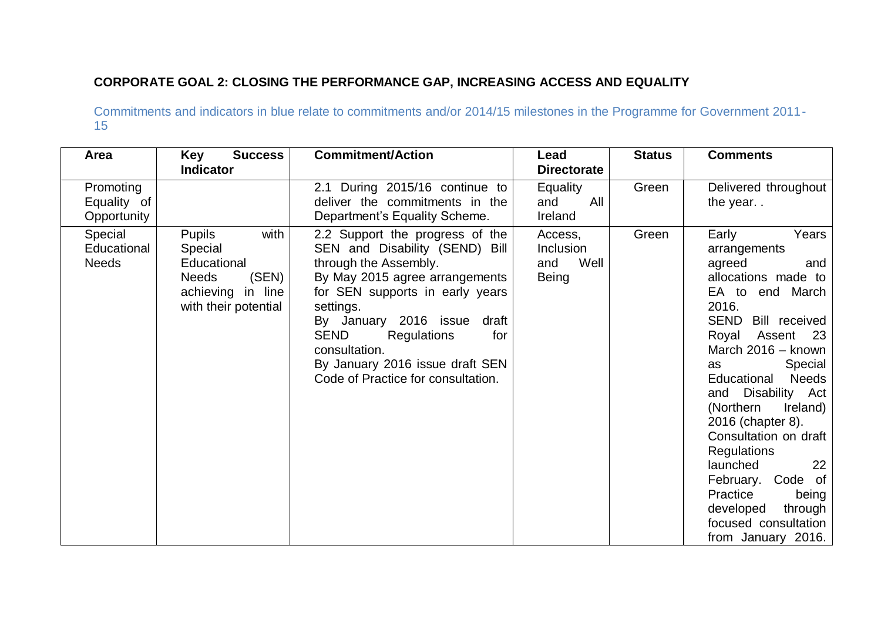## **CORPORATE GOAL 2: CLOSING THE PERFORMANCE GAP, INCREASING ACCESS AND EQUALITY**

| Area                                    | <b>Success</b><br>Key<br><b>Indicator</b>                                                                             | <b>Commitment/Action</b>                                                                                                                                                                                                                                                                                                                      | Lead<br><b>Directorate</b>                   | <b>Status</b> | <b>Comments</b>                                                                                                                                                                                                                                                                                                                                                                                                                                                                          |
|-----------------------------------------|-----------------------------------------------------------------------------------------------------------------------|-----------------------------------------------------------------------------------------------------------------------------------------------------------------------------------------------------------------------------------------------------------------------------------------------------------------------------------------------|----------------------------------------------|---------------|------------------------------------------------------------------------------------------------------------------------------------------------------------------------------------------------------------------------------------------------------------------------------------------------------------------------------------------------------------------------------------------------------------------------------------------------------------------------------------------|
| Promoting<br>Equality of<br>Opportunity |                                                                                                                       | 2.1 During 2015/16 continue to<br>deliver the commitments in the<br>Department's Equality Scheme.                                                                                                                                                                                                                                             | <b>Equality</b><br>All<br>and<br>Ireland     | Green         | Delivered throughout<br>the year                                                                                                                                                                                                                                                                                                                                                                                                                                                         |
| Special<br>Educational<br><b>Needs</b>  | <b>Pupils</b><br>with<br>Special<br>Educational<br>(SEN)<br><b>Needs</b><br>achieving in line<br>with their potential | 2.2 Support the progress of the<br>SEN and Disability (SEND) Bill<br>through the Assembly.<br>By May 2015 agree arrangements<br>for SEN supports in early years<br>settings.<br>By January 2016 issue<br>draft<br><b>SEND</b><br>Regulations<br>for<br>consultation.<br>By January 2016 issue draft SEN<br>Code of Practice for consultation. | Access,<br>Inclusion<br>Well<br>and<br>Being | Green         | Early<br>Years<br>arrangements<br>agreed<br>and<br>allocations made to<br>EA to end March<br>2016.<br><b>SEND</b><br>Bill received<br>Assent<br>Royal<br>- 23<br>March 2016 - known<br>Special<br>as<br>Educational<br><b>Needs</b><br>and Disability Act<br>(Northern<br>Ireland)<br>2016 (chapter 8).<br>Consultation on draft<br><b>Regulations</b><br>launched<br>22<br>February. Code of<br>Practice<br>being<br>developed<br>through<br>focused consultation<br>from January 2016. |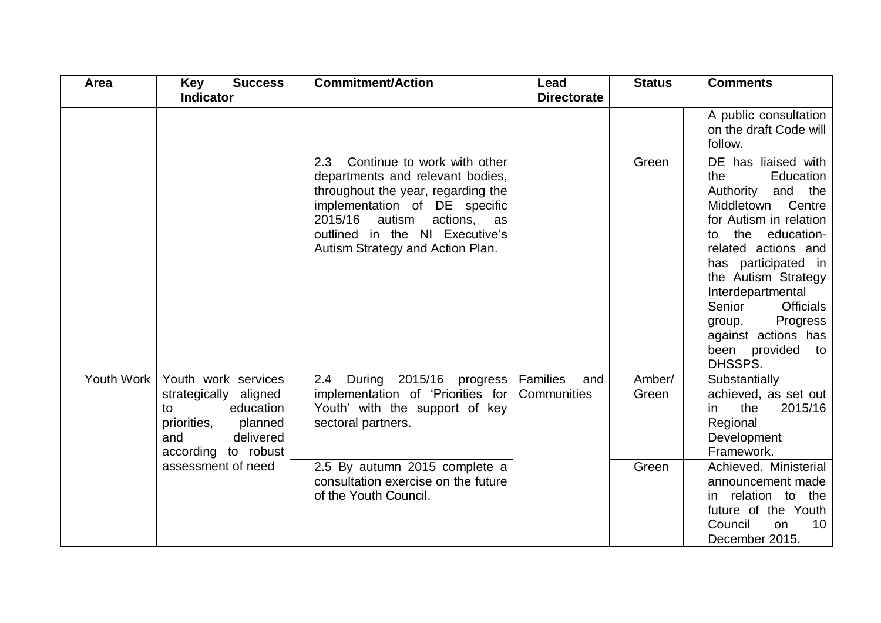| Area       | <b>Success</b><br><b>Key</b>                                                                                                         | <b>Commitment/Action</b>                                                                                                                                                                                                                                | Lead                           | <b>Status</b>   | <b>Comments</b>                                                                                                                                                                                                                                                                                                                                     |
|------------|--------------------------------------------------------------------------------------------------------------------------------------|---------------------------------------------------------------------------------------------------------------------------------------------------------------------------------------------------------------------------------------------------------|--------------------------------|-----------------|-----------------------------------------------------------------------------------------------------------------------------------------------------------------------------------------------------------------------------------------------------------------------------------------------------------------------------------------------------|
|            | <b>Indicator</b>                                                                                                                     |                                                                                                                                                                                                                                                         | <b>Directorate</b>             |                 |                                                                                                                                                                                                                                                                                                                                                     |
|            |                                                                                                                                      |                                                                                                                                                                                                                                                         |                                |                 | A public consultation<br>on the draft Code will<br>follow.                                                                                                                                                                                                                                                                                          |
|            |                                                                                                                                      | Continue to work with other<br>2.3<br>departments and relevant bodies,<br>throughout the year, regarding the<br>implementation of DE specific<br>2015/16<br>autism<br>actions, as<br>outlined in the NI Executive's<br>Autism Strategy and Action Plan. |                                | Green           | DE has liaised with<br>Education<br>the<br>Authority<br>and the<br>Middletown<br>Centre<br>for Autism in relation<br>education-<br>the<br>to<br>related actions and<br>has participated in<br>the Autism Strategy<br>Interdepartmental<br>Senior<br><b>Officials</b><br>Progress<br>group.<br>against actions has<br>been provided<br>to<br>DHSSPS. |
| Youth Work | Youth work services<br>strategically aligned<br>education<br>to<br>priorities,<br>planned<br>delivered<br>and<br>according to robust | 2015/16 progress  <br>2.4<br>During<br>implementation of 'Priorities for<br>Youth' with the support of key<br>sectoral partners.                                                                                                                        | Families<br>and<br>Communities | Amber/<br>Green | Substantially<br>achieved, as set out<br>the<br>2015/16<br>in<br>Regional<br>Development<br>Framework.                                                                                                                                                                                                                                              |
|            | assessment of need                                                                                                                   | 2.5 By autumn 2015 complete a<br>consultation exercise on the future<br>of the Youth Council.                                                                                                                                                           |                                | Green           | Achieved. Ministerial<br>announcement made<br>in relation to the<br>future of the Youth<br>Council<br>10 <sup>°</sup><br>on<br>December 2015.                                                                                                                                                                                                       |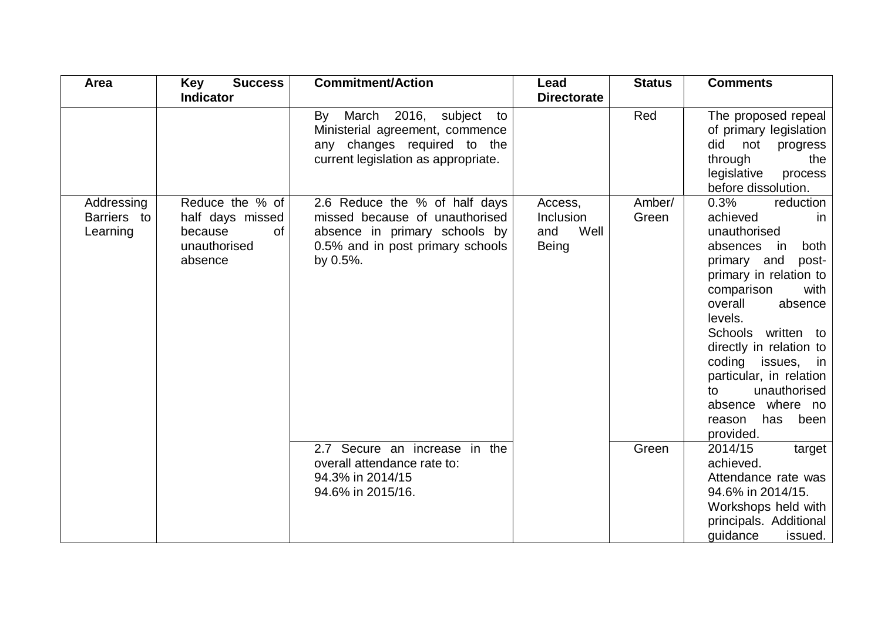| Area                                  | <b>Key</b><br><b>Success</b>                                                    | <b>Commitment/Action</b>                                                                                                                         | Lead                                                | <b>Status</b>   | <b>Comments</b>                                                                                                                                                                                                                                                                                                                                                          |
|---------------------------------------|---------------------------------------------------------------------------------|--------------------------------------------------------------------------------------------------------------------------------------------------|-----------------------------------------------------|-----------------|--------------------------------------------------------------------------------------------------------------------------------------------------------------------------------------------------------------------------------------------------------------------------------------------------------------------------------------------------------------------------|
|                                       | <b>Indicator</b>                                                                |                                                                                                                                                  | <b>Directorate</b>                                  |                 |                                                                                                                                                                                                                                                                                                                                                                          |
|                                       |                                                                                 | March 2016, subject<br>By<br>to<br>Ministerial agreement, commence<br>any changes required to the<br>current legislation as appropriate.         |                                                     | Red             | The proposed repeal<br>of primary legislation<br>did<br>not<br>progress<br>through<br>the<br>legislative<br>process<br>before dissolution.                                                                                                                                                                                                                               |
| Addressing<br>Barriers to<br>Learning | Reduce the % of<br>half days missed<br>0f<br>because<br>unauthorised<br>absence | 2.6 Reduce the % of half days<br>missed because of unauthorised<br>absence in primary schools by<br>0.5% and in post primary schools<br>by 0.5%. | Access,<br>Inclusion<br>Well<br>and<br><b>Being</b> | Amber/<br>Green | 0.3%<br>reduction<br>achieved<br>in.<br>unauthorised<br>absences<br>both<br>in<br>primary and<br>post-<br>primary in relation to<br>comparison<br>with<br>overall<br>absence<br>levels.<br>Schools written to<br>directly in relation to<br>coding issues, in<br>particular, in relation<br>unauthorised<br>to<br>absence where no<br>has<br>been<br>reason<br>provided. |
|                                       |                                                                                 | 2.7 Secure an increase in the<br>overall attendance rate to:<br>94.3% in 2014/15<br>94.6% in 2015/16.                                            |                                                     | Green           | 2014/15<br>target<br>achieved.<br>Attendance rate was<br>94.6% in 2014/15.<br>Workshops held with<br>principals. Additional<br>guidance<br>issued.                                                                                                                                                                                                                       |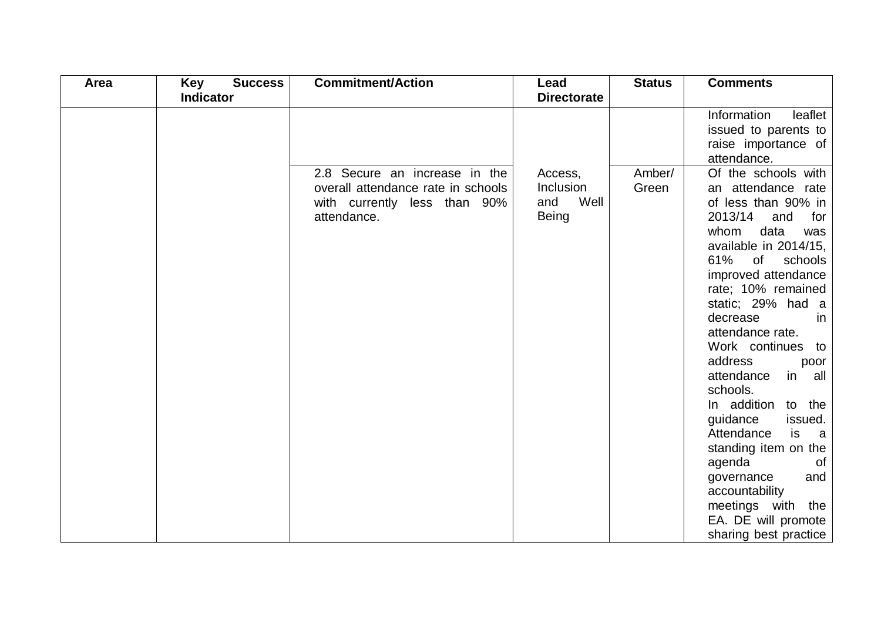| <b>Success</b><br>Area<br>Key | <b>Commitment/Action</b>                                                          | Lead                              | <b>Status</b> | <b>Comments</b>                                                                                                                                                                                                                                                                                                                                                                                                                                                                                                                                             |
|-------------------------------|-----------------------------------------------------------------------------------|-----------------------------------|---------------|-------------------------------------------------------------------------------------------------------------------------------------------------------------------------------------------------------------------------------------------------------------------------------------------------------------------------------------------------------------------------------------------------------------------------------------------------------------------------------------------------------------------------------------------------------------|
| <b>Indicator</b>              |                                                                                   | <b>Directorate</b>                |               |                                                                                                                                                                                                                                                                                                                                                                                                                                                                                                                                                             |
|                               | 2.8 Secure an increase in the                                                     | Access,                           | Amber/        | Information<br>leaflet<br>issued to parents to<br>raise importance of<br>attendance.<br>Of the schools with                                                                                                                                                                                                                                                                                                                                                                                                                                                 |
|                               | overall attendance rate in schools<br>with currently less than 90%<br>attendance. | Inclusion<br>Well<br>and<br>Being | Green         | an attendance rate<br>of less than 90% in<br>2013/14<br>and<br>for<br>data<br>whom<br>was<br>available in 2014/15,<br>of<br>61%<br>schools<br>improved attendance<br>rate; 10% remained<br>static; 29% had a<br>decrease<br>in.<br>attendance rate.<br>Work continues to<br>address<br>poor<br>attendance<br>in all<br>schools.<br>In addition to the<br>guidance<br>issued.<br>Attendance<br>is<br>a a<br>standing item on the<br>agenda<br>0f<br>governance<br>and<br>accountability<br>meetings with the<br>EA. DE will promote<br>sharing best practice |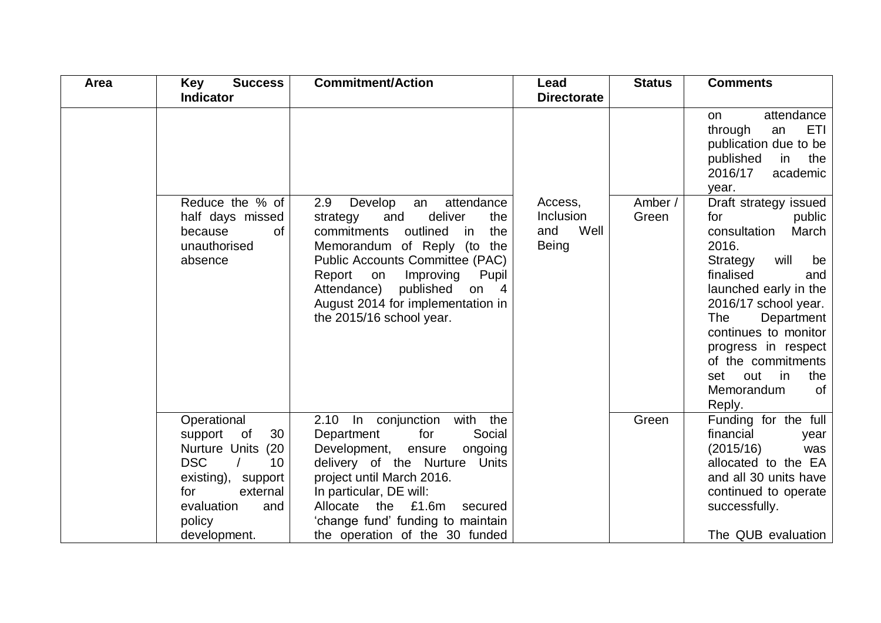| Area | <b>Success</b><br><b>Key</b>                                                           | <b>Commitment/Action</b>                                                                                                                                                                                                                                                                                                                             | Lead                                         | <b>Status</b>    | <b>Comments</b>                                                                                                                                                                                                                                                                                                               |
|------|----------------------------------------------------------------------------------------|------------------------------------------------------------------------------------------------------------------------------------------------------------------------------------------------------------------------------------------------------------------------------------------------------------------------------------------------------|----------------------------------------------|------------------|-------------------------------------------------------------------------------------------------------------------------------------------------------------------------------------------------------------------------------------------------------------------------------------------------------------------------------|
|      | <b>Indicator</b>                                                                       |                                                                                                                                                                                                                                                                                                                                                      | <b>Directorate</b>                           |                  |                                                                                                                                                                                                                                                                                                                               |
|      |                                                                                        |                                                                                                                                                                                                                                                                                                                                                      |                                              |                  | attendance<br>on<br><b>ETI</b><br>through<br>an<br>publication due to be<br>published<br>in<br>the<br>2016/17<br>academic<br>year.                                                                                                                                                                                            |
|      | Reduce the % of<br>half days missed<br>because<br><b>of</b><br>unauthorised<br>absence | Develop<br>attendance<br>2.9<br>an<br>deliver<br>the<br>strategy<br>and<br>commitments<br>outlined<br>the<br>in.<br>Memorandum of Reply (to<br>the<br><b>Public Accounts Committee (PAC)</b><br>Report on<br>Improving<br>Pupil<br>Attendance)<br>published<br>$\overline{4}$<br>on<br>August 2014 for implementation in<br>the 2015/16 school year. | Access,<br>Inclusion<br>Well<br>and<br>Being | Amber /<br>Green | Draft strategy issued<br>for<br>public<br>consultation<br>March<br>2016.<br>Strategy<br>will<br>be<br>finalised<br>and<br>launched early in the<br>2016/17 school year.<br>The<br>Department<br>continues to monitor<br>progress in respect<br>of the commitments<br>out<br>set<br>in in<br>the<br>Memorandum<br>0f<br>Reply. |
|      | Operational<br>30<br>support<br>of<br>Nurture Units (20                                | 2.10 In conjunction<br>with<br>the<br>Social<br>for<br>Department<br>Development, ensure<br>ongoing                                                                                                                                                                                                                                                  |                                              | Green            | Funding for the full<br>financial<br>year<br>(2015/16)<br>was                                                                                                                                                                                                                                                                 |
|      | <b>DSC</b><br>10                                                                       | delivery of the Nurture Units                                                                                                                                                                                                                                                                                                                        |                                              |                  | allocated to the EA                                                                                                                                                                                                                                                                                                           |
|      | existing),<br>support                                                                  | project until March 2016.                                                                                                                                                                                                                                                                                                                            |                                              |                  | and all 30 units have                                                                                                                                                                                                                                                                                                         |
|      | external<br>for<br>evaluation<br>and                                                   | In particular, DE will:<br>Allocate the £1.6m<br>secured                                                                                                                                                                                                                                                                                             |                                              |                  | continued to operate<br>successfully.                                                                                                                                                                                                                                                                                         |
|      | policy                                                                                 | 'change fund' funding to maintain                                                                                                                                                                                                                                                                                                                    |                                              |                  |                                                                                                                                                                                                                                                                                                                               |
|      | development.                                                                           | the operation of the 30 funded                                                                                                                                                                                                                                                                                                                       |                                              |                  | The QUB evaluation                                                                                                                                                                                                                                                                                                            |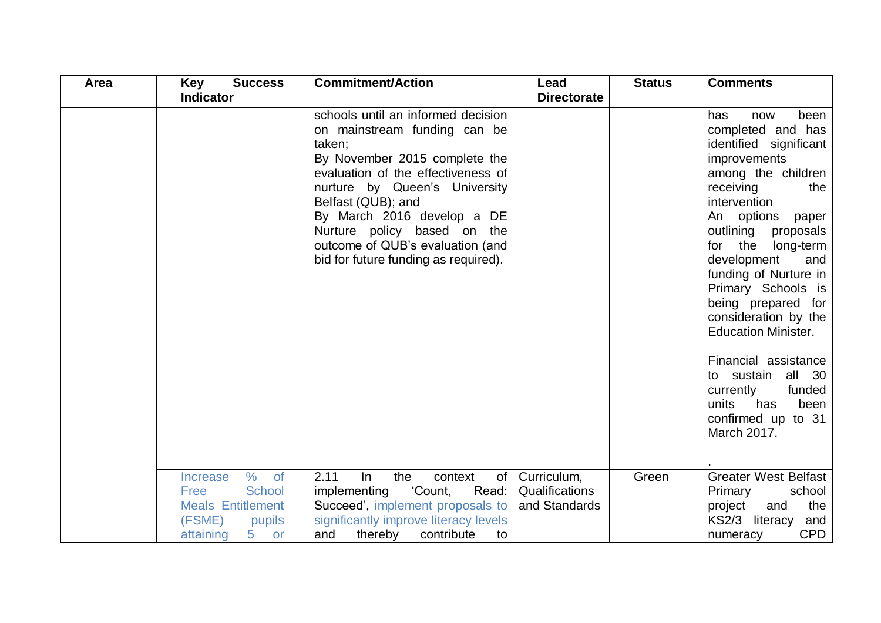| Area | <b>Success</b><br><b>Key</b>                                                                                                                       | <b>Commitment/Action</b>                                                                                                                                                                                                                                                                                                                            | Lead                                           | <b>Status</b> | <b>Comments</b>                                                                                                                                                                                                                                                                                                                                                                                                                                                                                              |
|------|----------------------------------------------------------------------------------------------------------------------------------------------------|-----------------------------------------------------------------------------------------------------------------------------------------------------------------------------------------------------------------------------------------------------------------------------------------------------------------------------------------------------|------------------------------------------------|---------------|--------------------------------------------------------------------------------------------------------------------------------------------------------------------------------------------------------------------------------------------------------------------------------------------------------------------------------------------------------------------------------------------------------------------------------------------------------------------------------------------------------------|
|      | <b>Indicator</b>                                                                                                                                   |                                                                                                                                                                                                                                                                                                                                                     | <b>Directorate</b>                             |               |                                                                                                                                                                                                                                                                                                                                                                                                                                                                                                              |
|      |                                                                                                                                                    | schools until an informed decision<br>on mainstream funding can be<br>taken;<br>By November 2015 complete the<br>evaluation of the effectiveness of<br>nurture by Queen's University<br>Belfast (QUB); and<br>By March 2016 develop a DE<br>Nurture policy based on the<br>outcome of QUB's evaluation (and<br>bid for future funding as required). |                                                |               | has<br>been<br>now<br>completed and has<br>identified significant<br>improvements<br>among the children<br>receiving<br>the<br>intervention<br>An options<br>paper<br>outlining<br>proposals<br>for the<br>long-term<br>development<br>and<br>funding of Nurture in<br>Primary Schools is<br>being prepared for<br>consideration by the<br><b>Education Minister.</b><br>Financial assistance<br>sustain<br>all 30<br>to<br>currently<br>funded<br>units<br>has<br>been<br>confirmed up to 31<br>March 2017. |
|      | $\%$<br><b>of</b><br><b>Increase</b><br><b>School</b><br>Free<br><b>Meals Entitlement</b><br>(FSME)<br>pupils<br>5 <sub>1</sub><br>attaining<br>or | 2.11<br>In<br>the<br>context<br>0f<br>'Count,<br>implementing<br>Read:<br>Succeed', implement proposals to<br>significantly improve literacy levels<br>and<br>thereby<br>contribute<br>to                                                                                                                                                           | Curriculum,<br>Qualifications<br>and Standards | Green         | <b>Greater West Belfast</b><br>Primary<br>school<br>the<br>project<br>and<br>KS2/3 literacy<br>and<br><b>CPD</b><br>numeracy                                                                                                                                                                                                                                                                                                                                                                                 |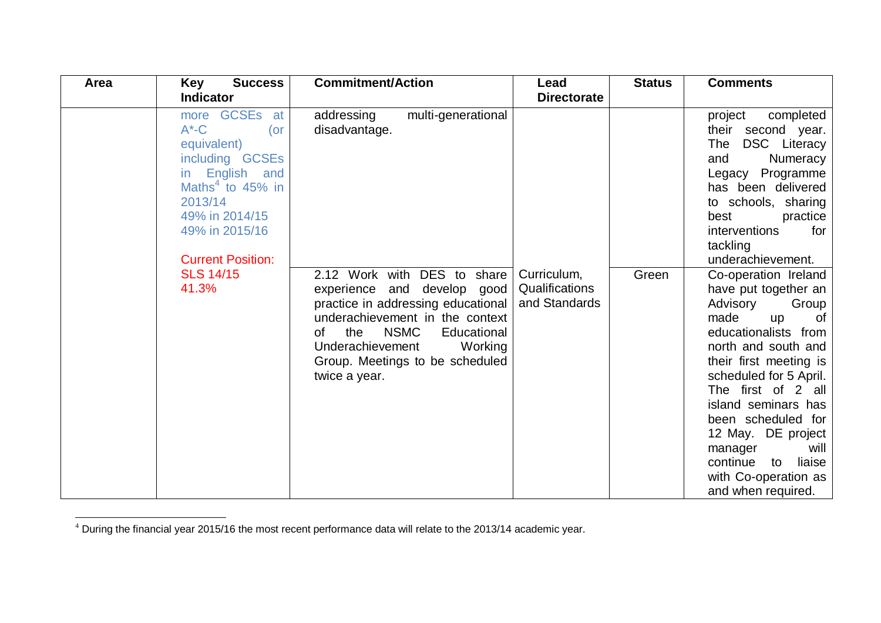| Area | <b>Success</b><br>Key                                                                                                                                                                                                           | <b>Commitment/Action</b>                                                                                                                                                                                                                                                                                               | Lead                                           | <b>Status</b> | <b>Comments</b>                                                                                                                                                                                                                                                                                                                                                                                                                                                                                                                                                                                                                 |
|------|---------------------------------------------------------------------------------------------------------------------------------------------------------------------------------------------------------------------------------|------------------------------------------------------------------------------------------------------------------------------------------------------------------------------------------------------------------------------------------------------------------------------------------------------------------------|------------------------------------------------|---------------|---------------------------------------------------------------------------------------------------------------------------------------------------------------------------------------------------------------------------------------------------------------------------------------------------------------------------------------------------------------------------------------------------------------------------------------------------------------------------------------------------------------------------------------------------------------------------------------------------------------------------------|
|      | <b>Indicator</b>                                                                                                                                                                                                                |                                                                                                                                                                                                                                                                                                                        | <b>Directorate</b>                             |               |                                                                                                                                                                                                                                                                                                                                                                                                                                                                                                                                                                                                                                 |
|      | more GCSEs at<br>$A^{\ast}$ -C<br>$($ or<br>equivalent)<br>including GCSEs<br>English and<br>in.<br>Maths $4$ to 45% in<br>2013/14<br>49% in 2014/15<br>49% in 2015/16<br><b>Current Position:</b><br><b>SLS 14/15</b><br>41.3% | addressing<br>multi-generational<br>disadvantage.<br>2.12 Work with DES to share<br>experience and develop good<br>practice in addressing educational<br>underachievement in the context<br><b>NSMC</b><br>Educational<br>the<br>0f<br>Underachievement<br>Working<br>Group. Meetings to be scheduled<br>twice a year. | Curriculum,<br>Qualifications<br>and Standards | Green         | completed<br>project<br>their second year.<br>DSC Literacy<br>The<br>Numeracy<br>and<br>Legacy Programme<br>has been delivered<br>to schools, sharing<br>best<br>practice<br><i>interventions</i><br>for<br>tackling<br>underachievement.<br>Co-operation Ireland<br>have put together an<br>Advisory<br>Group<br>made<br>0f<br><b>up</b><br>educationalists from<br>north and south and<br>their first meeting is<br>scheduled for 5 April.<br>The first of 2 all<br>island seminars has<br>been scheduled for<br>12 May. DE project<br>manager<br>will<br>continue to<br>liaise<br>with Co-operation as<br>and when required. |

 $4$  During the financial year 2015/16 the most recent performance data will relate to the 2013/14 academic year.

 $\overline{a}$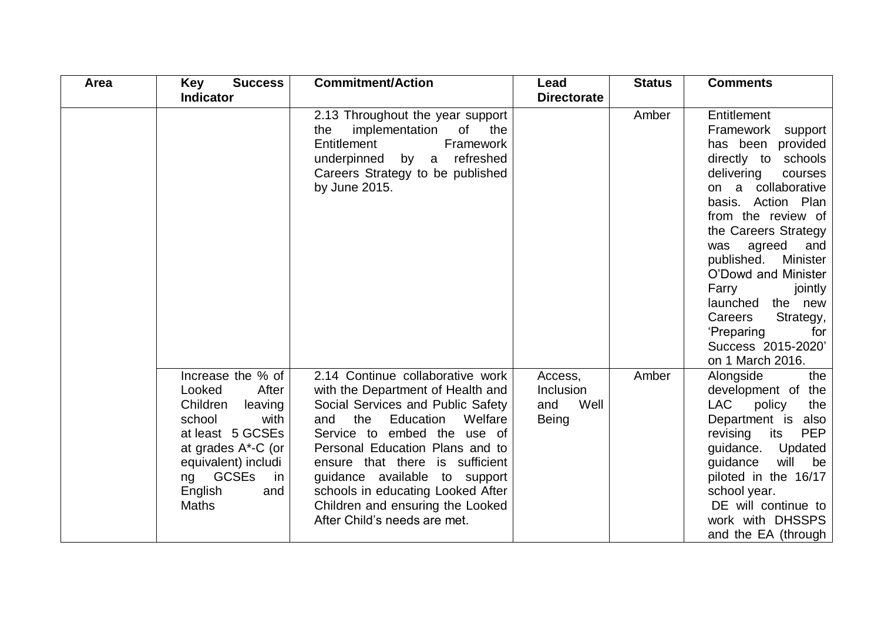| Area | <b>Key</b><br><b>Success</b>                                                                                                                                                                                 | <b>Commitment/Action</b>                                                                                                                                                                                                                                                                                                                                                                        | Lead                                         | <b>Status</b> | <b>Comments</b>                                                                                                                                                                                                                                                                                                                                                                                            |
|------|--------------------------------------------------------------------------------------------------------------------------------------------------------------------------------------------------------------|-------------------------------------------------------------------------------------------------------------------------------------------------------------------------------------------------------------------------------------------------------------------------------------------------------------------------------------------------------------------------------------------------|----------------------------------------------|---------------|------------------------------------------------------------------------------------------------------------------------------------------------------------------------------------------------------------------------------------------------------------------------------------------------------------------------------------------------------------------------------------------------------------|
|      | <b>Indicator</b>                                                                                                                                                                                             |                                                                                                                                                                                                                                                                                                                                                                                                 | <b>Directorate</b>                           |               |                                                                                                                                                                                                                                                                                                                                                                                                            |
|      |                                                                                                                                                                                                              | 2.13 Throughout the year support<br>implementation<br>of the<br>the<br>Entitlement<br>Framework<br>underpinned by a<br>refreshed<br>Careers Strategy to be published<br>by June 2015.                                                                                                                                                                                                           |                                              | Amber         | Entitlement<br>Framework<br>support<br>has been provided<br>directly to schools<br>delivering<br>courses<br>on a collaborative<br>basis. Action Plan<br>from the review of<br>the Careers Strategy<br>agreed<br>and<br>was<br>published.<br>Minister<br>O'Dowd and Minister<br>Farry<br>jointly<br>launched the new<br>Careers<br>Strategy,<br>'Preparing<br>for<br>Success 2015-2020'<br>on 1 March 2016. |
|      | Increase the % of<br>After<br>Looked<br>Children<br>leaving<br>school<br>with<br>at least 5 GCSEs<br>at grades A*-C (or<br>equivalent) includi<br><b>GCSEs</b><br>in<br>ng<br>English<br>and<br><b>Maths</b> | 2.14 Continue collaborative work<br>with the Department of Health and<br>Social Services and Public Safety<br>Education<br>and<br>the<br>Welfare<br>Service to embed the use of<br>Personal Education Plans and to<br>ensure that there is sufficient<br>guidance available to support<br>schools in educating Looked After<br>Children and ensuring the Looked<br>After Child's needs are met. | Access,<br>Inclusion<br>Well<br>and<br>Being | Amber         | Alongside<br>the<br>development of the<br>LAC<br>policy<br>the<br>Department is also<br><b>PEP</b><br>revising<br>its<br>guidance. Updated<br>guidance<br>will<br>be<br>piloted in the 16/17<br>school year.<br>DE will continue to<br>work with DHSSPS<br>and the EA (through                                                                                                                             |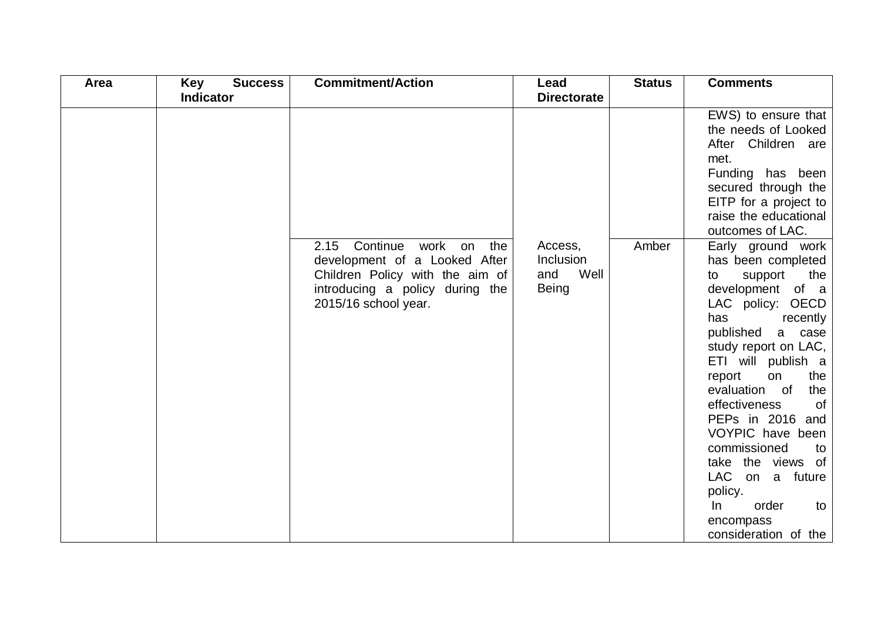| Area | Key<br><b>Success</b> | <b>Commitment/Action</b>                                                                                                                                       | Lead                                         | <b>Status</b> | <b>Comments</b>                                                                                                                                                                                                                                                                                                                                                                                                                                         |
|------|-----------------------|----------------------------------------------------------------------------------------------------------------------------------------------------------------|----------------------------------------------|---------------|---------------------------------------------------------------------------------------------------------------------------------------------------------------------------------------------------------------------------------------------------------------------------------------------------------------------------------------------------------------------------------------------------------------------------------------------------------|
|      | <b>Indicator</b>      |                                                                                                                                                                | <b>Directorate</b>                           |               |                                                                                                                                                                                                                                                                                                                                                                                                                                                         |
|      |                       |                                                                                                                                                                |                                              |               | EWS) to ensure that<br>the needs of Looked<br>After Children are<br>met.<br>Funding has been<br>secured through the<br>EITP for a project to<br>raise the educational<br>outcomes of LAC.                                                                                                                                                                                                                                                               |
|      |                       | Continue work on<br>2.15<br>the<br>development of a Looked After<br>Children Policy with the aim of<br>introducing a policy during the<br>2015/16 school year. | Access,<br>Inclusion<br>Well<br>and<br>Being | Amber         | Early ground work<br>has been completed<br>support<br>the<br>to<br>development of a<br>LAC policy: OECD<br>has<br>recently<br>published<br>a case<br>study report on LAC,<br>ETI will publish a<br>report<br>on<br>the<br>evaluation of<br>the<br>effectiveness<br><b>of</b><br>PEPs in 2016 and<br>VOYPIC have been<br>commissioned<br>to<br>take the views of<br>LAC on a future<br>policy.<br>order<br>In<br>to<br>encompass<br>consideration of the |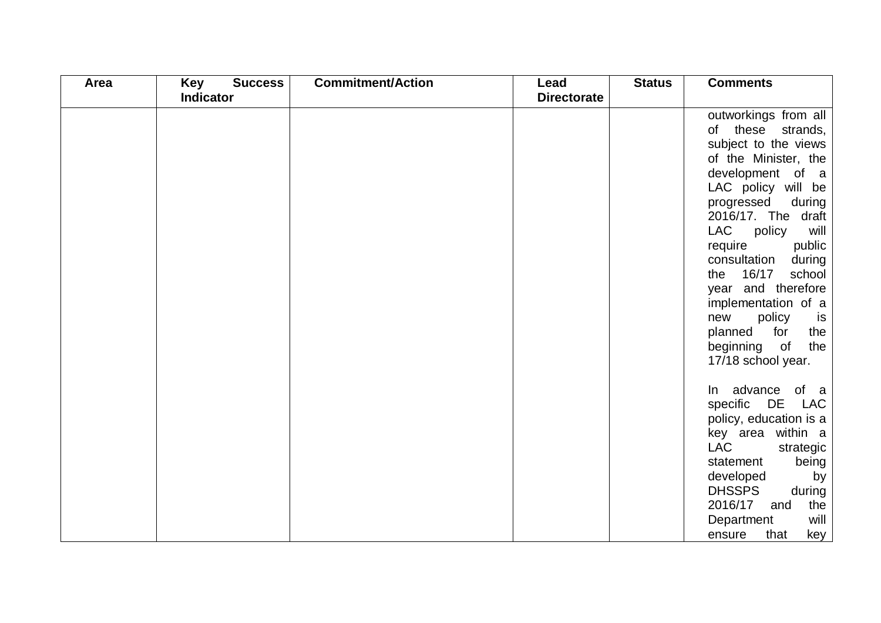| Area | Key<br><b>Success</b> | <b>Commitment/Action</b> | Lead               | <b>Status</b> | <b>Comments</b>                                                                                                                                                                                                                                                                                                                                                                                                            |
|------|-----------------------|--------------------------|--------------------|---------------|----------------------------------------------------------------------------------------------------------------------------------------------------------------------------------------------------------------------------------------------------------------------------------------------------------------------------------------------------------------------------------------------------------------------------|
|      | <b>Indicator</b>      |                          | <b>Directorate</b> |               |                                                                                                                                                                                                                                                                                                                                                                                                                            |
|      |                       |                          |                    |               | outworkings from all<br>of these strands,<br>subject to the views<br>of the Minister, the<br>development of a<br>LAC policy will be<br>progressed<br>during<br>2016/17. The draft<br>LAC<br>policy<br>will<br>require<br>public<br>consultation<br>during<br>the 16/17<br>school<br>year and therefore<br>implementation of a<br>new<br>policy<br>is<br>planned<br>for<br>the<br>beginning of<br>the<br>17/18 school year. |
|      |                       |                          |                    |               | In advance of a<br>specific DE LAC<br>policy, education is a<br>key area within a<br><b>LAC</b><br>strategic<br>statement<br>being<br>developed<br>by<br><b>DHSSPS</b><br>during<br>2016/17<br>the<br>and<br>Department<br>will<br>that<br>key<br>ensure                                                                                                                                                                   |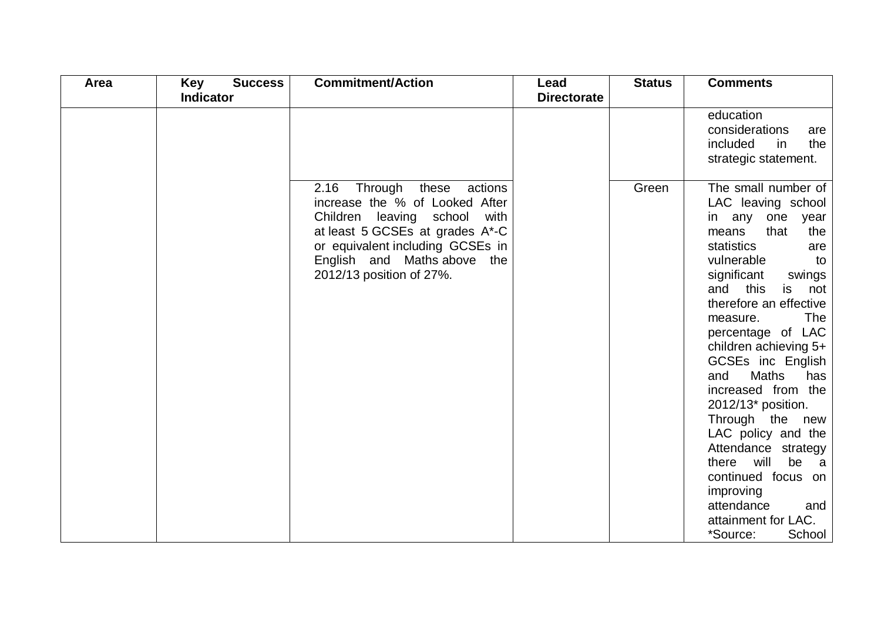| Area | <b>Success</b><br>Key | <b>Commitment/Action</b>                                                                                                                                                                                                                | Lead               | <b>Status</b> | <b>Comments</b>                                                                                                                                                                                                                                                                                                                                                                                                                                                                                                                                                                     |
|------|-----------------------|-----------------------------------------------------------------------------------------------------------------------------------------------------------------------------------------------------------------------------------------|--------------------|---------------|-------------------------------------------------------------------------------------------------------------------------------------------------------------------------------------------------------------------------------------------------------------------------------------------------------------------------------------------------------------------------------------------------------------------------------------------------------------------------------------------------------------------------------------------------------------------------------------|
|      | <b>Indicator</b>      |                                                                                                                                                                                                                                         | <b>Directorate</b> |               |                                                                                                                                                                                                                                                                                                                                                                                                                                                                                                                                                                                     |
|      |                       |                                                                                                                                                                                                                                         |                    |               | education<br>considerations<br>are<br>included<br>the<br>in<br>strategic statement.                                                                                                                                                                                                                                                                                                                                                                                                                                                                                                 |
|      |                       | 2.16<br>Through these<br>actions<br>increase the % of Looked After<br>Children leaving school<br>with<br>at least 5 GCSEs at grades A*-C<br>or equivalent including GCSEs in<br>English and Maths above the<br>2012/13 position of 27%. |                    | Green         | The small number of<br>LAC leaving school<br>in any one year<br>that<br>the<br>means<br>statistics<br>are<br>vulnerable<br>to<br>significant<br>swings<br>this<br>and<br>is<br>not<br>therefore an effective<br><b>The</b><br>measure.<br>percentage of LAC<br>children achieving 5+<br>GCSEs inc English<br>and<br><b>Maths</b><br>has<br>increased from the<br>2012/13* position.<br>Through the new<br>LAC policy and the<br>Attendance strategy<br>there will<br>be<br>a a<br>continued focus on<br>improving<br>attendance<br>and<br>attainment for LAC.<br>*Source:<br>School |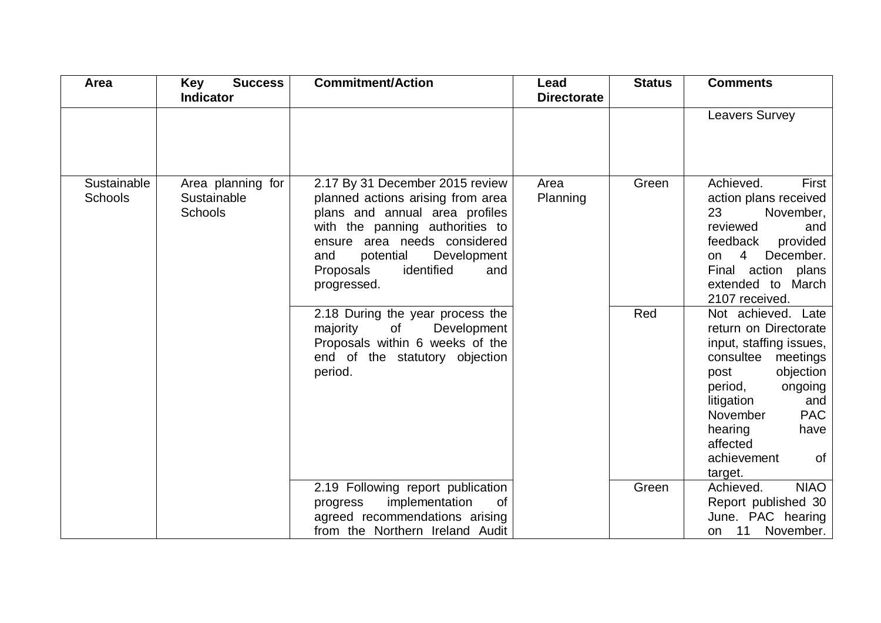| Area                          | <b>Success</b><br><b>Key</b><br><b>Indicator</b>   | <b>Commitment/Action</b>                                                                                                                                                                                                                                                                                                                                              | Lead<br><b>Directorate</b> | <b>Status</b> | <b>Comments</b>                                                                                                                                                                                                                                                                       |
|-------------------------------|----------------------------------------------------|-----------------------------------------------------------------------------------------------------------------------------------------------------------------------------------------------------------------------------------------------------------------------------------------------------------------------------------------------------------------------|----------------------------|---------------|---------------------------------------------------------------------------------------------------------------------------------------------------------------------------------------------------------------------------------------------------------------------------------------|
|                               |                                                    |                                                                                                                                                                                                                                                                                                                                                                       |                            |               | <b>Leavers Survey</b>                                                                                                                                                                                                                                                                 |
| Sustainable<br><b>Schools</b> | Area planning for<br>Sustainable<br><b>Schools</b> | 2.17 By 31 December 2015 review<br>planned actions arising from area<br>plans and annual area profiles<br>with the panning authorities to<br>ensure area needs considered<br>potential<br>and<br>Development<br>Proposals<br>identified<br>and<br>progressed.<br>2.18 During the year process the<br>of<br>majority<br>Development<br>Proposals within 6 weeks of the | Area<br>Planning           | Green<br>Red  | Achieved.<br>First<br>action plans received<br>23<br>November,<br>reviewed<br>and<br>feedback<br>provided<br>$\overline{4}$<br>December.<br>on<br>Final action plans<br>extended to March<br>2107 received.<br>Not achieved. Late<br>return on Directorate<br>input, staffing issues, |
|                               |                                                    | end of the statutory objection<br>period.                                                                                                                                                                                                                                                                                                                             |                            |               | consultee meetings<br>objection<br>post<br>period,<br>ongoing<br>litigation<br>and<br><b>PAC</b><br><b>November</b><br>hearing<br>have<br>affected<br>achievement<br>0f<br>target.                                                                                                    |
|                               |                                                    | 2.19 Following report publication<br>implementation<br><b>of</b><br>progress<br>agreed recommendations arising<br>from the Northern Ireland Audit                                                                                                                                                                                                                     |                            | Green         | Achieved.<br><b>NIAO</b><br>Report published 30<br>June. PAC hearing<br>11 November.<br>on                                                                                                                                                                                            |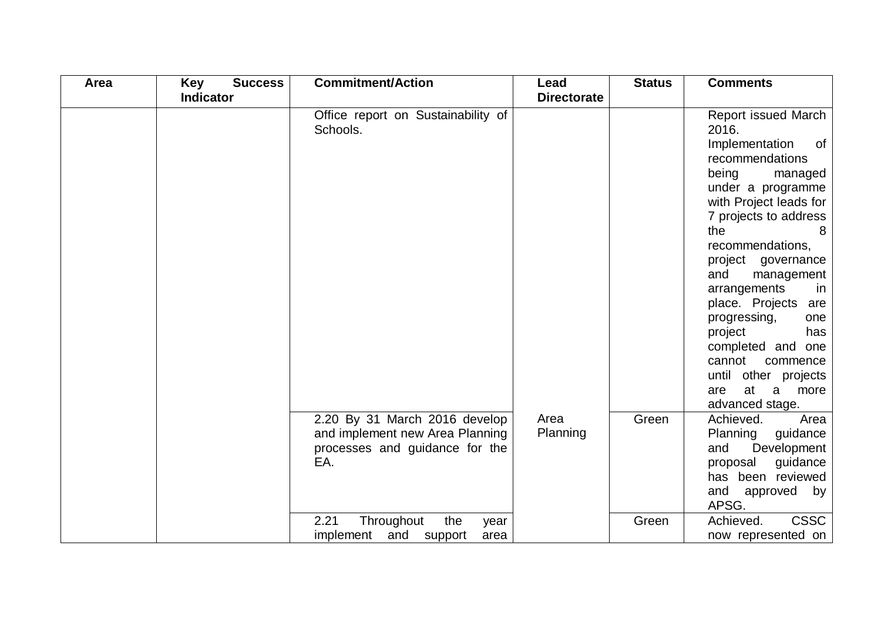| Area | <b>Key</b><br><b>Success</b> | <b>Commitment/Action</b>                                                                                  | Lead               | <b>Status</b> | <b>Comments</b>                                                                                                                                                                                                                                                                                                                                                                                                                                 |
|------|------------------------------|-----------------------------------------------------------------------------------------------------------|--------------------|---------------|-------------------------------------------------------------------------------------------------------------------------------------------------------------------------------------------------------------------------------------------------------------------------------------------------------------------------------------------------------------------------------------------------------------------------------------------------|
|      | <b>Indicator</b>             |                                                                                                           | <b>Directorate</b> |               |                                                                                                                                                                                                                                                                                                                                                                                                                                                 |
|      |                              | Office report on Sustainability of<br>Schools.                                                            |                    |               | Report issued March<br>2016.<br>Implementation<br>of<br>recommendations<br>being<br>managed<br>under a programme<br>with Project leads for<br>7 projects to address<br>the<br>recommendations,<br>project governance<br>and<br>management<br>arrangements<br>in<br>place. Projects are<br>progressing,<br>one<br>project<br>has<br>completed and one<br>cannot<br>commence<br>until other projects<br>at<br>more<br>are<br>a<br>advanced stage. |
|      |                              | 2.20 By 31 March 2016 develop<br>and implement new Area Planning<br>processes and guidance for the<br>EA. | Area<br>Planning   | Green         | Achieved.<br>Area<br>Planning<br>guidance<br>Development<br>and<br>guidance<br>proposal<br>has been reviewed<br>and<br>approved<br>by<br>APSG.                                                                                                                                                                                                                                                                                                  |
|      |                              | Throughout<br>2.21<br>the<br>year<br>implement and support<br>area                                        |                    | Green         | <b>CSSC</b><br>Achieved.<br>now represented on                                                                                                                                                                                                                                                                                                                                                                                                  |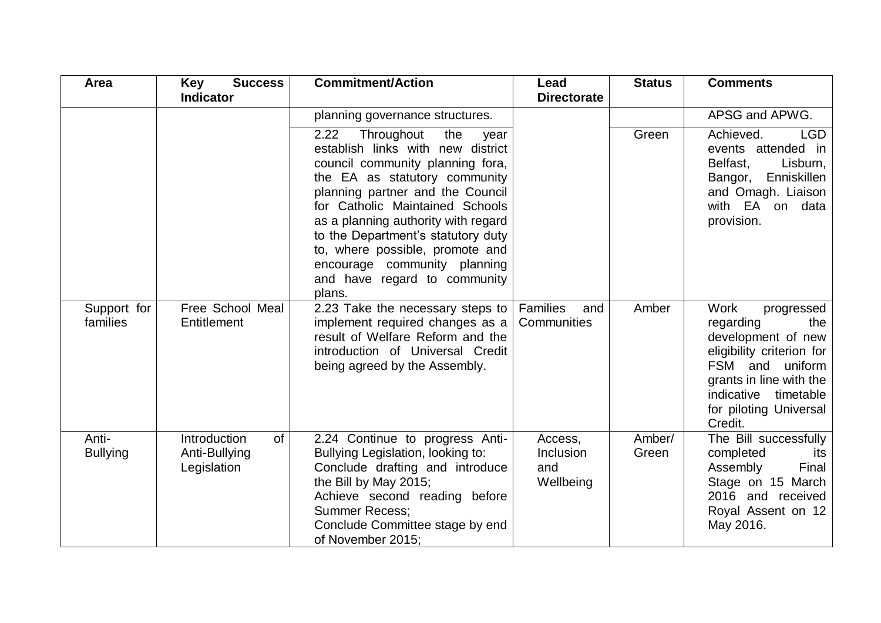| <b>Area</b>              | <b>Success</b><br><b>Key</b>                       | <b>Commitment/Action</b>                                                                                                                                                                                                                                                                                                                                                                                     | Lead                                     | <b>Status</b>   | <b>Comments</b>                                                                                                                                                                                                |
|--------------------------|----------------------------------------------------|--------------------------------------------------------------------------------------------------------------------------------------------------------------------------------------------------------------------------------------------------------------------------------------------------------------------------------------------------------------------------------------------------------------|------------------------------------------|-----------------|----------------------------------------------------------------------------------------------------------------------------------------------------------------------------------------------------------------|
|                          | <b>Indicator</b>                                   |                                                                                                                                                                                                                                                                                                                                                                                                              | <b>Directorate</b>                       |                 |                                                                                                                                                                                                                |
|                          |                                                    | planning governance structures.                                                                                                                                                                                                                                                                                                                                                                              |                                          |                 | APSG and APWG.                                                                                                                                                                                                 |
|                          |                                                    | 2.22<br>Throughout<br>the<br>year<br>establish links with new district<br>council community planning fora,<br>the EA as statutory community<br>planning partner and the Council<br>for Catholic Maintained Schools<br>as a planning authority with regard<br>to the Department's statutory duty<br>to, where possible, promote and<br>encourage community planning<br>and have regard to community<br>plans. |                                          | Green           | Achieved.<br><b>LGD</b><br>events attended in<br>Belfast,<br>Lisburn,<br>Enniskillen<br>Bangor,<br>and Omagh. Liaison<br>with EA on data<br>provision.                                                         |
| Support for<br>families  | Free School Meal<br>Entitlement                    | 2.23 Take the necessary steps to<br>implement required changes as a<br>result of Welfare Reform and the<br>introduction of Universal Credit<br>being agreed by the Assembly.                                                                                                                                                                                                                                 | Families<br>and<br>Communities           | Amber           | <b>Work</b><br>progressed<br>regarding<br>the<br>development of new<br>eligibility criterion for<br>FSM and<br>uniform<br>grants in line with the<br>indicative timetable<br>for piloting Universal<br>Credit. |
| Anti-<br><b>Bullying</b> | Introduction<br>of<br>Anti-Bullying<br>Legislation | 2.24 Continue to progress Anti-<br>Bullying Legislation, looking to:<br>Conclude drafting and introduce<br>the Bill by May 2015;<br>Achieve second reading before<br><b>Summer Recess:</b><br>Conclude Committee stage by end<br>of November 2015;                                                                                                                                                           | Access,<br>Inclusion<br>and<br>Wellbeing | Amber/<br>Green | The Bill successfully<br>completed<br>its<br>Assembly<br>Final<br>Stage on 15 March<br>2016 and received<br>Royal Assent on 12<br>May 2016.                                                                    |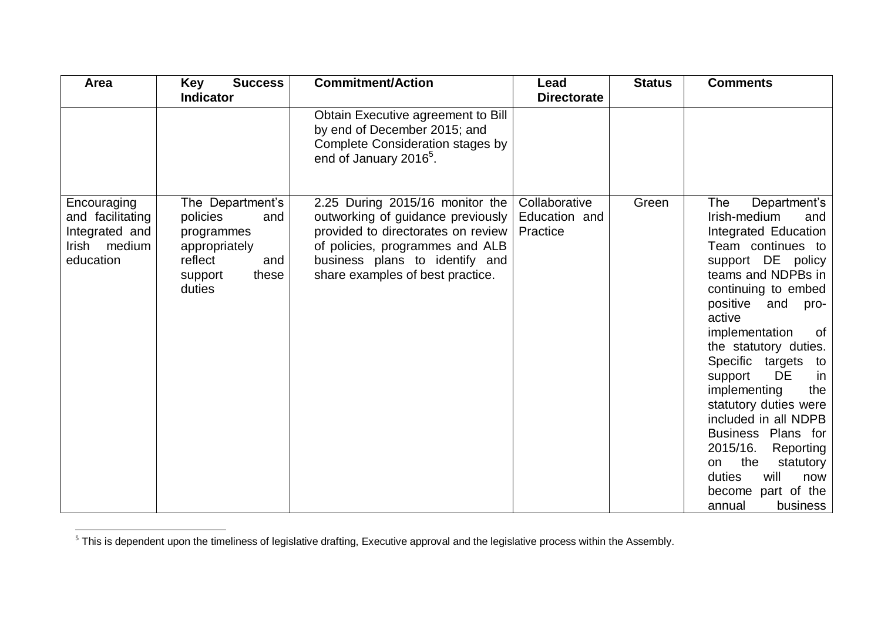| Area                                                                           | Key<br><b>Success</b><br><b>Indicator</b>                                                                          | <b>Commitment/Action</b>                                                                                                                                                                                            | Lead<br><b>Directorate</b>                 | <b>Status</b> | <b>Comments</b>                                                                                                                                                                                                                                                                                                                                                                                                                                                                                                                          |
|--------------------------------------------------------------------------------|--------------------------------------------------------------------------------------------------------------------|---------------------------------------------------------------------------------------------------------------------------------------------------------------------------------------------------------------------|--------------------------------------------|---------------|------------------------------------------------------------------------------------------------------------------------------------------------------------------------------------------------------------------------------------------------------------------------------------------------------------------------------------------------------------------------------------------------------------------------------------------------------------------------------------------------------------------------------------------|
|                                                                                |                                                                                                                    | Obtain Executive agreement to Bill<br>by end of December 2015; and<br><b>Complete Consideration stages by</b><br>end of January 2016 <sup>5</sup> .                                                                 |                                            |               |                                                                                                                                                                                                                                                                                                                                                                                                                                                                                                                                          |
| Encouraging<br>and facilitating<br>Integrated and<br>Irish medium<br>education | The Department's<br>policies<br>and<br>programmes<br>appropriately<br>reflect<br>and<br>these<br>support<br>duties | 2.25 During 2015/16 monitor the<br>outworking of guidance previously<br>provided to directorates on review<br>of policies, programmes and ALB<br>business plans to identify and<br>share examples of best practice. | Collaborative<br>Education and<br>Practice | Green         | The<br>Department's<br>Irish-medium<br>and<br>Integrated Education<br>Team continues to<br>support DE policy<br>teams and NDPBs in<br>continuing to embed<br>positive<br>and<br>pro-<br>active<br>implementation<br>0f<br>the statutory duties.<br>Specific targets<br>to<br><b>DE</b><br>support<br><sub>in</sub><br>implementing<br>the<br>statutory duties were<br>included in all NDPB<br>Business Plans for<br>2015/16.<br>Reporting<br>the<br>statutory<br>on<br>duties<br>will<br>now<br>become part of the<br>annual<br>business |

l  $5$  This is dependent upon the timeliness of legislative drafting, Executive approval and the legislative process within the Assembly.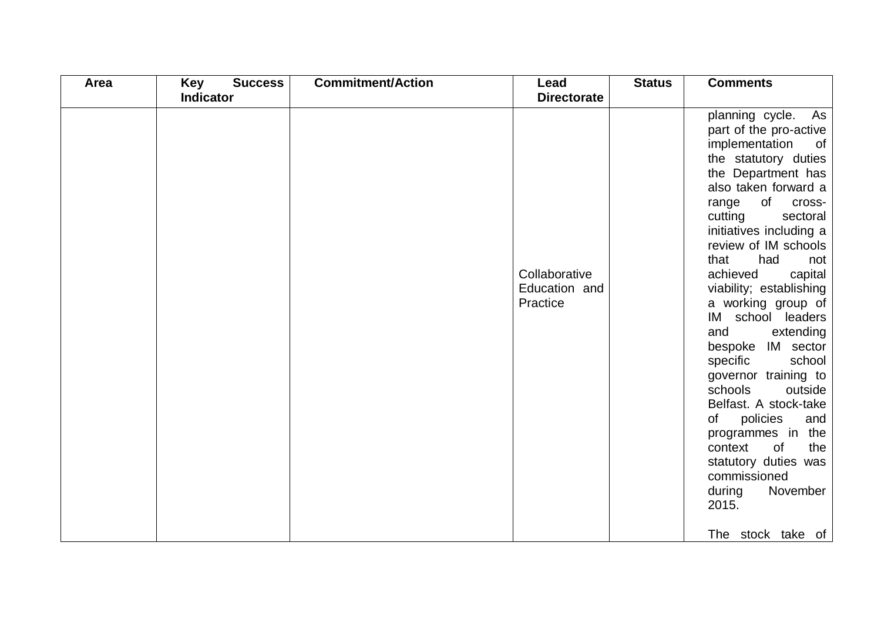| Area | <b>Success</b><br>Key | <b>Commitment/Action</b> | Lead                                       | <b>Status</b> | <b>Comments</b>                                                                                                                                                                                                                                                                                                                                                                                                                                                                                                                                                                                                                                        |
|------|-----------------------|--------------------------|--------------------------------------------|---------------|--------------------------------------------------------------------------------------------------------------------------------------------------------------------------------------------------------------------------------------------------------------------------------------------------------------------------------------------------------------------------------------------------------------------------------------------------------------------------------------------------------------------------------------------------------------------------------------------------------------------------------------------------------|
|      | <b>Indicator</b>      |                          | <b>Directorate</b>                         |               |                                                                                                                                                                                                                                                                                                                                                                                                                                                                                                                                                                                                                                                        |
|      |                       |                          | Collaborative<br>Education and<br>Practice |               | planning cycle.<br>As<br>part of the pro-active<br>implementation<br>of<br>the statutory duties<br>the Department has<br>also taken forward a<br>of<br>range<br>cross-<br>cutting<br>sectoral<br>initiatives including a<br>review of IM schools<br>that<br>had<br>not<br>achieved<br>capital<br>viability; establishing<br>a working group of<br>IM school leaders<br>and<br>extending<br>bespoke IM sector<br>specific<br>school<br>governor training to<br>schools<br>outside<br>Belfast. A stock-take<br>policies<br>of<br>and<br>programmes in the<br>context<br>of<br>the<br>statutory duties was<br>commissioned<br>November<br>during<br>2015. |
|      |                       |                          |                                            |               | The stock take of                                                                                                                                                                                                                                                                                                                                                                                                                                                                                                                                                                                                                                      |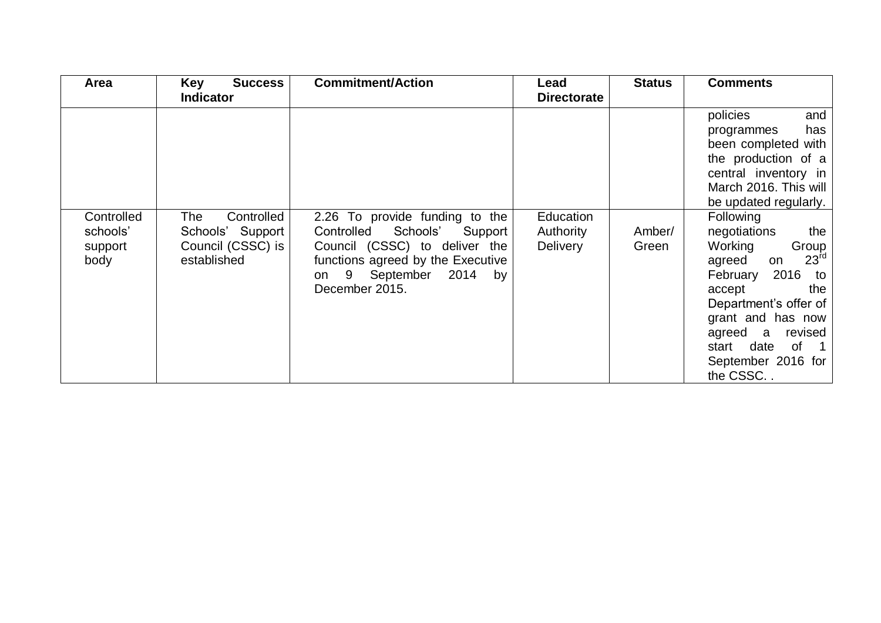| Area                                      | Key<br><b>Success</b>                                                                         | <b>Commitment/Action</b>                                                                                                                                                                    | Lead                                                            | <b>Status</b>   | <b>Comments</b>                                                                                                                                                                                                                                                                                                                                                                                                                         |
|-------------------------------------------|-----------------------------------------------------------------------------------------------|---------------------------------------------------------------------------------------------------------------------------------------------------------------------------------------------|-----------------------------------------------------------------|-----------------|-----------------------------------------------------------------------------------------------------------------------------------------------------------------------------------------------------------------------------------------------------------------------------------------------------------------------------------------------------------------------------------------------------------------------------------------|
| Controlled<br>schools'<br>support<br>body | <b>Indicator</b><br>Controlled<br>The<br>Schools' Support<br>Council (CSSC) is<br>established | 2.26 To provide funding to the<br>Controlled<br>Schools'<br>Support<br>Council (CSSC) to deliver the<br>functions agreed by the Executive<br>on 9 September<br>2014<br>by<br>December 2015. | <b>Directorate</b><br>Education<br>Authority<br><b>Delivery</b> | Amber/<br>Green | policies<br>and<br>has<br>programmes<br>been completed with<br>the production of a<br>central inventory in<br>March 2016. This will<br>be updated regularly.<br><b>Following</b><br>negotiations<br>the<br>Working<br>Group<br>23 <sup>rd</sup><br>agreed<br>on<br>2016 to<br>February<br>accept<br>the<br>Department's offer of<br>grant and has now<br>agreed a<br>revised<br>of 1<br>date<br>start<br>September 2016 for<br>the CSSC |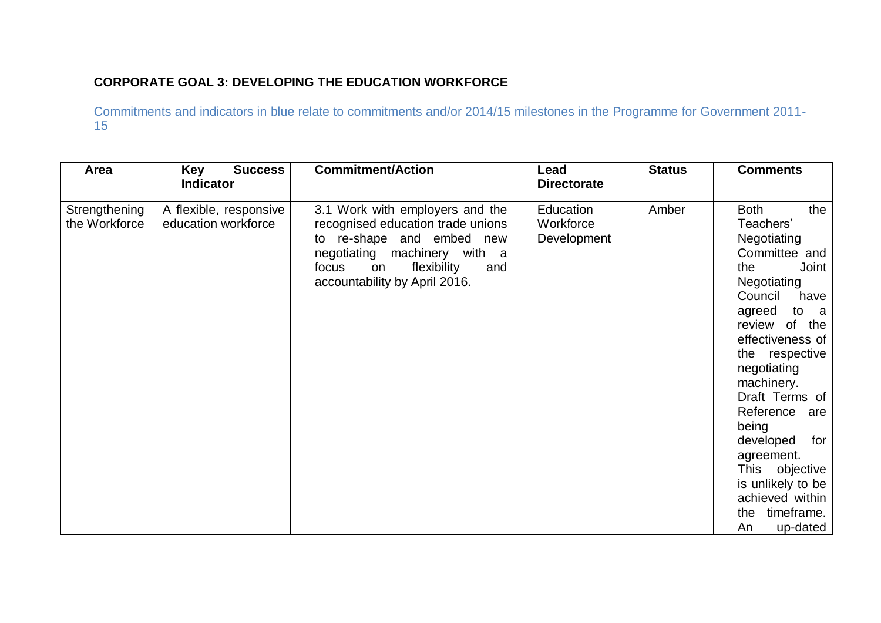## **CORPORATE GOAL 3: DEVELOPING THE EDUCATION WORKFORCE**

| Area                           | <b>Success</b><br><b>Key</b><br><b>Indicator</b> | <b>Commitment/Action</b>                                                                                                                                                                                   | Lead<br><b>Directorate</b>            | <b>Status</b> | <b>Comments</b>                                                                                                                                                                                                                                                                                                                                                                                              |
|--------------------------------|--------------------------------------------------|------------------------------------------------------------------------------------------------------------------------------------------------------------------------------------------------------------|---------------------------------------|---------------|--------------------------------------------------------------------------------------------------------------------------------------------------------------------------------------------------------------------------------------------------------------------------------------------------------------------------------------------------------------------------------------------------------------|
| Strengthening<br>the Workforce | A flexible, responsive<br>education workforce    | 3.1 Work with employers and the<br>recognised education trade unions<br>to re-shape and embed<br>new<br>negotiating machinery with a<br>flexibility<br>focus<br>on<br>and<br>accountability by April 2016. | Education<br>Workforce<br>Development | Amber         | <b>Both</b><br>the<br>Teachers'<br>Negotiating<br>Committee and<br>the<br>Joint<br>Negotiating<br>Council<br>have<br>to a<br>agreed<br>review of<br>the<br>effectiveness of<br>the respective<br>negotiating<br>machinery.<br>Draft Terms of<br>Reference<br>are<br>being<br>developed<br>for<br>agreement.<br>This objective<br>is unlikely to be<br>achieved within<br>timeframe.<br>the<br>up-dated<br>An |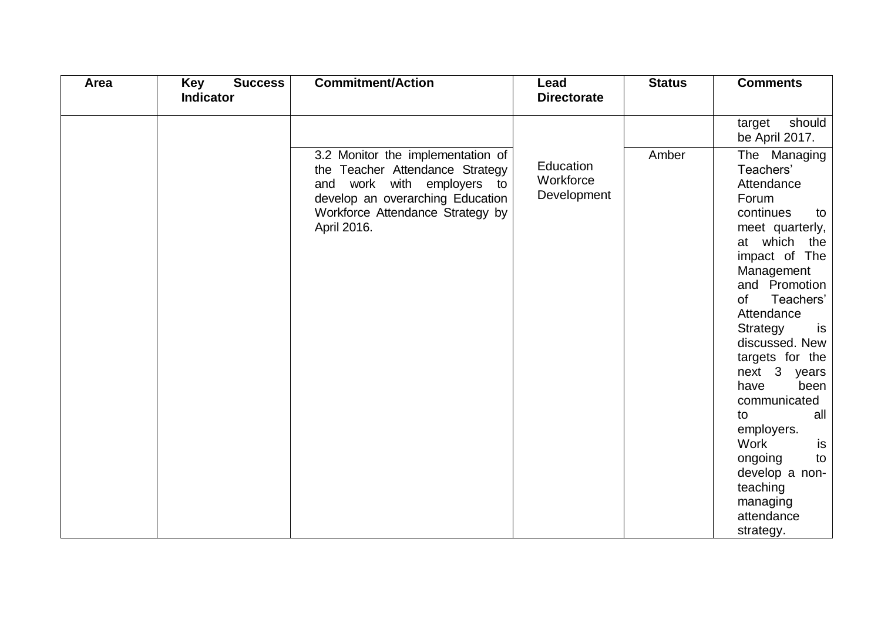| Area | <b>Success</b><br><b>Key</b> | <b>Commitment/Action</b>                                                                                                                                                                  | Lead                                  | <b>Status</b> | <b>Comments</b>                                                                                                                                                                                                                                                                                                                                                                                                               |
|------|------------------------------|-------------------------------------------------------------------------------------------------------------------------------------------------------------------------------------------|---------------------------------------|---------------|-------------------------------------------------------------------------------------------------------------------------------------------------------------------------------------------------------------------------------------------------------------------------------------------------------------------------------------------------------------------------------------------------------------------------------|
|      | <b>Indicator</b>             |                                                                                                                                                                                           | <b>Directorate</b>                    |               |                                                                                                                                                                                                                                                                                                                                                                                                                               |
|      |                              |                                                                                                                                                                                           |                                       |               | should<br>target<br>be April 2017.                                                                                                                                                                                                                                                                                                                                                                                            |
|      |                              | 3.2 Monitor the implementation of<br>the Teacher Attendance Strategy<br>and work with employers to<br>develop an overarching Education<br>Workforce Attendance Strategy by<br>April 2016. | Education<br>Workforce<br>Development | Amber         | The Managing<br>Teachers'<br>Attendance<br>Forum<br>continues<br>to<br>meet quarterly,<br>at which the<br>impact of The<br>Management<br>and Promotion<br>of<br>Teachers'<br>Attendance<br>Strategy<br>is<br>discussed. New<br>targets for the<br>next 3 years<br>have<br>been<br>communicated<br>all<br>to<br>employers.<br>Work<br>is<br>ongoing<br>to<br>develop a non-<br>teaching<br>managing<br>attendance<br>strategy. |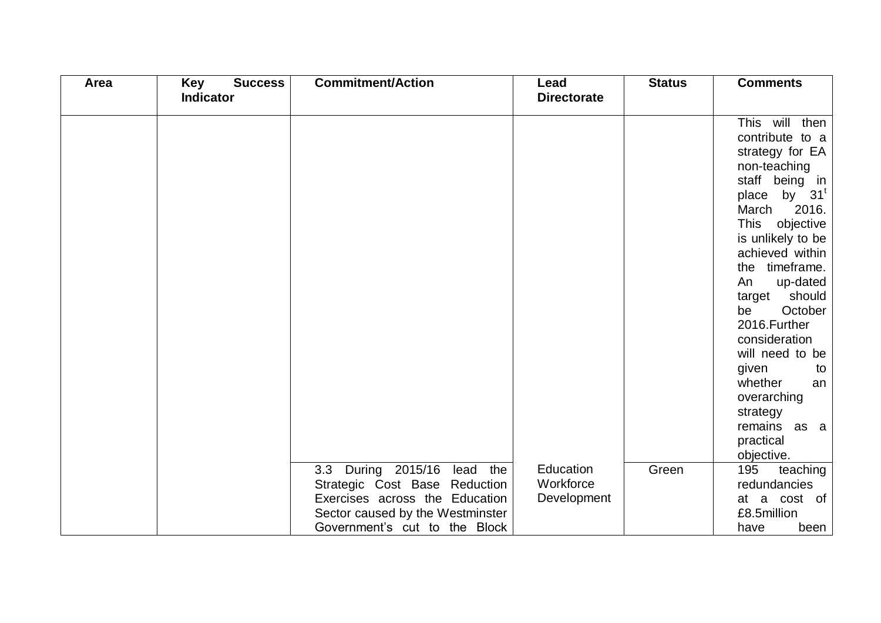| Area | Key<br><b>Success</b> | <b>Commitment/Action</b>         | Lead               | <b>Status</b> | <b>Comments</b>          |
|------|-----------------------|----------------------------------|--------------------|---------------|--------------------------|
|      | <b>Indicator</b>      |                                  | <b>Directorate</b> |               |                          |
|      |                       |                                  |                    |               |                          |
|      |                       |                                  |                    |               | This will then           |
|      |                       |                                  |                    |               | contribute to a          |
|      |                       |                                  |                    |               | strategy for EA          |
|      |                       |                                  |                    |               | non-teaching             |
|      |                       |                                  |                    |               | staff being in           |
|      |                       |                                  |                    |               | place by 31 <sup>t</sup> |
|      |                       |                                  |                    |               | March<br>2016.           |
|      |                       |                                  |                    |               | This objective           |
|      |                       |                                  |                    |               | is unlikely to be        |
|      |                       |                                  |                    |               | achieved within          |
|      |                       |                                  |                    |               | the timeframe.           |
|      |                       |                                  |                    |               | up-dated<br>An           |
|      |                       |                                  |                    |               | should<br>target         |
|      |                       |                                  |                    |               | October<br>be            |
|      |                       |                                  |                    |               | 2016. Further            |
|      |                       |                                  |                    |               | consideration            |
|      |                       |                                  |                    |               | will need to be          |
|      |                       |                                  |                    |               | given<br>to              |
|      |                       |                                  |                    |               | whether<br>an            |
|      |                       |                                  |                    |               | overarching              |
|      |                       |                                  |                    |               | strategy                 |
|      |                       |                                  |                    |               | remains as a             |
|      |                       |                                  |                    |               | practical                |
|      |                       |                                  |                    |               | objective.               |
|      |                       | 3.3 During 2015/16<br>lead the   | Education          | Green         | 195<br>teaching          |
|      |                       | Strategic Cost Base Reduction    | Workforce          |               | redundancies             |
|      |                       | Exercises across the Education   | Development        |               | at a cost of             |
|      |                       | Sector caused by the Westminster |                    |               | £8.5million              |
|      |                       | Government's cut to the Block    |                    |               | have<br>been             |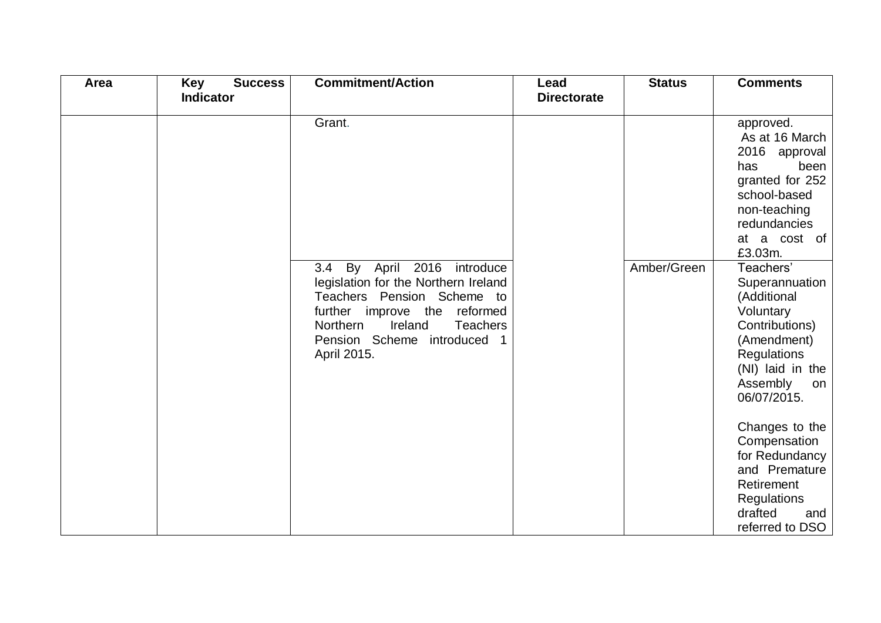| Area | <b>Key</b><br><b>Success</b> | <b>Commitment/Action</b>                                                                                                                                                                                                           | Lead               | <b>Status</b> | <b>Comments</b>                                                                                                                                                         |
|------|------------------------------|------------------------------------------------------------------------------------------------------------------------------------------------------------------------------------------------------------------------------------|--------------------|---------------|-------------------------------------------------------------------------------------------------------------------------------------------------------------------------|
|      | <b>Indicator</b>             |                                                                                                                                                                                                                                    | <b>Directorate</b> |               |                                                                                                                                                                         |
|      |                              | Grant.                                                                                                                                                                                                                             |                    |               | approved.<br>As at 16 March<br>2016 approval<br>been<br>has<br>granted for 252<br>school-based<br>non-teaching<br>redundancies<br>at a cost of                          |
|      |                              | By April 2016 introduce<br>3.4<br>legislation for the Northern Ireland<br>Teachers Pension Scheme to<br>further<br>improve the<br>reformed<br>Ireland<br>Northern<br><b>Teachers</b><br>Pension Scheme introduced 1<br>April 2015. |                    | Amber/Green   | £3.03m.<br>Teachers'<br>Superannuation<br>(Additional<br>Voluntary<br>Contributions)<br>(Amendment)<br>Regulations<br>(NI) laid in the<br>Assembly<br>on<br>06/07/2015. |
|      |                              |                                                                                                                                                                                                                                    |                    |               | Changes to the<br>Compensation<br>for Redundancy<br>and Premature<br>Retirement<br>Regulations<br>drafted<br>and<br>referred to DSO                                     |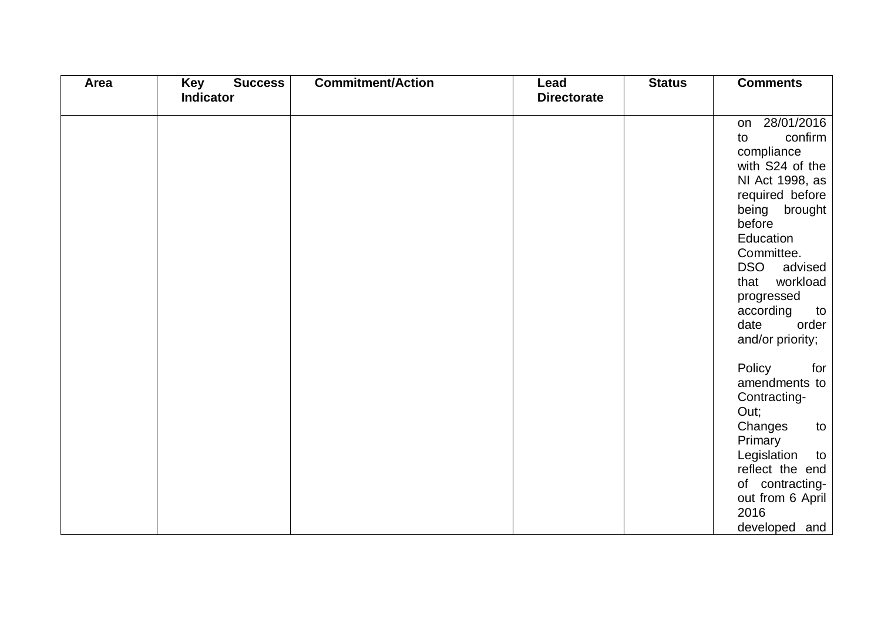| Area | Key<br><b>Success</b> | <b>Commitment/Action</b> | Lead               | <b>Status</b> | <b>Comments</b>                  |
|------|-----------------------|--------------------------|--------------------|---------------|----------------------------------|
|      | Indicator             |                          | <b>Directorate</b> |               |                                  |
|      |                       |                          |                    |               | 28/01/2016<br>on                 |
|      |                       |                          |                    |               | confirm<br>to                    |
|      |                       |                          |                    |               | compliance                       |
|      |                       |                          |                    |               | with S24 of the                  |
|      |                       |                          |                    |               | NI Act 1998, as                  |
|      |                       |                          |                    |               | required before                  |
|      |                       |                          |                    |               | being brought                    |
|      |                       |                          |                    |               | before                           |
|      |                       |                          |                    |               | Education                        |
|      |                       |                          |                    |               | Committee.                       |
|      |                       |                          |                    |               | <b>DSO</b><br>advised            |
|      |                       |                          |                    |               | workload<br>that                 |
|      |                       |                          |                    |               | progressed                       |
|      |                       |                          |                    |               | according<br>to<br>date<br>order |
|      |                       |                          |                    |               | and/or priority;                 |
|      |                       |                          |                    |               |                                  |
|      |                       |                          |                    |               | Policy<br>for                    |
|      |                       |                          |                    |               | amendments to                    |
|      |                       |                          |                    |               | Contracting-                     |
|      |                       |                          |                    |               | Out;                             |
|      |                       |                          |                    |               | Changes<br>to                    |
|      |                       |                          |                    |               | Primary                          |
|      |                       |                          |                    |               | Legislation<br>to                |
|      |                       |                          |                    |               | reflect the end                  |
|      |                       |                          |                    |               | of contracting-                  |
|      |                       |                          |                    |               | out from 6 April                 |
|      |                       |                          |                    |               | 2016                             |
|      |                       |                          |                    |               | developed and                    |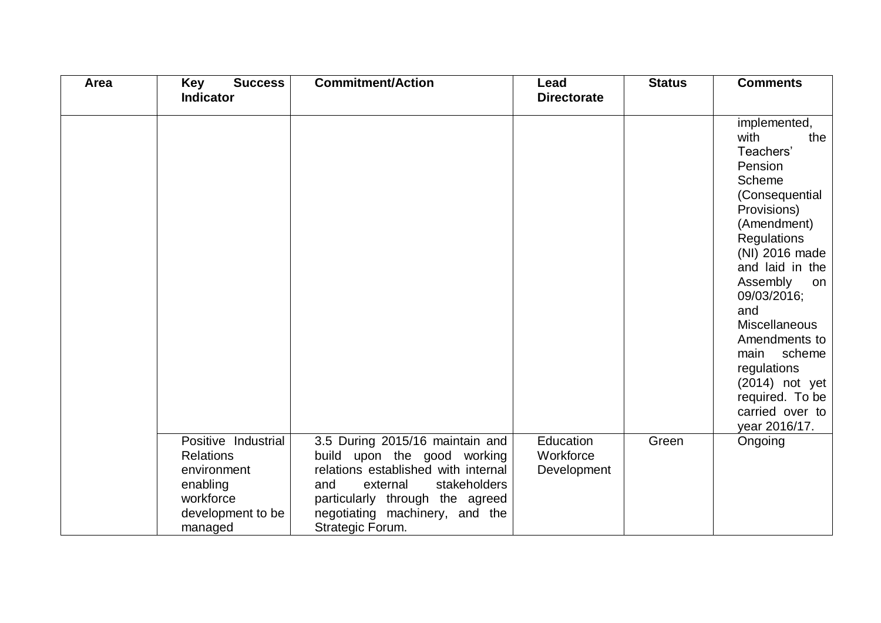| Area | <b>Key</b><br><b>Success</b>                                                                                    | <b>Commitment/Action</b>                                                                                                                                                                                                          | Lead                                  | <b>Status</b> | <b>Comments</b>                                                                                                                                                                                                                                                                                                                                                |
|------|-----------------------------------------------------------------------------------------------------------------|-----------------------------------------------------------------------------------------------------------------------------------------------------------------------------------------------------------------------------------|---------------------------------------|---------------|----------------------------------------------------------------------------------------------------------------------------------------------------------------------------------------------------------------------------------------------------------------------------------------------------------------------------------------------------------------|
|      | <b>Indicator</b>                                                                                                |                                                                                                                                                                                                                                   | <b>Directorate</b>                    |               |                                                                                                                                                                                                                                                                                                                                                                |
|      |                                                                                                                 |                                                                                                                                                                                                                                   |                                       |               | implemented,<br>with<br>the<br>Teachers'<br>Pension<br>Scheme<br>(Consequential<br>Provisions)<br>(Amendment)<br>Regulations<br>(NI) 2016 made<br>and laid in the<br>Assembly<br>on<br>09/03/2016;<br>and<br><b>Miscellaneous</b><br>Amendments to<br>scheme<br>main<br>regulations<br>$(2014)$ not yet<br>required. To be<br>carried over to<br>year 2016/17. |
|      | Positive Industrial<br><b>Relations</b><br>environment<br>enabling<br>workforce<br>development to be<br>managed | 3.5 During 2015/16 maintain and<br>build upon the good working<br>relations established with internal<br>stakeholders<br>and<br>external<br>particularly through the agreed<br>negotiating machinery, and the<br>Strategic Forum. | Education<br>Workforce<br>Development | Green         | Ongoing                                                                                                                                                                                                                                                                                                                                                        |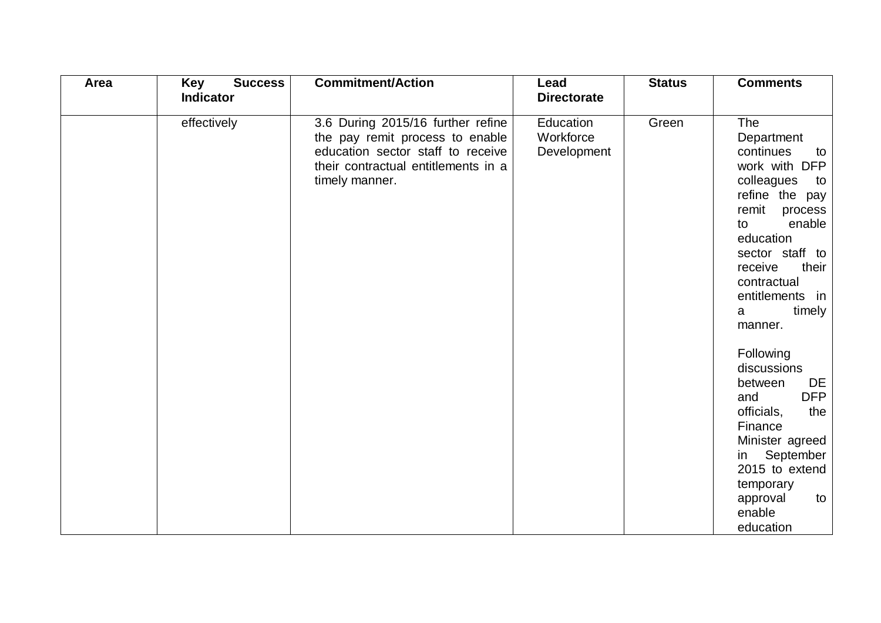| Area | <b>Success</b><br>Key | <b>Commitment/Action</b>                                                                                                                                           | Lead                                  | <b>Status</b> | <b>Comments</b>                                                                                                                                                                                                                                        |
|------|-----------------------|--------------------------------------------------------------------------------------------------------------------------------------------------------------------|---------------------------------------|---------------|--------------------------------------------------------------------------------------------------------------------------------------------------------------------------------------------------------------------------------------------------------|
|      | <b>Indicator</b>      |                                                                                                                                                                    | <b>Directorate</b>                    |               |                                                                                                                                                                                                                                                        |
|      | effectively           | 3.6 During 2015/16 further refine<br>the pay remit process to enable<br>education sector staff to receive<br>their contractual entitlements in a<br>timely manner. | Education<br>Workforce<br>Development | Green         | <b>The</b><br>Department<br>continues<br>to<br>work with DFP<br>colleagues<br>to<br>refine the pay<br>remit<br>process<br>enable<br>to<br>education<br>sector staff to<br>their<br>receive<br>contractual<br>entitlements in<br>timely<br>a<br>manner. |
|      |                       |                                                                                                                                                                    |                                       |               | Following<br>discussions<br>between<br>DE<br><b>DFP</b><br>and<br>officials,<br>the<br>Finance<br>Minister agreed<br>September<br>in<br>2015 to extend<br>temporary<br>approval<br>to<br>enable<br>education                                           |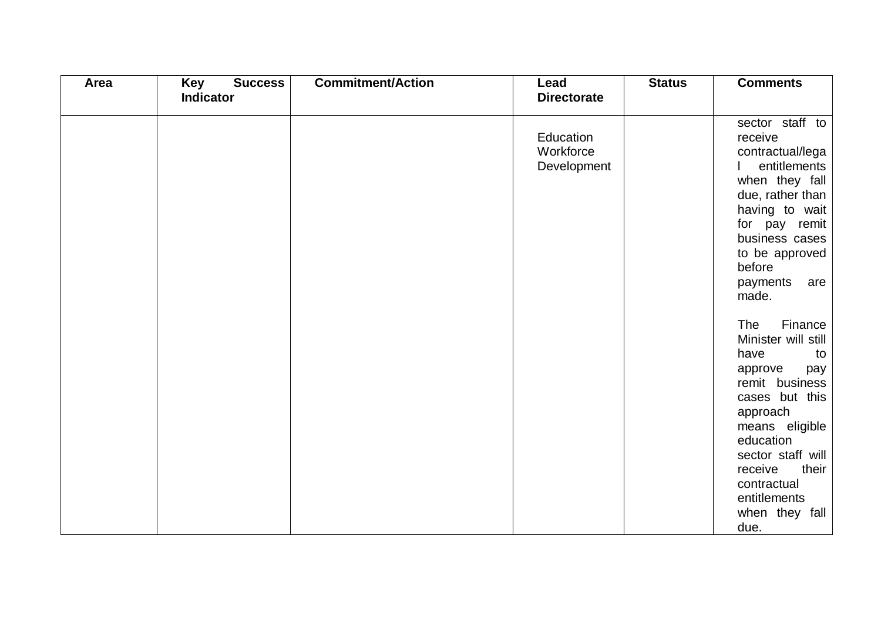| Area | <b>Success</b><br>Key | <b>Commitment/Action</b> | Lead                                  | <b>Status</b> | <b>Comments</b>                                                                                                                                                                                                                                                        |
|------|-----------------------|--------------------------|---------------------------------------|---------------|------------------------------------------------------------------------------------------------------------------------------------------------------------------------------------------------------------------------------------------------------------------------|
|      | <b>Indicator</b>      |                          | <b>Directorate</b>                    |               |                                                                                                                                                                                                                                                                        |
|      |                       |                          | Education<br>Workforce<br>Development |               | sector staff to<br>receive<br>contractual/lega<br>entitlements<br>when they fall<br>due, rather than<br>having to wait<br>for pay remit<br>business cases<br>to be approved<br>before<br>payments<br>are                                                               |
|      |                       |                          |                                       |               | made.<br>Finance<br><b>The</b><br>Minister will still<br>have<br>to<br>approve<br>pay<br>remit business<br>cases but this<br>approach<br>means eligible<br>education<br>sector staff will<br>their<br>receive<br>contractual<br>entitlements<br>when they fall<br>due. |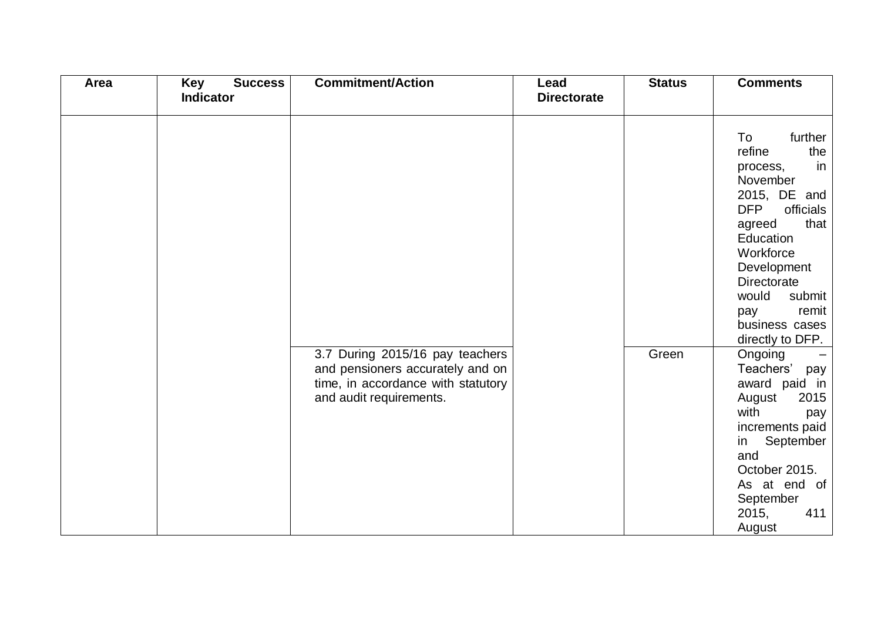| <b>Area</b> | Key<br><b>Success</b><br><b>Indicator</b> | <b>Commitment/Action</b>                                                                                                             | Lead<br><b>Directorate</b> | <b>Status</b> | <b>Comments</b>                                                                                                                                                                                                                                                   |
|-------------|-------------------------------------------|--------------------------------------------------------------------------------------------------------------------------------------|----------------------------|---------------|-------------------------------------------------------------------------------------------------------------------------------------------------------------------------------------------------------------------------------------------------------------------|
|             |                                           |                                                                                                                                      |                            |               |                                                                                                                                                                                                                                                                   |
|             |                                           |                                                                                                                                      |                            |               | further<br>To<br>refine<br>the<br>in<br>process,<br>November<br>2015, DE and<br><b>DFP</b><br>officials<br>that<br>agreed<br>Education<br>Workforce<br>Development<br><b>Directorate</b><br>would<br>submit<br>remit<br>pay<br>business cases<br>directly to DFP. |
|             |                                           | 3.7 During 2015/16 pay teachers<br>and pensioners accurately and on<br>time, in accordance with statutory<br>and audit requirements. |                            | Green         | Ongoing<br>Teachers'<br>pay<br>award paid in<br>August<br>2015<br>with<br>pay<br>increments paid<br>September<br>in<br>and<br>October 2015.<br>As at end of<br>September<br>2015,<br>411<br>August                                                                |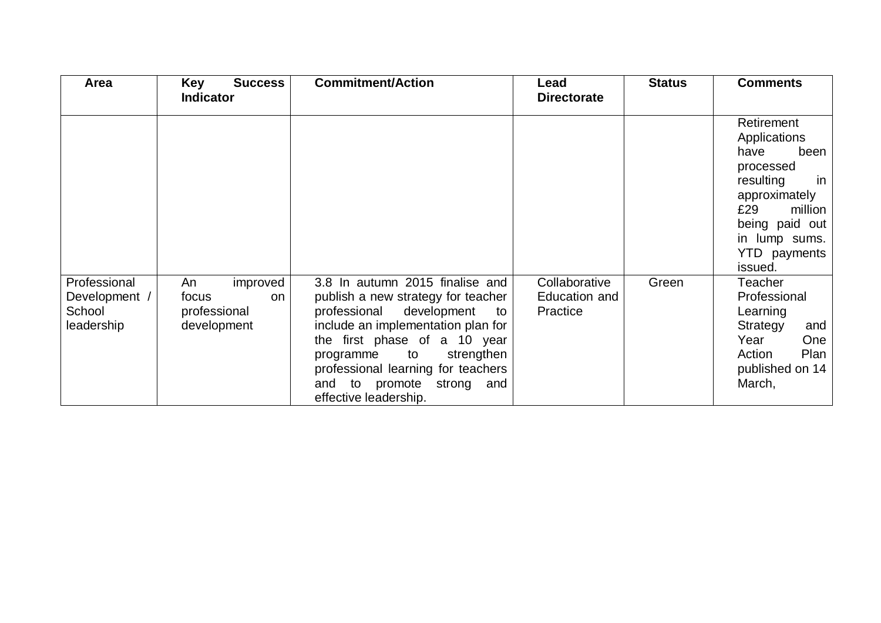| Area                                                  | <b>Key</b><br><b>Success</b><br><b>Indicator</b>             | <b>Commitment/Action</b>                                                                                                                                                                                                                                                                                   | Lead<br><b>Directorate</b>                 | <b>Status</b> | <b>Comments</b>                                                                                                                                                                    |
|-------------------------------------------------------|--------------------------------------------------------------|------------------------------------------------------------------------------------------------------------------------------------------------------------------------------------------------------------------------------------------------------------------------------------------------------------|--------------------------------------------|---------------|------------------------------------------------------------------------------------------------------------------------------------------------------------------------------------|
|                                                       |                                                              |                                                                                                                                                                                                                                                                                                            |                                            |               | Retirement<br>Applications<br>have<br>been<br>processed<br>resulting<br>in<br>approximately<br>£29<br>million<br>being paid out<br>in lump sums.<br><b>YTD</b> payments<br>issued. |
| Professional<br>Development /<br>School<br>leadership | improved<br>An<br>focus<br>on<br>professional<br>development | 3.8 In autumn 2015 finalise and<br>publish a new strategy for teacher<br>professional<br>development<br>to<br>include an implementation plan for<br>the first phase of a 10 year<br>programme to<br>strengthen<br>professional learning for teachers<br>and to promote strong and<br>effective leadership. | Collaborative<br>Education and<br>Practice | Green         | Teacher<br>Professional<br>Learning<br>Strategy<br>and<br>Year<br>One<br>Plan<br>Action<br>published on 14<br>March,                                                               |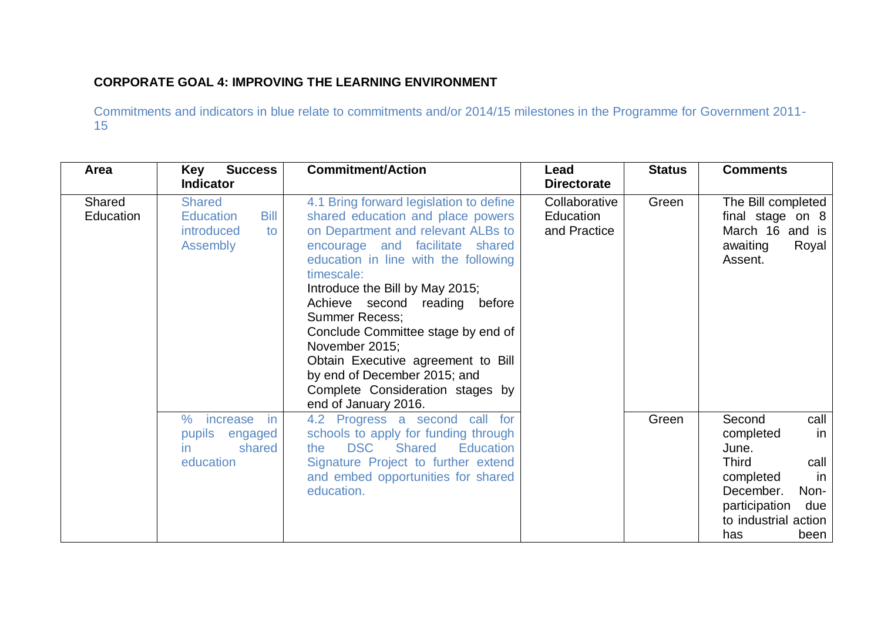## **CORPORATE GOAL 4: IMPROVING THE LEARNING ENVIRONMENT**

| Area                | <b>Success</b><br>Key<br><b>Indicator</b>                                        | <b>Commitment/Action</b>                                                                                                                                                                                                                                                                                                                                                                                                                                                                           | Lead<br><b>Directorate</b>                 | <b>Status</b> | <b>Comments</b>                                                                                                                                                           |
|---------------------|----------------------------------------------------------------------------------|----------------------------------------------------------------------------------------------------------------------------------------------------------------------------------------------------------------------------------------------------------------------------------------------------------------------------------------------------------------------------------------------------------------------------------------------------------------------------------------------------|--------------------------------------------|---------------|---------------------------------------------------------------------------------------------------------------------------------------------------------------------------|
| Shared<br>Education | <b>Shared</b><br><b>Bill</b><br><b>Education</b><br>introduced<br>to<br>Assembly | 4.1 Bring forward legislation to define<br>shared education and place powers<br>on Department and relevant ALBs to<br>encourage and facilitate shared<br>education in line with the following<br>timescale:<br>Introduce the Bill by May 2015;<br>Achieve second reading before<br><b>Summer Recess:</b><br>Conclude Committee stage by end of<br>November 2015;<br>Obtain Executive agreement to Bill<br>by end of December 2015; and<br>Complete Consideration stages by<br>end of January 2016. | Collaborative<br>Education<br>and Practice | Green         | The Bill completed<br>final stage on 8<br>March 16 and is<br>awaiting<br>Royal<br>Assent.                                                                                 |
|                     | $\%$<br>increase<br>-in<br>pupils engaged<br>shared<br>in.<br>education          | 4.2 Progress a second call for<br>schools to apply for funding through<br><b>DSC</b><br><b>Shared</b><br><b>Education</b><br>the<br>Signature Project to further extend<br>and embed opportunities for shared<br>education.                                                                                                                                                                                                                                                                        |                                            | Green         | Second<br>call<br>completed<br>in<br>June.<br><b>Third</b><br>call<br>completed<br>in<br>December.<br>Non-<br>participation<br>due<br>to industrial action<br>has<br>been |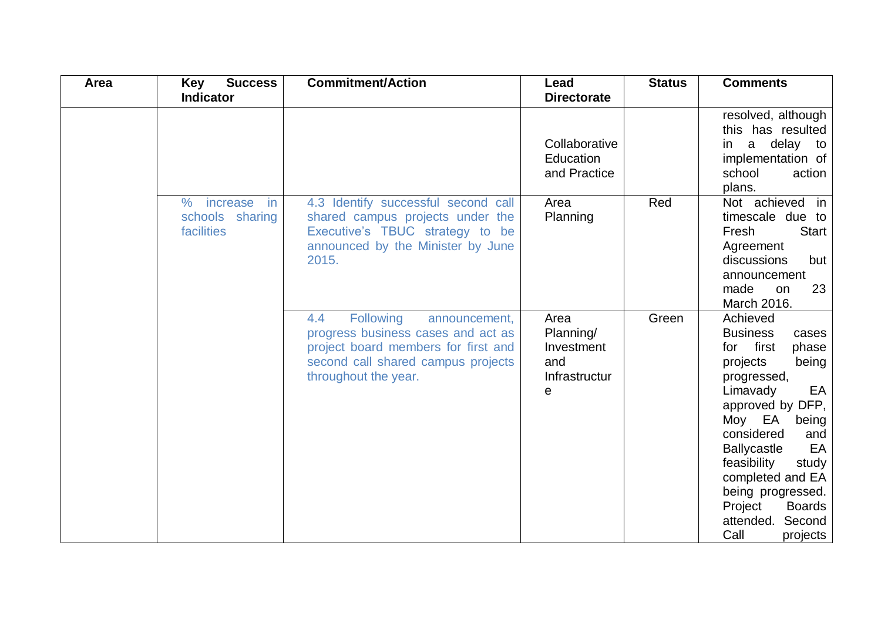| Area | <b>Success</b><br>Key                                    | <b>Commitment/Action</b>                                                                                                                                                                      | Lead                                                         | <b>Status</b> | <b>Comments</b>                                                                                                                                                                                                                                                                                                                                     |
|------|----------------------------------------------------------|-----------------------------------------------------------------------------------------------------------------------------------------------------------------------------------------------|--------------------------------------------------------------|---------------|-----------------------------------------------------------------------------------------------------------------------------------------------------------------------------------------------------------------------------------------------------------------------------------------------------------------------------------------------------|
|      | <b>Indicator</b>                                         |                                                                                                                                                                                               | <b>Directorate</b>                                           |               |                                                                                                                                                                                                                                                                                                                                                     |
|      |                                                          |                                                                                                                                                                                               | Collaborative<br>Education<br>and Practice                   |               | resolved, although<br>this has resulted<br>a delay to<br>in<br>implementation of<br>school<br>action<br>plans.                                                                                                                                                                                                                                      |
|      | $\%$<br>increase<br>in.<br>schools sharing<br>facilities | 4.3 Identify successful second call<br>shared campus projects under the<br>Executive's TBUC strategy to be<br>announced by the Minister by June<br>2015.                                      | Area<br>Planning                                             | Red           | Not achieved in<br>timescale due to<br><b>Start</b><br>Fresh<br>Agreement<br>discussions<br>but<br>announcement<br>23<br>made<br>on<br>March 2016.                                                                                                                                                                                                  |
|      |                                                          | <b>Following</b><br>$4.4^{\circ}$<br>announcement,<br>progress business cases and act as<br>project board members for first and<br>second call shared campus projects<br>throughout the year. | Area<br>Planning/<br>Investment<br>and<br>Infrastructur<br>e | Green         | Achieved<br><b>Business</b><br>cases<br>first<br>phase<br>for<br>projects<br>being<br>progressed,<br>EA<br>Limavady<br>approved by DFP,<br>Moy EA<br>being<br>considered<br>and<br>EA<br><b>Ballycastle</b><br>feasibility<br>study<br>completed and EA<br>being progressed.<br>Project<br><b>Boards</b><br>attended.<br>Second<br>Call<br>projects |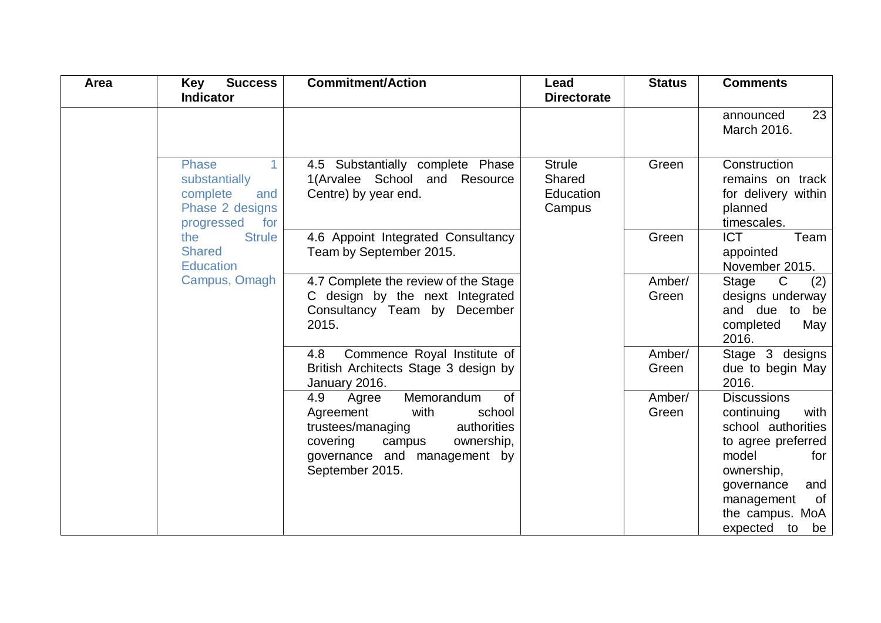| Area | <b>Key</b><br><b>Success</b><br><b>Indicator</b>                                                         | <b>Commitment/Action</b>                                                                                                                                                                          | Lead<br><b>Directorate</b>                     | <b>Status</b>   | <b>Comments</b>                                                                                                                                                                                     |
|------|----------------------------------------------------------------------------------------------------------|---------------------------------------------------------------------------------------------------------------------------------------------------------------------------------------------------|------------------------------------------------|-----------------|-----------------------------------------------------------------------------------------------------------------------------------------------------------------------------------------------------|
|      |                                                                                                          |                                                                                                                                                                                                   |                                                |                 | 23<br>announced<br>March 2016.                                                                                                                                                                      |
|      | <b>Phase</b><br>$\mathbf{1}$<br>substantially<br>complete<br>and<br>Phase 2 designs<br>for<br>progressed | 4.5 Substantially complete Phase<br>1(Arvalee School and Resource<br>Centre) by year end.                                                                                                         | <b>Strule</b><br>Shared<br>Education<br>Campus | Green           | Construction<br>remains on track<br>for delivery within<br>planned<br>timescales.                                                                                                                   |
|      | <b>Strule</b><br>the<br><b>Shared</b><br><b>Education</b>                                                | 4.6 Appoint Integrated Consultancy<br>Team by September 2015.                                                                                                                                     |                                                | Green           | <b>ICT</b><br>Team<br>appointed<br>November 2015.                                                                                                                                                   |
|      | Campus, Omagh                                                                                            | 4.7 Complete the review of the Stage<br>C design by the next Integrated<br>Consultancy Team by December<br>2015.                                                                                  |                                                | Amber/<br>Green | $\mathsf{C}$<br>(2)<br>Stage<br>designs underway<br>and due to be<br>completed<br>May<br>2016.                                                                                                      |
|      |                                                                                                          | Commence Royal Institute of<br>4.8<br>British Architects Stage 3 design by<br>January 2016.                                                                                                       |                                                | Amber/<br>Green | Stage 3 designs<br>due to begin May<br>2016.                                                                                                                                                        |
|      |                                                                                                          | Memorandum<br><b>of</b><br>4.9<br>Agree<br>with<br>school<br>Agreement<br>authorities<br>trustees/managing<br>covering<br>ownership,<br>campus<br>governance and management by<br>September 2015. |                                                | Amber/<br>Green | <b>Discussions</b><br>continuing<br>with<br>school authorities<br>to agree preferred<br>model<br>for<br>ownership,<br>governance<br>and<br>0f<br>management<br>the campus. MoA<br>expected to<br>be |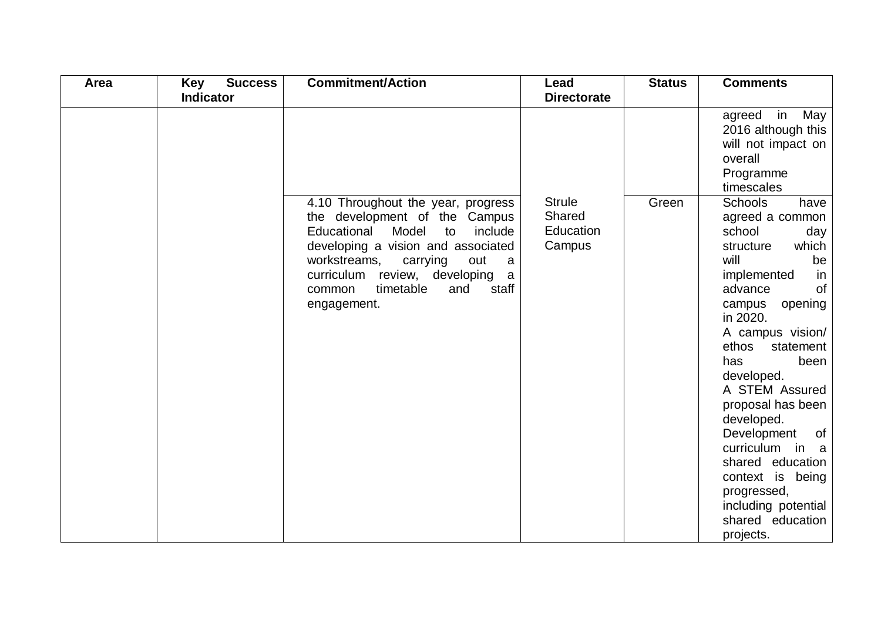| Area | <b>Success</b><br><b>Key</b> | <b>Commitment/Action</b>                                                                                                                                                                                                                                                               | Lead                                           | <b>Status</b> | <b>Comments</b>                                                                                                                                                                                                                                                                                                                                                                                                                                          |
|------|------------------------------|----------------------------------------------------------------------------------------------------------------------------------------------------------------------------------------------------------------------------------------------------------------------------------------|------------------------------------------------|---------------|----------------------------------------------------------------------------------------------------------------------------------------------------------------------------------------------------------------------------------------------------------------------------------------------------------------------------------------------------------------------------------------------------------------------------------------------------------|
|      | <b>Indicator</b>             |                                                                                                                                                                                                                                                                                        | <b>Directorate</b>                             |               |                                                                                                                                                                                                                                                                                                                                                                                                                                                          |
|      |                              |                                                                                                                                                                                                                                                                                        |                                                |               | agreed in May<br>2016 although this<br>will not impact on<br>overall<br>Programme<br>timescales                                                                                                                                                                                                                                                                                                                                                          |
|      |                              | 4.10 Throughout the year, progress<br>the development of the Campus<br>Model<br>Educational<br>include<br>to<br>developing a vision and associated<br>workstreams,<br>carrying<br>out<br>a<br>curriculum review, developing<br>a<br>timetable<br>staff<br>and<br>common<br>engagement. | <b>Strule</b><br>Shared<br>Education<br>Campus | Green         | <b>Schools</b><br>have<br>agreed a common<br>school<br>day<br>which<br>structure<br>will<br>be<br>implemented<br>in<br>advance<br>of<br>opening<br>campus<br>in 2020.<br>A campus vision/<br>ethos<br>statement<br>been<br>has<br>developed.<br>A STEM Assured<br>proposal has been<br>developed.<br>Development<br>of<br>curriculum in a<br>shared education<br>context is being<br>progressed,<br>including potential<br>shared education<br>projects. |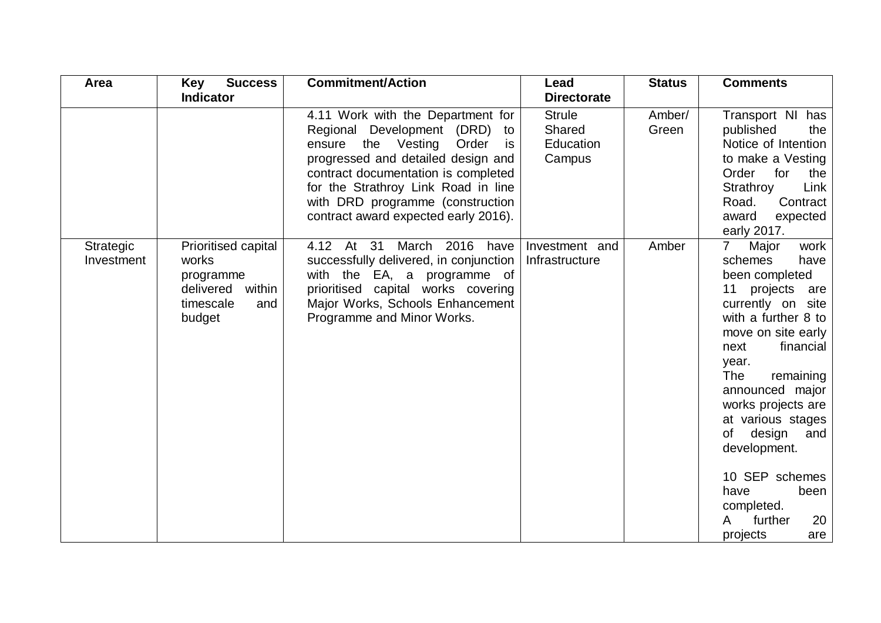| Area                    | Key<br><b>Success</b>                                                                          | <b>Commitment/Action</b>                                                                                                                                                                                                                                                                                   | Lead                                           | <b>Status</b>   | <b>Comments</b>                                                                                                                                                                                                                                                                                                                                                                                              |
|-------------------------|------------------------------------------------------------------------------------------------|------------------------------------------------------------------------------------------------------------------------------------------------------------------------------------------------------------------------------------------------------------------------------------------------------------|------------------------------------------------|-----------------|--------------------------------------------------------------------------------------------------------------------------------------------------------------------------------------------------------------------------------------------------------------------------------------------------------------------------------------------------------------------------------------------------------------|
|                         | <b>Indicator</b>                                                                               |                                                                                                                                                                                                                                                                                                            | <b>Directorate</b>                             |                 |                                                                                                                                                                                                                                                                                                                                                                                                              |
|                         |                                                                                                | 4.11 Work with the Department for<br>Regional Development (DRD) to<br>the Vesting<br>Order<br>ensure<br>is<br>progressed and detailed design and<br>contract documentation is completed<br>for the Strathroy Link Road in line<br>with DRD programme (construction<br>contract award expected early 2016). | <b>Strule</b><br>Shared<br>Education<br>Campus | Amber/<br>Green | Transport NI has<br>published<br>the<br>Notice of Intention<br>to make a Vesting<br>for<br>Order<br>the<br>Strathroy<br>Link<br>Road.<br>Contract<br>award<br>expected<br>early 2017.                                                                                                                                                                                                                        |
| Strategic<br>Investment | Prioritised capital<br>works<br>programme<br>within<br>delivered<br>timescale<br>and<br>budget | 4.12 At 31<br>March 2016 have<br>successfully delivered, in conjunction<br>with the EA, a programme of<br>prioritised capital works covering<br>Major Works, Schools Enhancement<br>Programme and Minor Works.                                                                                             | Investment and<br>Infrastructure               | Amber           | $\overline{7}$<br>Major<br>work<br>schemes<br>have<br>been completed<br>11<br>projects are<br>currently on site<br>with a further 8 to<br>move on site early<br>financial<br>next<br>year.<br>The<br>remaining<br>announced major<br>works projects are<br>at various stages<br>design<br>of<br>and<br>development.<br>10 SEP schemes<br>have<br>been<br>completed.<br>further<br>20<br>A<br>projects<br>are |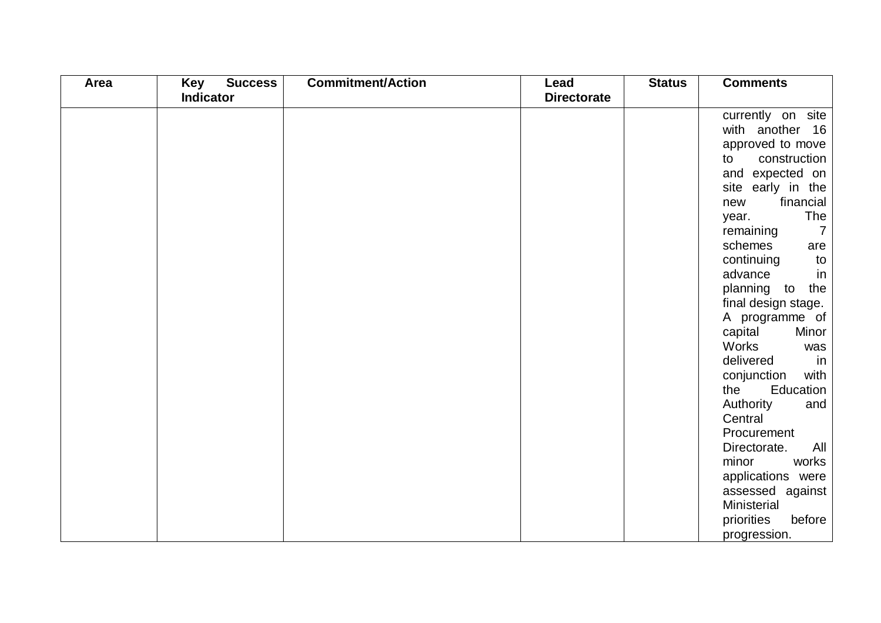| Area | <b>Success</b><br>Key | <b>Commitment/Action</b> | Lead               | <b>Status</b> | <b>Comments</b>             |
|------|-----------------------|--------------------------|--------------------|---------------|-----------------------------|
|      | <b>Indicator</b>      |                          | <b>Directorate</b> |               |                             |
|      |                       |                          |                    |               | currently on site           |
|      |                       |                          |                    |               | with another 16             |
|      |                       |                          |                    |               | approved to move            |
|      |                       |                          |                    |               | construction<br>to          |
|      |                       |                          |                    |               | and expected on             |
|      |                       |                          |                    |               | site early in the           |
|      |                       |                          |                    |               | financial<br>new            |
|      |                       |                          |                    |               | The<br>year.                |
|      |                       |                          |                    |               | $\overline{7}$<br>remaining |
|      |                       |                          |                    |               | schemes<br>are              |
|      |                       |                          |                    |               | continuing<br>to            |
|      |                       |                          |                    |               | advance<br>in               |
|      |                       |                          |                    |               | planning to<br>the          |
|      |                       |                          |                    |               | final design stage.         |
|      |                       |                          |                    |               | A programme of              |
|      |                       |                          |                    |               | capital<br>Minor            |
|      |                       |                          |                    |               | Works<br>was                |
|      |                       |                          |                    |               | delivered<br>in             |
|      |                       |                          |                    |               | conjunction<br>with         |
|      |                       |                          |                    |               | Education<br>the            |
|      |                       |                          |                    |               | Authority<br>and            |
|      |                       |                          |                    |               | Central                     |
|      |                       |                          |                    |               | Procurement                 |
|      |                       |                          |                    |               | Directorate.<br>All         |
|      |                       |                          |                    |               | works<br>minor              |
|      |                       |                          |                    |               | applications were           |
|      |                       |                          |                    |               | assessed against            |
|      |                       |                          |                    |               | Ministerial                 |
|      |                       |                          |                    |               | priorities<br>before        |
|      |                       |                          |                    |               | progression.                |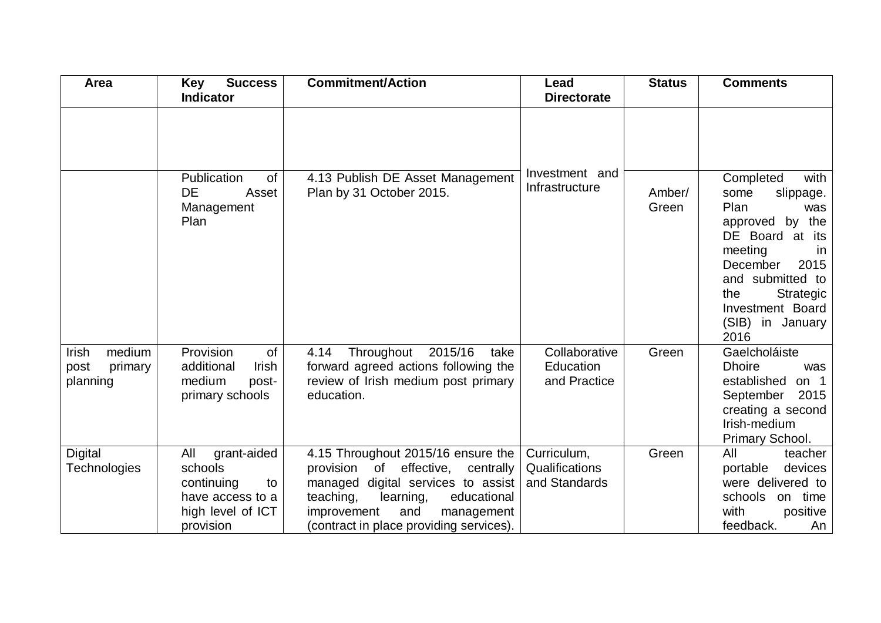| Area                                           | <b>Success</b><br><b>Key</b><br><b>Indicator</b>                                                        | <b>Commitment/Action</b>                                                                                                                                                                                                                       | Lead<br><b>Directorate</b>                     | <b>Status</b>   | <b>Comments</b>                                                                                                                                                                                                                            |
|------------------------------------------------|---------------------------------------------------------------------------------------------------------|------------------------------------------------------------------------------------------------------------------------------------------------------------------------------------------------------------------------------------------------|------------------------------------------------|-----------------|--------------------------------------------------------------------------------------------------------------------------------------------------------------------------------------------------------------------------------------------|
|                                                | Publication<br>of<br>DE<br>Asset<br>Management<br>Plan                                                  | 4.13 Publish DE Asset Management<br>Plan by 31 October 2015.                                                                                                                                                                                   | Investment and<br>Infrastructure               | Amber/<br>Green | with<br>Completed<br>slippage.<br>some<br>Plan<br>was<br>approved by the<br>DE Board at its<br>meeting<br><sub>In</sub><br>2015<br>December<br>and submitted to<br>the<br>Strategic<br><b>Investment Board</b><br>(SIB) in January<br>2016 |
| medium<br>Irish<br>post<br>primary<br>planning | Provision<br>of<br>additional<br>Irish<br>medium<br>post-<br>primary schools                            | Throughout 2015/16<br>4.14<br>take<br>forward agreed actions following the<br>review of Irish medium post primary<br>education.                                                                                                                | Collaborative<br>Education<br>and Practice     | Green           | Gaelcholáiste<br><b>Dhoire</b><br>was<br>established<br>on $1$<br>September<br>2015<br>creating a second<br>Irish-medium<br>Primary School.                                                                                                |
| <b>Digital</b><br>Technologies                 | All<br>grant-aided<br>schools<br>continuing<br>to<br>have access to a<br>high level of ICT<br>provision | 4.15 Throughout 2015/16 ensure the<br>provision<br>effective,<br>centrally<br>of<br>managed digital services to assist<br>teaching,<br>educational<br>learning,<br>and<br>improvement<br>management<br>(contract in place providing services). | Curriculum,<br>Qualifications<br>and Standards | Green           | All<br>teacher<br>devices<br>portable<br>were delivered to<br>schools on time<br>with<br>positive<br>feedback.<br>An                                                                                                                       |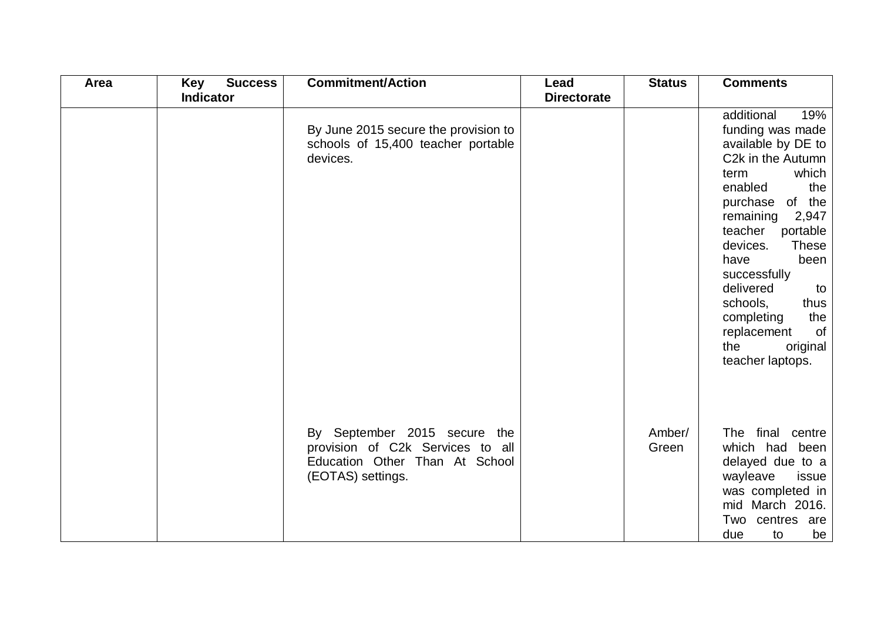| Area | <b>Success</b><br>Key | <b>Commitment/Action</b>                                                                                                | Lead               | <b>Status</b>   | <b>Comments</b>                                                                                                                                                                                                                                                                                                                                                         |
|------|-----------------------|-------------------------------------------------------------------------------------------------------------------------|--------------------|-----------------|-------------------------------------------------------------------------------------------------------------------------------------------------------------------------------------------------------------------------------------------------------------------------------------------------------------------------------------------------------------------------|
|      | <b>Indicator</b>      |                                                                                                                         | <b>Directorate</b> |                 |                                                                                                                                                                                                                                                                                                                                                                         |
|      |                       | By June 2015 secure the provision to<br>schools of 15,400 teacher portable<br>devices.                                  |                    |                 | additional<br>19%<br>funding was made<br>available by DE to<br>C2k in the Autumn<br>which<br>term<br>enabled<br>the<br>purchase of the<br>2,947<br>remaining<br>teacher<br>portable<br>devices.<br><b>These</b><br>been<br>have<br>successfully<br>delivered<br>to<br>schools,<br>thus<br>the<br>completing<br>of<br>replacement<br>original<br>the<br>teacher laptops. |
|      |                       | By September 2015 secure the<br>provision of C2k Services to all<br>Education Other Than At School<br>(EOTAS) settings. |                    | Amber/<br>Green | The final centre<br>which had been<br>delayed due to a<br>wayleave<br>issue<br>was completed in<br>mid March 2016.<br>Two centres are<br>due<br>to<br>be                                                                                                                                                                                                                |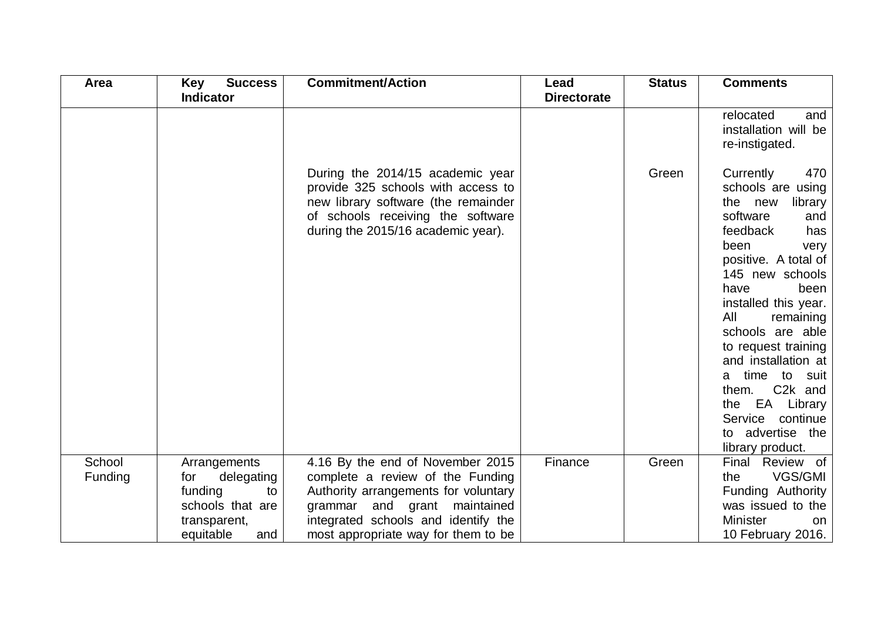| Area    | <b>Success</b><br><b>Key</b> | <b>Commitment/Action</b>                                                                                                                                                                 | Lead               | <b>Status</b> | <b>Comments</b>                                                                                                                                                                                                                                                                                                                                                                                                                         |
|---------|------------------------------|------------------------------------------------------------------------------------------------------------------------------------------------------------------------------------------|--------------------|---------------|-----------------------------------------------------------------------------------------------------------------------------------------------------------------------------------------------------------------------------------------------------------------------------------------------------------------------------------------------------------------------------------------------------------------------------------------|
|         | <b>Indicator</b>             |                                                                                                                                                                                          | <b>Directorate</b> |               |                                                                                                                                                                                                                                                                                                                                                                                                                                         |
|         |                              |                                                                                                                                                                                          |                    |               | relocated<br>and<br>installation will be<br>re-instigated.                                                                                                                                                                                                                                                                                                                                                                              |
|         |                              | During the 2014/15 academic year<br>provide 325 schools with access to<br>new library software (the remainder<br>of schools receiving the software<br>during the 2015/16 academic year). |                    | Green         | Currently<br>470<br>schools are using<br>the new<br>library<br>software<br>and<br>feedback<br>has<br>been<br>very<br>positive. A total of<br>145 new schools<br>have<br>been<br>installed this year.<br>All<br>remaining<br>schools are able<br>to request training<br>and installation at<br>time<br>to<br>suit<br>a<br>C <sub>2</sub> k and<br>them.<br>EA Library<br>the<br>Service continue<br>to advertise the<br>library product. |
| School  | Arrangements                 | 4.16 By the end of November 2015                                                                                                                                                         | Finance            | Green         | Final Review of                                                                                                                                                                                                                                                                                                                                                                                                                         |
| Funding | delegating<br>for            | complete a review of the Funding                                                                                                                                                         |                    |               | VGS/GMI<br>the                                                                                                                                                                                                                                                                                                                                                                                                                          |
|         | funding<br>to                | Authority arrangements for voluntary                                                                                                                                                     |                    |               | Funding Authority                                                                                                                                                                                                                                                                                                                                                                                                                       |
|         | schools that are             | grammar and grant maintained                                                                                                                                                             |                    |               | was issued to the                                                                                                                                                                                                                                                                                                                                                                                                                       |
|         | transparent,                 | integrated schools and identify the                                                                                                                                                      |                    |               | <b>Minister</b><br>on.                                                                                                                                                                                                                                                                                                                                                                                                                  |
|         | equitable<br>and             | most appropriate way for them to be                                                                                                                                                      |                    |               | 10 February 2016.                                                                                                                                                                                                                                                                                                                                                                                                                       |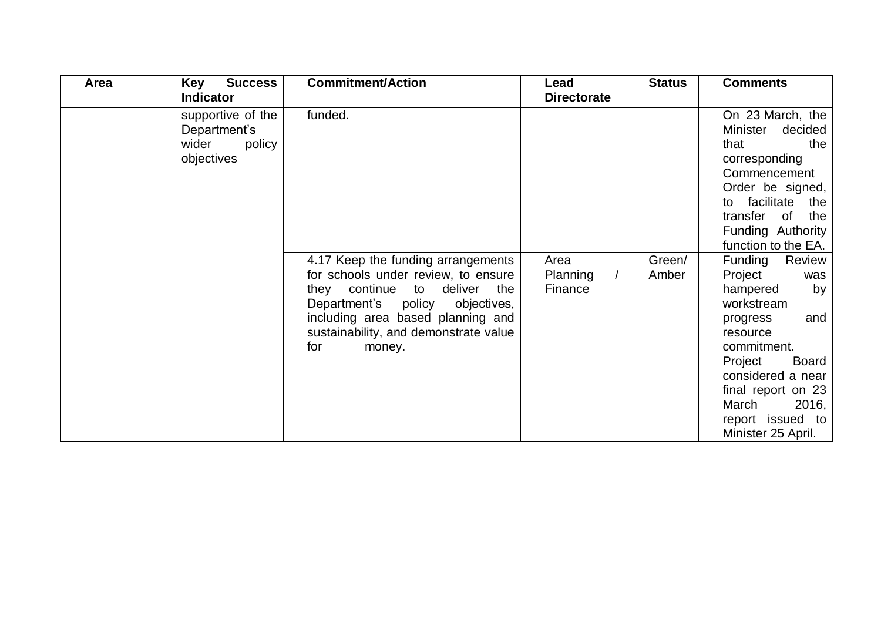| Area | Key<br><b>Success</b> | <b>Commitment/Action</b>                                                   | Lead               | <b>Status</b> | <b>Comments</b>             |
|------|-----------------------|----------------------------------------------------------------------------|--------------------|---------------|-----------------------------|
|      | <b>Indicator</b>      |                                                                            | <b>Directorate</b> |               |                             |
|      | supportive of the     | funded.                                                                    |                    |               | On 23 March, the            |
|      | Department's          |                                                                            |                    |               | Minister<br>decided         |
|      | wider<br>policy       |                                                                            |                    |               | that<br>the                 |
|      | objectives            |                                                                            |                    |               | corresponding               |
|      |                       |                                                                            |                    |               | Commencement                |
|      |                       |                                                                            |                    |               | Order be signed,            |
|      |                       |                                                                            |                    |               | to facilitate the           |
|      |                       |                                                                            |                    |               | transfer of<br>the          |
|      |                       |                                                                            |                    |               | Funding Authority           |
|      |                       |                                                                            |                    |               | function to the EA.         |
|      |                       | 4.17 Keep the funding arrangements                                         | Area               | Green/        | Funding<br>Review           |
|      |                       | for schools under review, to ensure                                        | Planning           | Amber         | Project<br>was              |
|      |                       | they continue to deliver the                                               | Finance            |               | hampered<br>by              |
|      |                       | Department's policy objectives,                                            |                    |               | workstream                  |
|      |                       | including area based planning and<br>sustainability, and demonstrate value |                    |               | and<br>progress<br>resource |
|      |                       | for<br>money.                                                              |                    |               | commitment.                 |
|      |                       |                                                                            |                    |               | Project<br>Board            |
|      |                       |                                                                            |                    |               | considered a near           |
|      |                       |                                                                            |                    |               | final report on 23          |
|      |                       |                                                                            |                    |               | March<br>2016,              |
|      |                       |                                                                            |                    |               | report issued to            |
|      |                       |                                                                            |                    |               | Minister 25 April.          |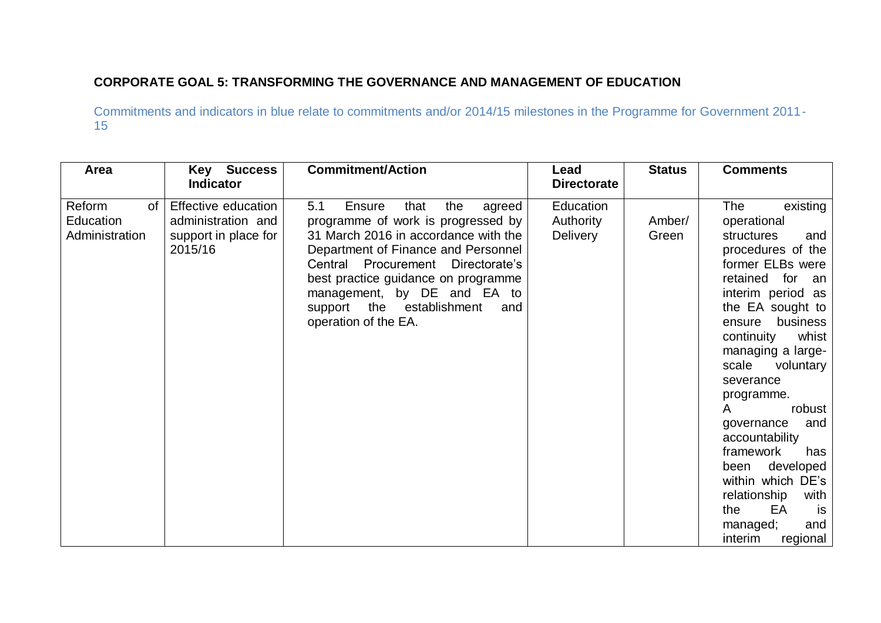## **CORPORATE GOAL 5: TRANSFORMING THE GOVERNANCE AND MANAGEMENT OF EDUCATION**

| Area                                        | <b>Key Success</b><br><b>Indicator</b>                                       | <b>Commitment/Action</b>                                                                                                                                                                                                                                                                                                                 | Lead<br><b>Directorate</b>                | <b>Status</b>   | <b>Comments</b>                                                                                                                                                                                                                                                                                                                                                                                                                                                                                              |
|---------------------------------------------|------------------------------------------------------------------------------|------------------------------------------------------------------------------------------------------------------------------------------------------------------------------------------------------------------------------------------------------------------------------------------------------------------------------------------|-------------------------------------------|-----------------|--------------------------------------------------------------------------------------------------------------------------------------------------------------------------------------------------------------------------------------------------------------------------------------------------------------------------------------------------------------------------------------------------------------------------------------------------------------------------------------------------------------|
| of<br>Reform<br>Education<br>Administration | Effective education<br>administration and<br>support in place for<br>2015/16 | 5.1<br>that<br>the<br>Ensure<br>agreed<br>programme of work is progressed by<br>31 March 2016 in accordance with the<br>Department of Finance and Personnel<br>Central<br>Procurement<br>Directorate's<br>best practice guidance on programme<br>management, by DE and EA to<br>support the establishment<br>and<br>operation of the EA. | Education<br>Authority<br><b>Delivery</b> | Amber/<br>Green | The<br>existing<br>operational<br>structures<br>and<br>procedures of the<br>former ELBs were<br>retained<br>for<br>an<br>interim period as<br>the EA sought to<br>business<br>ensure<br>whist<br>continuity<br>managing a large-<br>scale<br>voluntary<br>severance<br>programme.<br>robust<br>$\mathsf{A}$<br>and<br>governance<br>accountability<br>framework<br>has<br>developed<br>been<br>within which DE's<br>relationship<br>with<br>EA<br>the<br><b>is</b><br>and<br>managed;<br>interim<br>regional |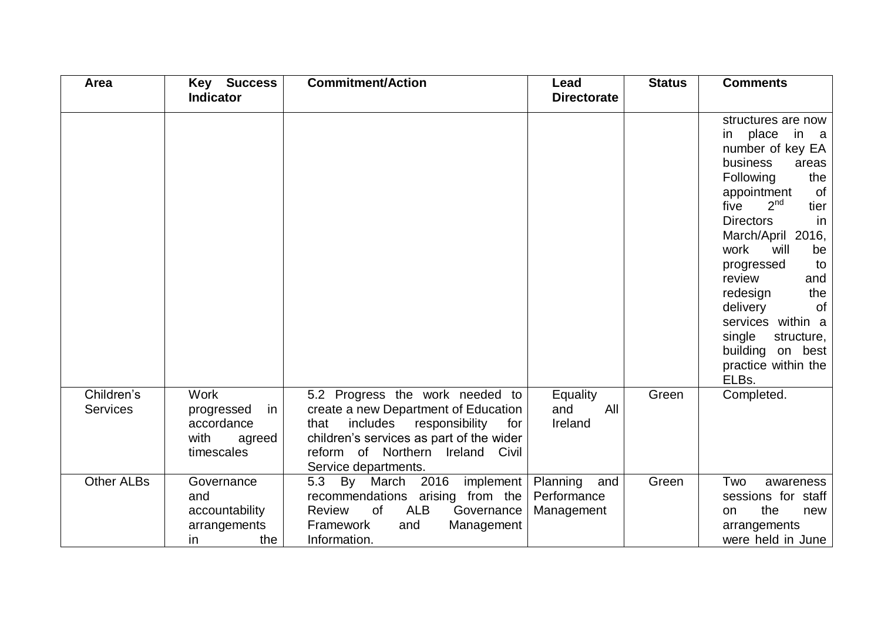| Area                          | <b>Key Success</b>                                                            | <b>Commitment/Action</b>                                                                                                                                                                                                        | Lead                                         | <b>Status</b> | <b>Comments</b>                                                                                                                                                                                                                                                                                                                                                                                              |
|-------------------------------|-------------------------------------------------------------------------------|---------------------------------------------------------------------------------------------------------------------------------------------------------------------------------------------------------------------------------|----------------------------------------------|---------------|--------------------------------------------------------------------------------------------------------------------------------------------------------------------------------------------------------------------------------------------------------------------------------------------------------------------------------------------------------------------------------------------------------------|
|                               | <b>Indicator</b>                                                              |                                                                                                                                                                                                                                 | <b>Directorate</b>                           |               |                                                                                                                                                                                                                                                                                                                                                                                                              |
|                               |                                                                               |                                                                                                                                                                                                                                 |                                              |               | structures are now<br>place in a<br>in<br>number of key EA<br>business<br>areas<br>Following<br>the<br>appointment<br>0f<br>2 <sup>nd</sup><br>five<br>tier<br><b>Directors</b><br>in.<br>March/April 2016,<br>work<br>will<br>be<br>progressed<br>to<br>review<br>and<br>the<br>redesign<br>delivery<br>0f<br>services within a<br>single<br>structure,<br>building on best<br>practice within the<br>ELBs. |
| Children's<br><b>Services</b> | <b>Work</b><br>in<br>progressed<br>accordance<br>with<br>agreed<br>timescales | 5.2 Progress the work needed to<br>create a new Department of Education<br>includes<br>that<br>responsibility<br>for<br>children's services as part of the wider<br>reform of Northern Ireland<br>Civil<br>Service departments. | Equality<br>All<br>and<br>Ireland            | Green         | Completed.                                                                                                                                                                                                                                                                                                                                                                                                   |
| <b>Other ALBs</b>             | Governance<br>and<br>accountability<br>arrangements<br>in<br>the              | 2016<br>5.3<br>By<br>March<br>implement<br>recommendations arising from the<br><b>of</b><br><b>ALB</b><br>Review<br>Governance<br>Framework<br>and<br>Management<br>Information.                                                | Planning<br>and<br>Performance<br>Management | Green         | Two<br>awareness<br>sessions for staff<br>the<br>new<br>on<br>arrangements<br>were held in June                                                                                                                                                                                                                                                                                                              |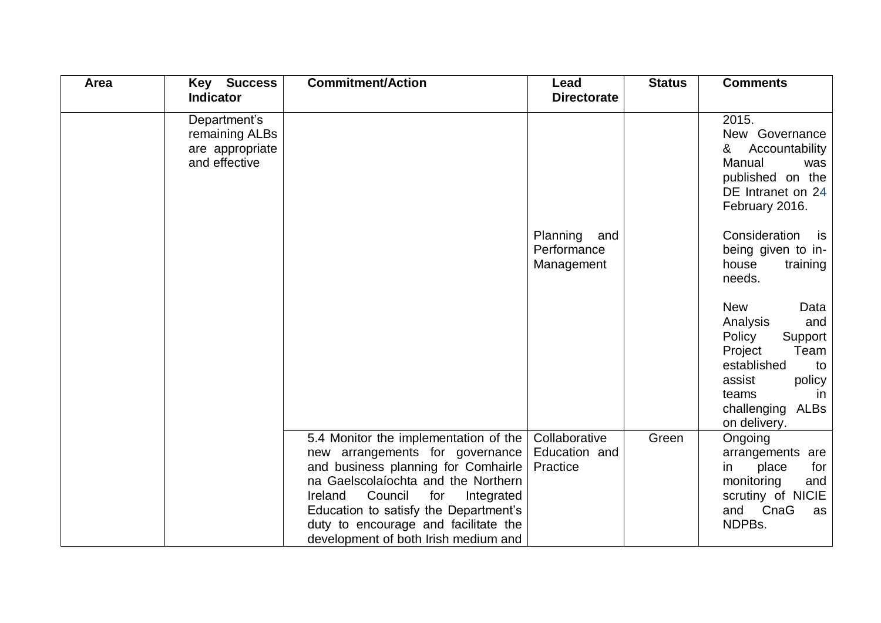| Area | <b>Key Success</b>                                                 | <b>Commitment/Action</b>                                                                                                                                                                                                                                                                                                   | Lead                                         | <b>Status</b> | <b>Comments</b>                                                                                                                                                               |
|------|--------------------------------------------------------------------|----------------------------------------------------------------------------------------------------------------------------------------------------------------------------------------------------------------------------------------------------------------------------------------------------------------------------|----------------------------------------------|---------------|-------------------------------------------------------------------------------------------------------------------------------------------------------------------------------|
|      | <b>Indicator</b>                                                   |                                                                                                                                                                                                                                                                                                                            | <b>Directorate</b>                           |               |                                                                                                                                                                               |
|      | Department's<br>remaining ALBs<br>are appropriate<br>and effective |                                                                                                                                                                                                                                                                                                                            |                                              |               | 2015.<br>New Governance<br>Accountability<br>&<br>Manual<br>was<br>published on the<br>DE Intranet on 24<br>February 2016.                                                    |
|      |                                                                    |                                                                                                                                                                                                                                                                                                                            | Planning<br>and<br>Performance<br>Management |               | Consideration<br>is<br>being given to in-<br>house<br>training<br>needs.                                                                                                      |
|      |                                                                    |                                                                                                                                                                                                                                                                                                                            |                                              |               | <b>New</b><br>Data<br>Analysis<br>and<br>Policy<br>Support<br>Project<br>Team<br>established<br>to<br>assist<br>policy<br>teams<br>-in<br>ALBs<br>challenging<br>on delivery. |
|      |                                                                    | 5.4 Monitor the implementation of the<br>new arrangements for governance<br>and business planning for Comhairle<br>na Gaelscolaíochta and the Northern<br>Council<br>Ireland<br>for<br>Integrated<br>Education to satisfy the Department's<br>duty to encourage and facilitate the<br>development of both Irish medium and | Collaborative<br>Education and<br>Practice   | Green         | Ongoing<br>arrangements are<br>place<br>for<br>in<br>monitoring<br>and<br>scrutiny of NICIE<br>CnaG<br>and<br>as<br>NDPBs.                                                    |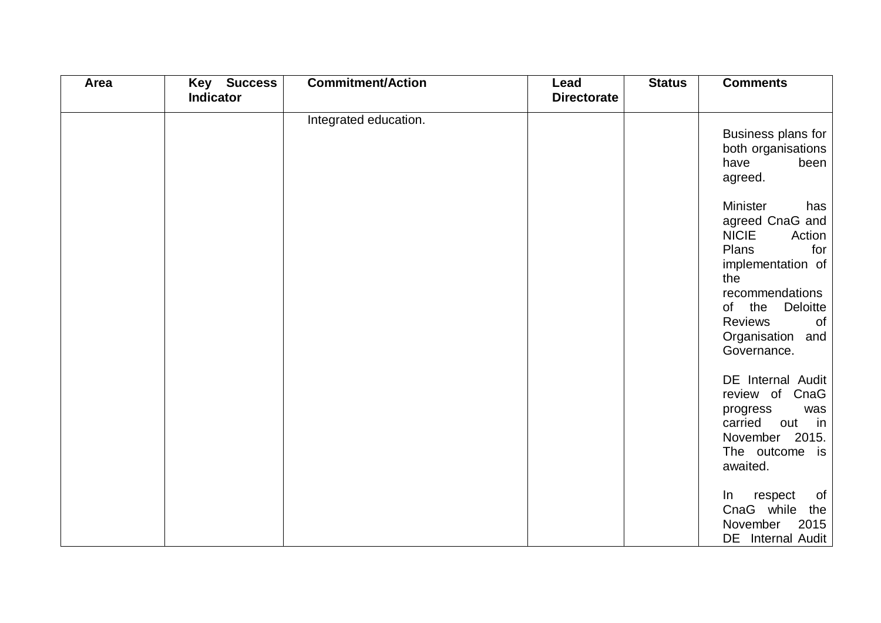| Area | <b>Key Success</b><br><b>Indicator</b> | <b>Commitment/Action</b> | Lead<br><b>Directorate</b> | <b>Status</b> | <b>Comments</b>                                                                                                                                                                                                  |
|------|----------------------------------------|--------------------------|----------------------------|---------------|------------------------------------------------------------------------------------------------------------------------------------------------------------------------------------------------------------------|
|      |                                        | Integrated education.    |                            |               | Business plans for<br>both organisations<br>been<br>have<br>agreed.                                                                                                                                              |
|      |                                        |                          |                            |               | <b>Minister</b><br>has<br>agreed CnaG and<br><b>NICIE</b><br>Action<br>Plans<br>for<br>implementation of<br>the<br>recommendations<br>of the Deloitte<br><b>Reviews</b><br>of<br>Organisation and<br>Governance. |
|      |                                        |                          |                            |               | DE Internal Audit<br>review of CnaG<br>progress<br>was<br>carried<br>out in<br>November 2015.<br>The outcome is<br>awaited.                                                                                      |
|      |                                        |                          |                            |               | of<br>In respect<br>CnaG while<br>the  <br>November<br>2015<br>DE Internal Audit                                                                                                                                 |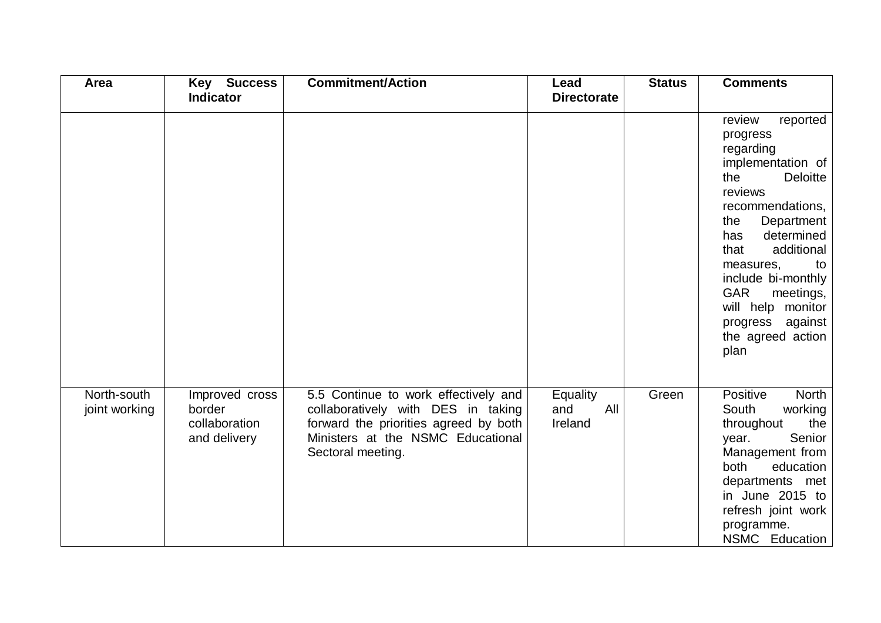| Area                         | <b>Key Success</b><br><b>Indicator</b>                    | <b>Commitment/Action</b>                                                                                                                                                      | Lead<br><b>Directorate</b>        | <b>Status</b> | <b>Comments</b>                                                                                                                                                                                                                                                                                                                     |
|------------------------------|-----------------------------------------------------------|-------------------------------------------------------------------------------------------------------------------------------------------------------------------------------|-----------------------------------|---------------|-------------------------------------------------------------------------------------------------------------------------------------------------------------------------------------------------------------------------------------------------------------------------------------------------------------------------------------|
|                              |                                                           |                                                                                                                                                                               |                                   |               | reported<br>review<br>progress<br>regarding<br>implementation of<br><b>Deloitte</b><br>the<br>reviews<br>recommendations,<br>Department<br>the<br>determined<br>has<br>additional<br>that<br>measures,<br>to<br>include bi-monthly<br><b>GAR</b><br>meetings,<br>will help monitor<br>progress against<br>the agreed action<br>plan |
| North-south<br>joint working | Improved cross<br>border<br>collaboration<br>and delivery | 5.5 Continue to work effectively and<br>collaboratively with DES in taking<br>forward the priorities agreed by both<br>Ministers at the NSMC Educational<br>Sectoral meeting. | Equality<br>and<br>All<br>Ireland | Green         | Positive<br><b>North</b><br>South<br>working<br>throughout<br>the<br>Senior<br>year.<br>Management from<br>both<br>education<br>departments met<br>in June 2015 to<br>refresh joint work<br>programme.<br>NSMC Education                                                                                                            |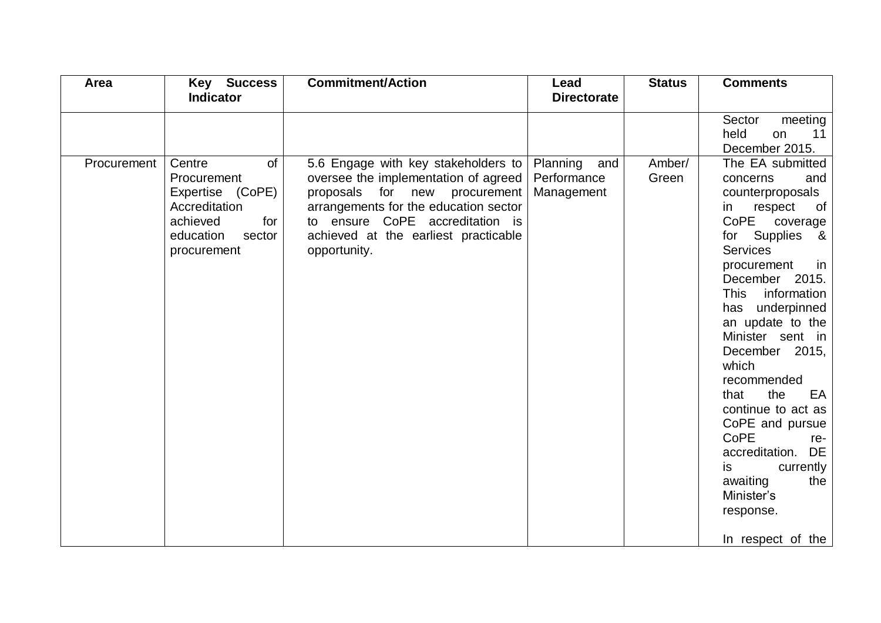| Area        | <b>Key Success</b>                                                                                                        | <b>Commitment/Action</b>                                                                                                                                                                                                                         | Lead                                         | <b>Status</b>   | <b>Comments</b>                                                                                                                                                                                                                                                                                             |
|-------------|---------------------------------------------------------------------------------------------------------------------------|--------------------------------------------------------------------------------------------------------------------------------------------------------------------------------------------------------------------------------------------------|----------------------------------------------|-----------------|-------------------------------------------------------------------------------------------------------------------------------------------------------------------------------------------------------------------------------------------------------------------------------------------------------------|
|             | <b>Indicator</b>                                                                                                          |                                                                                                                                                                                                                                                  | <b>Directorate</b>                           |                 |                                                                                                                                                                                                                                                                                                             |
| Procurement | of<br>Centre<br>Procurement<br>Expertise (CoPE)<br>Accreditation<br>achieved<br>for<br>education<br>sector<br>procurement | 5.6 Engage with key stakeholders to<br>oversee the implementation of agreed<br>proposals for new procurement<br>arrangements for the education sector<br>to ensure CoPE accreditation is<br>achieved at the earliest practicable<br>opportunity. | Planning<br>and<br>Performance<br>Management | Amber/<br>Green | meeting<br>Sector<br>held<br>11<br>on<br>December 2015.<br>The EA submitted<br>concerns<br>and<br>counterproposals<br>respect<br>in<br>of<br>CoPE<br>coverage<br>for Supplies<br>_&<br><b>Services</b><br>procurement<br>in<br>December 2015.<br>information<br>This<br>has underpinned<br>an update to the |
|             |                                                                                                                           |                                                                                                                                                                                                                                                  |                                              |                 | Minister sent in<br>December 2015,<br>which<br>recommended<br>the<br>EA<br>that<br>continue to act as<br>CoPE and pursue<br>CoPE<br>re-<br>accreditation.<br>DE<br>currently<br>is.<br>awaiting<br>the<br>Minister's<br>response.<br>In respect of the                                                      |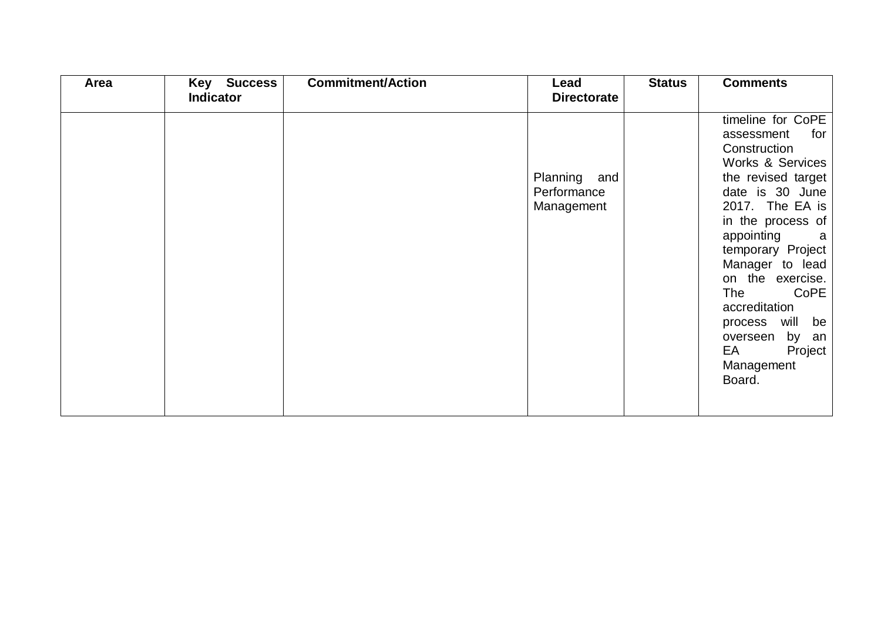| Area | <b>Key Success</b> | <b>Commitment/Action</b> | Lead                                      | <b>Status</b> | <b>Comments</b>                                                                                                                                                                                                                                                                                                                                               |
|------|--------------------|--------------------------|-------------------------------------------|---------------|---------------------------------------------------------------------------------------------------------------------------------------------------------------------------------------------------------------------------------------------------------------------------------------------------------------------------------------------------------------|
|      | <b>Indicator</b>   |                          | <b>Directorate</b>                        |               |                                                                                                                                                                                                                                                                                                                                                               |
|      |                    |                          | Planning and<br>Performance<br>Management |               | timeline for CoPE<br>for<br>assessment<br>Construction<br>Works & Services<br>the revised target<br>date is 30 June<br>2017. The EA is<br>in the process of<br>appointing<br>a a<br>temporary Project<br>Manager to lead<br>on the exercise.<br>CoPE<br>The<br>accreditation<br>process will be<br>by an<br>overseen<br>EA<br>Project<br>Management<br>Board. |
|      |                    |                          |                                           |               |                                                                                                                                                                                                                                                                                                                                                               |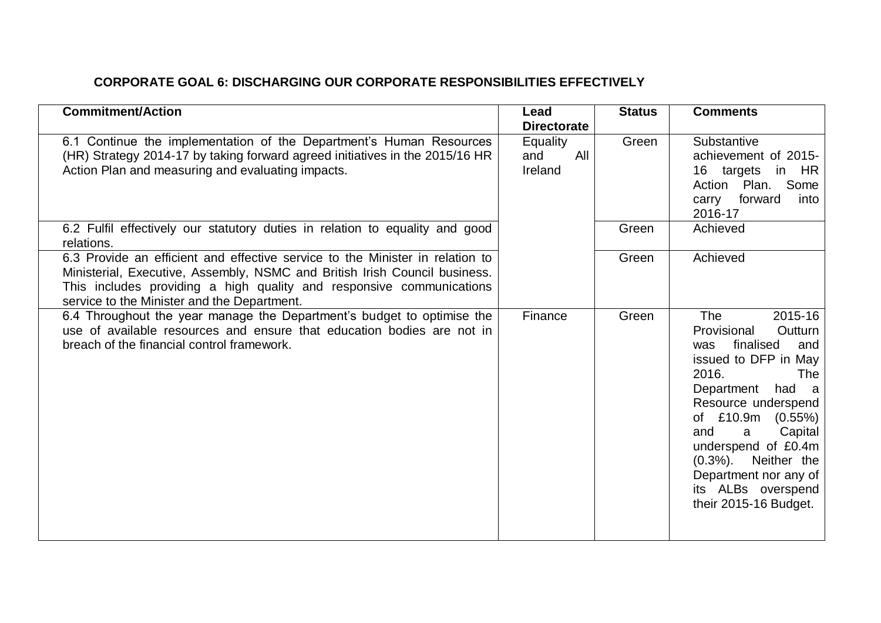## **CORPORATE GOAL 6: DISCHARGING OUR CORPORATE RESPONSIBILITIES EFFECTIVELY**

| <b>Commitment/Action</b>                                                                                                                                                                                                                                                           | Lead<br><b>Directorate</b>        | <b>Status</b> | <b>Comments</b>                                                                                                                                                                                                                                                                                                                           |
|------------------------------------------------------------------------------------------------------------------------------------------------------------------------------------------------------------------------------------------------------------------------------------|-----------------------------------|---------------|-------------------------------------------------------------------------------------------------------------------------------------------------------------------------------------------------------------------------------------------------------------------------------------------------------------------------------------------|
| 6.1 Continue the implementation of the Department's Human Resources<br>(HR) Strategy 2014-17 by taking forward agreed initiatives in the 2015/16 HR<br>Action Plan and measuring and evaluating impacts.                                                                           | Equality<br>All<br>and<br>Ireland | Green         | Substantive<br>achievement of 2015-<br>16 targets in<br>HR.<br>Plan. Some<br>Action<br>carry forward<br>into<br>2016-17                                                                                                                                                                                                                   |
| 6.2 Fulfil effectively our statutory duties in relation to equality and good<br>relations.                                                                                                                                                                                         |                                   | Green         | Achieved                                                                                                                                                                                                                                                                                                                                  |
| 6.3 Provide an efficient and effective service to the Minister in relation to<br>Ministerial, Executive, Assembly, NSMC and British Irish Council business.<br>This includes providing a high quality and responsive communications<br>service to the Minister and the Department. |                                   | Green         | Achieved                                                                                                                                                                                                                                                                                                                                  |
| 6.4 Throughout the year manage the Department's budget to optimise the<br>use of available resources and ensure that education bodies are not in<br>breach of the financial control framework.                                                                                     | Finance                           | Green         | <b>The</b><br>2015-16<br>Outturn<br>Provisional<br>finalised<br>and<br>was<br>issued to DFP in May<br>2016.<br><b>The</b><br>had a<br>Department<br>Resource underspend<br>of £10.9m (0.55%)<br>and<br>Capital<br>a<br>underspend of £0.4m<br>(0.3%). Neither the<br>Department nor any of<br>its ALBs overspend<br>their 2015-16 Budget. |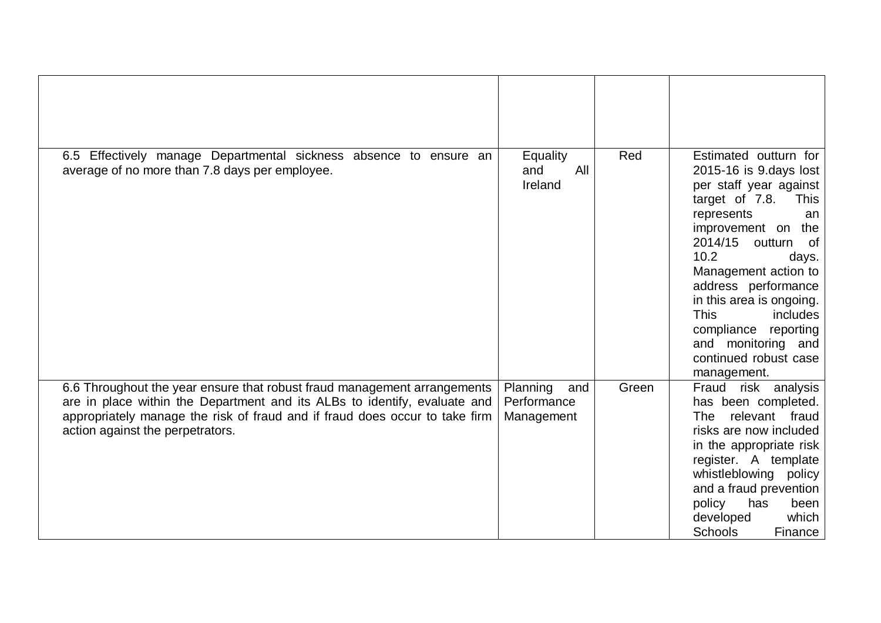| 6.5 Effectively manage Departmental sickness absence to ensure an<br>average of no more than 7.8 days per employee.                                   | Equality<br>All<br>and<br>Ireland | Red   | Estimated outturn for<br>2015-16 is 9.days lost<br>per staff year against<br>target of 7.8.<br><b>This</b><br>represents<br>an<br>improvement on<br>the<br>2014/15<br>outturn<br>_of<br>10.2<br>days.<br>Management action to<br>address performance<br>in this area is ongoing.<br><b>This</b><br>includes<br>compliance reporting<br>and monitoring and<br>continued robust case<br>management. |
|-------------------------------------------------------------------------------------------------------------------------------------------------------|-----------------------------------|-------|---------------------------------------------------------------------------------------------------------------------------------------------------------------------------------------------------------------------------------------------------------------------------------------------------------------------------------------------------------------------------------------------------|
| 6.6 Throughout the year ensure that robust fraud management arrangements<br>are in place within the Department and its ALBs to identify, evaluate and | Planning<br>and<br>Performance    | Green | risk analysis<br>Fraud<br>has been completed.                                                                                                                                                                                                                                                                                                                                                     |
| appropriately manage the risk of fraud and if fraud does occur to take firm<br>action against the perpetrators.                                       | Management                        |       | relevant fraud<br><b>The</b><br>risks are now included<br>in the appropriate risk<br>register. A template<br>whistleblowing policy<br>and a fraud prevention<br>policy<br>has<br>been<br>which<br>developed<br>Schools<br>Finance                                                                                                                                                                 |